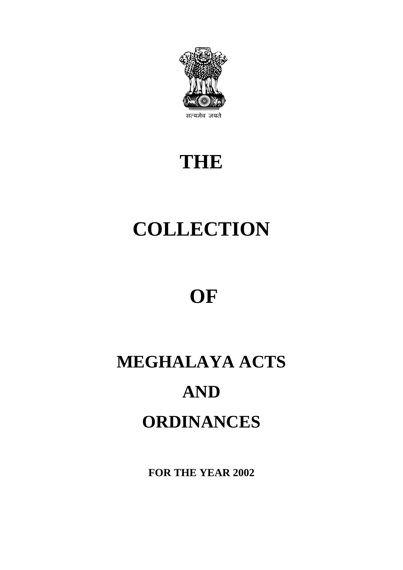

## **THE**

# **COLLECTION**

## **OF**

# **MEGHALAYA ACTS AND ORDINANCES**

**FOR THE YEAR 2002**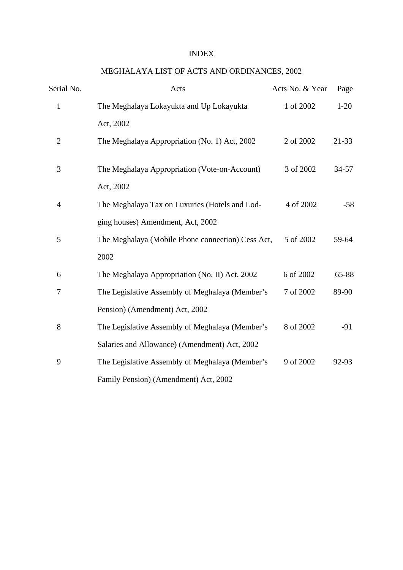#### INDEX

### MEGHALAYA LIST OF ACTS AND ORDINANCES, 2002

| Serial No.     | Acts                                                        | Acts No. & Year | Page      |
|----------------|-------------------------------------------------------------|-----------------|-----------|
| $\mathbf{1}$   | The Meghalaya Lokayukta and Up Lokayukta                    | 1 of 2002       | $1-20$    |
|                | Act, 2002                                                   |                 |           |
| $\overline{2}$ | The Meghalaya Appropriation (No. 1) Act, 2002               | 2 of 2002       | 21-33     |
| 3              | The Meghalaya Appropriation (Vote-on-Account)               | 3 of 2002       | $34 - 57$ |
| 4              | Act, 2002<br>The Meghalaya Tax on Luxuries (Hotels and Lod- | 4 of 2002       | $-58$     |
|                | ging houses) Amendment, Act, 2002                           |                 |           |
| 5              | The Meghalaya (Mobile Phone connection) Cess Act,           | 5 of 2002       | 59-64     |
|                | 2002                                                        |                 |           |
| 6              | The Meghalaya Appropriation (No. II) Act, 2002              | 6 of 2002       | 65-88     |
| 7              | The Legislative Assembly of Meghalaya (Member's             | 7 of 2002       | 89-90     |
|                | Pension) (Amendment) Act, 2002                              |                 |           |
| 8              | The Legislative Assembly of Meghalaya (Member's             | 8 of 2002       | $-91$     |
|                | Salaries and Allowance) (Amendment) Act, 2002               |                 |           |
| 9              | The Legislative Assembly of Meghalaya (Member's             | 9 of 2002       | 92-93     |
|                | Family Pension) (Amendment) Act, 2002                       |                 |           |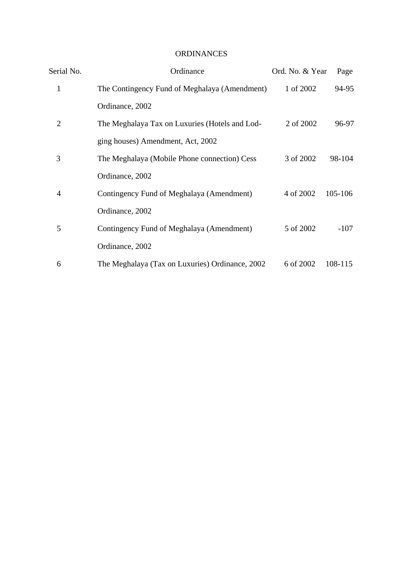### ORDINANCES

| Serial No.     | Ordinance                                       | Ord. No. & Year | Page    |
|----------------|-------------------------------------------------|-----------------|---------|
| $\mathbf{1}$   | The Contingency Fund of Meghalaya (Amendment)   | 1 of 2002       | 94-95   |
|                | Ordinance, 2002                                 |                 |         |
| $\overline{2}$ | The Meghalaya Tax on Luxuries (Hotels and Lod-  | 2 of 2002       | 96-97   |
|                | ging houses) Amendment, Act, 2002               |                 |         |
| 3              | The Meghalaya (Mobile Phone connection) Cess    | 3 of 2002       | 98-104  |
|                | Ordinance, 2002                                 |                 |         |
| 4              | Contingency Fund of Meghalaya (Amendment)       | 4 of 2002       | 105-106 |
|                | Ordinance, 2002                                 |                 |         |
| 5              | Contingency Fund of Meghalaya (Amendment)       | 5 of 2002       | $-107$  |
|                | Ordinance, 2002                                 |                 |         |
| 6              | The Meghalaya (Tax on Luxuries) Ordinance, 2002 | 6 of 2002       | 108-115 |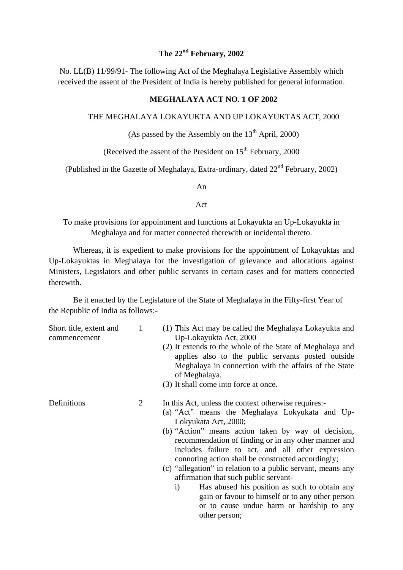## **The 22nd February, 2002**

No. LL(B) 11/99/91- The following Act of the Meghalaya Legislative Assembly which received the assent of the President of India is hereby published for general information.

#### **MEGHALAYA ACT NO. 1 OF 2002**

#### THE MEGHALAYA LOKAYUKTA AND UP LOKAYUKTAS ACT, 2000

#### (As passed by the Assembly on the  $13<sup>th</sup>$  April, 2000)

(Received the assent of the President on  $15<sup>th</sup>$  February, 2000)

(Published in the Gazette of Meghalaya, Extra-ordinary, dated  $22<sup>nd</sup>$  February, 2002)

An

#### Act

To make provisions for appointment and functions at Lokayukta an Up-Lokayukta in Meghalaya and for matter connected therewith or incidental thereto.

Whereas, it is expedient to make provisions for the appointment of Lokayuktas and Up-Lokayuktas in Meghalaya for the investigation of grievance and allocations against Ministers, Legislators and other public servants in certain cases and for matters connected therewith.

Be it enacted by the Legislature of the State of Meghalaya in the Fifty-first Year of the Republic of India as follows:-

| Short title, extent and<br>commencement | $\mathbf{1}$ | (1) This Act may be called the Meghalaya Lokayukta and<br>Up-Lokayukta Act, 2000<br>(2) It extends to the whole of the State of Meghalaya and<br>applies also to the public servants posted outside<br>Meghalaya in connection with the affairs of the State<br>of Meghalaya.<br>(3) It shall come into force at once.                                                                                                                                                                                                                                                                                                              |
|-----------------------------------------|--------------|-------------------------------------------------------------------------------------------------------------------------------------------------------------------------------------------------------------------------------------------------------------------------------------------------------------------------------------------------------------------------------------------------------------------------------------------------------------------------------------------------------------------------------------------------------------------------------------------------------------------------------------|
| Definitions                             | 2            | In this Act, unless the context otherwise requires:-<br>(a) "Act" means the Meghalaya Lokyukata and Up-<br>Lokyukata Act, 2000;<br>(b) "Action" means action taken by way of decision,<br>recommendation of finding or in any other manner and<br>includes failure to act, and all other expression<br>connoting action shall be constructed accordingly;<br>(c) "allegation" in relation to a public servant, means any<br>affirmation that such public servant-<br>Has abused his position as such to obtain any<br>$\mathbf{i}$<br>gain or favour to himself or to any other person<br>or to cause undue harm or hardship to any |

other person;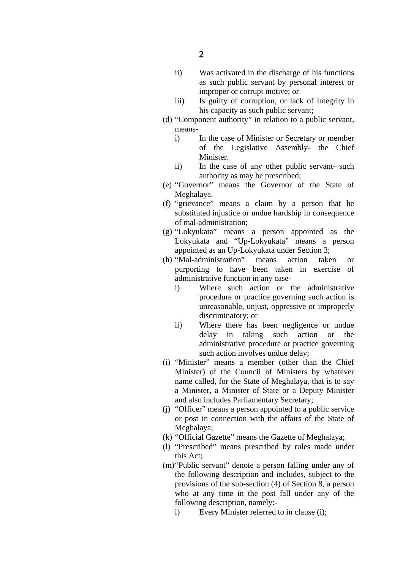- ii) Was activated in the discharge of his functions as such public servant by personal interest or improper or corrupt motive; or
- iii) Is guilty of corruption, or lack of integrity in his capacity as such public servant;
- (d) "Component authority" in relation to a public servant, means
	- i) In the case of Minister or Secretary or member of the Legislative Assembly- the Chief Minister.
	- ii) In the case of any other public servant- such authority as may be prescribed;
- (e) "Governor" means the Governor of the State of Meghalaya.
- (f) "grievance" means a claim by a person that he substituted injustice or undue hardship in consequence of mal-administration;
- (g) "Lokyukata" means a person appointed as the Lokyukata and "Up-Lokyukata" means a person appointed as an Up-Lokyukata under Section 3;
- (h) "Mal-administration" means action taken or purporting to have been taken in exercise of administrative function in any case
	- i) Where such action or the administrative procedure or practice governing such action is unreasonable, unjust, oppressive or improperly discriminatory; or
	- ii) Where there has been negligence or undue delay in taking such action or the administrative procedure or practice governing such action involves undue delay;
- (i) "Minister" means a member (other than the Chief Minister) of the Council of Ministers by whatever name called, for the State of Meghalaya, that is to say a Minister, a Minister of State or a Deputy Minister and also includes Parliamentary Secretary;
- (j) "Officer" means a person appointed to a public service or post in connection with the affairs of the State of Meghalaya;
- (k) "Official Gazette" means the Gazette of Meghalaya;
- (l) "Prescribed" means prescribed by rules made under this Act;
- (m)"Public servant" denote a person falling under any of the following description and includes, subject to the provisions of the sub-section (4) of Section 8, a person who at any time in the post fall under any of the following description, namely:
	- i) Every Minister referred to in clause (i);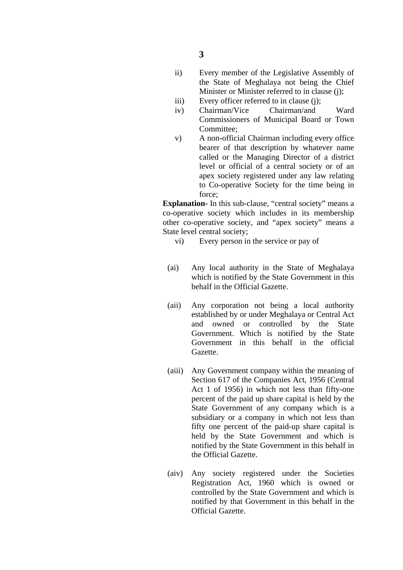- ii) Every member of the Legislative Assembly of the State of Meghalaya not being the Chief Minister or Minister referred to in clause (j);
- iii) Every officer referred to in clause (i):
- iv) Chairman/Vice Chairman/and Ward Commissioners of Municipal Board or Town Committee;
- v) A non-official Chairman including every office bearer of that description by whatever name called or the Managing Director of a district level or official of a central society or of an apex society registered under any law relating to Co-operative Society for the time being in force;

**Explanation-** In this sub-clause, "central society" means a co-operative society which includes in its membership other co-operative society, and "apex society" means a State level central society;

- vi) Every person in the service or pay of
- (ai) Any local authority in the State of Meghalaya which is notified by the State Government in this behalf in the Official Gazette.
- (aii) Any corporation not being a local authority established by or under Meghalaya or Central Act and owned or controlled by the State Government. Which is notified by the State Government in this behalf in the official Gazette.
- (aiii) Any Government company within the meaning of Section 617 of the Companies Act, 1956 (Central Act 1 of 1956) in which not less than fifty-one percent of the paid up share capital is held by the State Government of any company which is a subsidiary or a company in which not less than fifty one percent of the paid-up share capital is held by the State Government and which is notified by the State Government in this behalf in the Official Gazette.
- (aiv) Any society registered under the Societies Registration Act, 1960 which is owned or controlled by the State Government and which is notified by that Government in this behalf in the Official Gazette.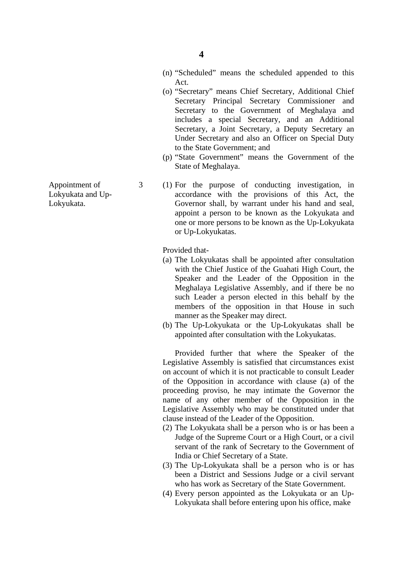- (n) "Scheduled" means the scheduled appended to this Act.
- (o) "Secretary" means Chief Secretary, Additional Chief Secretary Principal Secretary Commissioner and Secretary to the Government of Meghalaya and includes a special Secretary, and an Additional Secretary, a Joint Secretary, a Deputy Secretary an Under Secretary and also an Officer on Special Duty to the State Government; and
- (p) "State Government" means the Government of the State of Meghalaya.
- Appointment of 3 (1) For the purpose of conducting investigation, in Lokyukata and Up- accordance with the provisions of this Act, the Lokyukata. Governor shall, by warrant under his hand and seal, appoint a person to be known as the Lokyukata and one or more persons to be known as the Up-Lokyukata or Up-Lokyukatas.

Provided that-

- (a) The Lokyukatas shall be appointed after consultation with the Chief Justice of the Guahati High Court, the Speaker and the Leader of the Opposition in the Meghalaya Legislative Assembly, and if there be no such Leader a person elected in this behalf by the members of the opposition in that House in such manner as the Speaker may direct.
- (b) The Up-Lokyukata or the Up-Lokyukatas shall be appointed after consultation with the Lokyukatas.

 Provided further that where the Speaker of the Legislative Assembly is satisfied that circumstances exist on account of which it is not practicable to consult Leader of the Opposition in accordance with clause (a) of the proceeding proviso, he may intimate the Governor the name of any other member of the Opposition in the Legislative Assembly who may be constituted under that clause instead of the Leader of the Opposition.

- (2) The Lokyukata shall be a person who is or has been a Judge of the Supreme Court or a High Court, or a civil servant of the rank of Secretary to the Government of India or Chief Secretary of a State.
- (3) The Up-Lokyukata shall be a person who is or has been a District and Sessions Judge or a civil servant who has work as Secretary of the State Government.
- (4) Every person appointed as the Lokyukata or an Up-Lokyukata shall before entering upon his office, make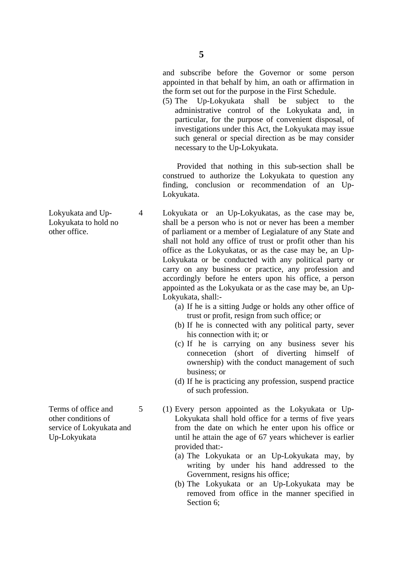and subscribe before the Governor or some person appointed in that behalf by him, an oath or affirmation in the form set out for the purpose in the First Schedule.

 (5) The Up-Lokyukata shall be subject to the administrative control of the Lokyukata and, in particular, for the purpose of convenient disposal, of investigations under this Act, the Lokyukata may issue such general or special direction as be may consider necessary to the Up-Lokyukata.

 Provided that nothing in this sub-section shall be construed to authorize the Lokyukata to question any finding, conclusion or recommendation of an Up- Lokyukata.

Lokyukata and Up-<br>
4 Lokyukata or an Up-Lokyukatas, as the case may be, Lokyukata to hold no shall be a person who is not or never has been a member other office. of parliament or a member of Legialature of any State and shall not hold any office of trust or profit other than his office as the Lokyukatas, or as the case may be, an Up-Lokyukata or be conducted with any political party or carry on any business or practice, any profession and accordingly before he enters upon his office, a person appointed as the Lokyukata or as the case may be, an Up-Lokyukata, shall:-

- (a) If he is a sitting Judge or holds any other office of trust or profit, resign from such office; or
- (b) If he is connected with any political party, sever his connection with it; or
- (c) If he is carrying on any business sever his connecetion (short of diverting himself of ownership) with the conduct management of such business; or
- (d) If he is practicing any profession, suspend practice of such profession.
- Terms of office and  $5$  (1) Every person appointed as the Lokyukata or Upother conditions of Lokyukata shall hold office for a terms of five years service of Lokyukata and from the date on which he enter upon his office or Up-Lokyukata until he attain the age of 67 years whichever is earlier provided that:-
	- (a) The Lokyukata or an Up-Lokyukata may, by writing by under his hand addressed to the Government, resigns his office;
	- (b) The Lokyukata or an Up-Lokyukata may be removed from office in the manner specified in Section 6;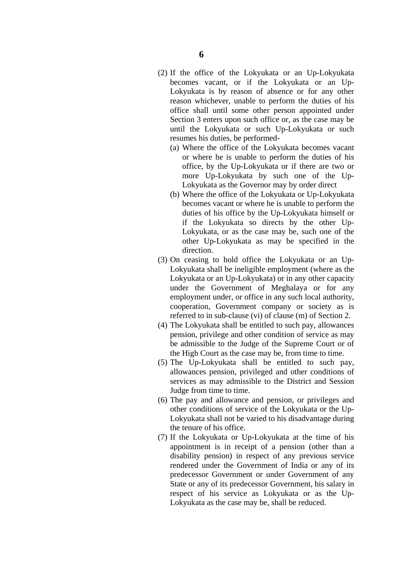- (2) If the office of the Lokyukata or an Up-Lokyukata becomes vacant, or if the Lokyukata or an Up-Lokyukata is by reason of absence or for any other reason whichever, unable to perform the duties of his office shall until some other person appointed under Section 3 enters upon such office or, as the case may be until the Lokyukata or such Up-Lokyukata or such resumes his duties, be performed-
	- (a) Where the office of the Lokyukata becomes vacant or where he is unable to perform the duties of his office, by the Up-Lokyukata or if there are two or more Up-Lokyukata by such one of the Up-Lokyukata as the Governor may by order direct
	- (b) Where the office of the Lokyukata or Up-Lokyukata becomes vacant or where he is unable to perform the duties of his office by the Up-Lokyukata himself or if the Lokyukata so directs by the other Up-Lokyukata, or as the case may be, such one of the other Up-Lokyukata as may be specified in the direction.
- (3) On ceasing to hold office the Lokyukata or an Up-Lokyukata shall be ineligible employment (where as the Lokyukata or an Up-Lokyukata) or in any other capacity under the Government of Meghalaya or for any employment under, or office in any such local authority, cooperation, Government company or society as is referred to in sub-clause (vi) of clause (m) of Section 2.
- (4) The Lokyukata shall be entitled to such pay, allowances pension, privilege and other condition of service as may be admissible to the Judge of the Supreme Court or of the High Court as the case may be, from time to time.
- (5) The Up-Lokyukata shall be entitled to such pay, allowances pension, privileged and other conditions of services as may admissible to the District and Session Judge from time to time.
- (6) The pay and allowance and pension, or privileges and other conditions of service of the Lokyukata or the Up-Lokyukata shall not be varied to his disadvantage during the tenure of his office.
- (7) If the Lokyukata or Up-Lokyukata at the time of his appointment is in receipt of a pension (other than a disability pension) in respect of any previous service rendered under the Government of India or any of its predecessor Government or under Government of any State or any of its predecessor Government, his salary in respect of his service as Lokyukata or as the Up-Lokyukata as the case may be, shall be reduced.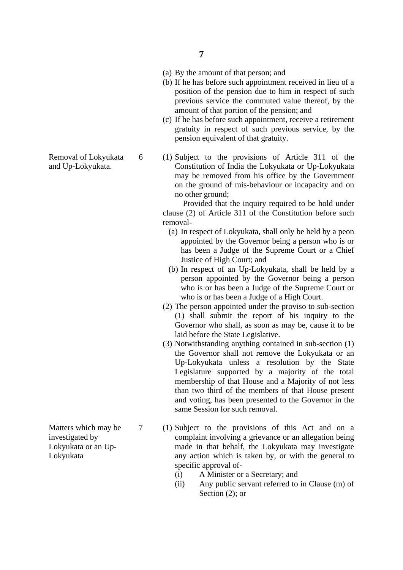- **7**
- (a) By the amount of that person; and
- (b) If he has before such appointment received in lieu of a position of the pension due to him in respect of such previous service the commuted value thereof, by the amount of that portion of the pension; and
- (c) If he has before such appointment, receive a retirement gratuity in respect of such previous service, by the pension equivalent of that gratuity.
- Removal of Lokyukata 6 (1) Subject to the provisions of Article 311 of the and Up-Lokyukata. Constitution of India the Lokyukata or Up-Lokyukata may be removed from his office by the Government on the ground of mis-behaviour or incapacity and on no other ground;

 Provided that the inquiry required to be hold under clause (2) of Article 311 of the Constitution before such removal-

- (a) In respect of Lokyukata, shall only be held by a peon appointed by the Governor being a person who is or has been a Judge of the Supreme Court or a Chief Justice of High Court; and
- (b) In respect of an Up-Lokyukata, shall be held by a person appointed by the Governor being a person who is or has been a Judge of the Supreme Court or who is or has been a Judge of a High Court.
- (2) The person appointed under the proviso to sub-section (1) shall submit the report of his inquiry to the Governor who shall, as soon as may be, cause it to be laid before the State Legislative.
- (3) Notwithstanding anything contained in sub-section (1) the Governor shall not remove the Lokyukata or an Up-Lokyukata unless a resolution by the State Legislature supported by a majority of the total membership of that House and a Majority of not less than two third of the members of that House present and voting, has been presented to the Governor in the same Session for such removal.

Matters which may be 7 (1) Subject to the provisions of this Act and on a investigated by complaint involving a grievance or an allegation being Lokyukata or an Up- made in that behalf, the Lokyukata may investigate Lokyukata any action which is taken by, or with the general to specific approval of-

- (i) A Minister or a Secretary; and
- (ii) Any public servant referred to in Clause (m) of Section (2); or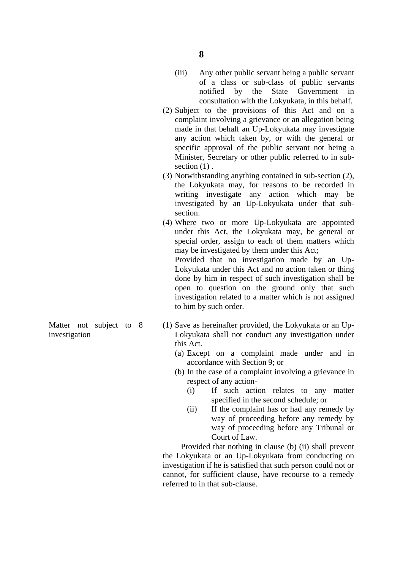- (iii) Any other public servant being a public servant of a class or sub-class of public servants notified by the State Government in consultation with the Lokyukata, in this behalf.
- (2) Subject to the provisions of this Act and on a complaint involving a grievance or an allegation being made in that behalf an Up-Lokyukata may investigate any action which taken by, or with the general or specific approval of the public servant not being a Minister, Secretary or other public referred to in sub section  $(1)$ .
- (3) Notwithstanding anything contained in sub-section (2), the Lokyukata may, for reasons to be recorded in writing investigate any action which may be investigated by an Up-Lokyukata under that subsection.
- (4) Where two or more Up-Lokyukata are appointed under this Act, the Lokyukata may, be general or special order, assign to each of them matters which may be investigated by them under this Act;

Provided that no investigation made by an Up- Lokyukata under this Act and no action taken or thing done by him in respect of such investigation shall be open to question on the ground only that such investigation related to a matter which is not assigned to him by such order.

- Matter not subject to 8 (1) Save as hereinafter provided, the Lokyukata or an Upinvestigation Lokyukata shall not conduct any investigation under this Act.
	- (a) Except on a complaint made under and in accordance with Section 9; or
	- (b) In the case of a complaint involving a grievance in respect of any action-
		- (i) If such action relates to any matter specified in the second schedule; or
		- (ii) If the complaint has or had any remedy by way of proceeding before any remedy by way of proceeding before any Tribunal or Court of Law.

 Provided that nothing in clause (b) (ii) shall prevent the Lokyukata or an Up-Lokyukata from conducting on investigation if he is satisfied that such person could not or cannot, for sufficient clause, have recourse to a remedy referred to in that sub-clause.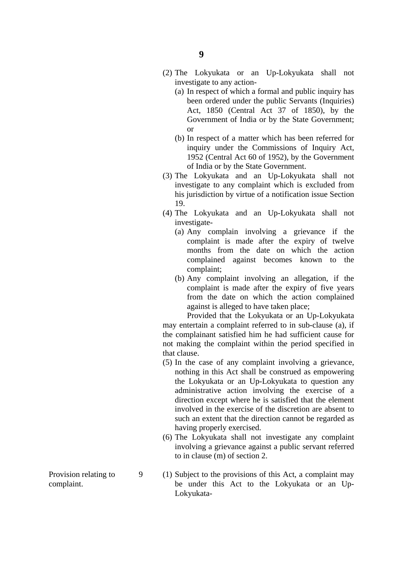- (2) The Lokyukata or an Up-Lokyukata shall not investigate to any action-
	- (a) In respect of which a formal and public inquiry has been ordered under the public Servants (Inquiries) Act, 1850 (Central Act 37 of 1850), by the Government of India or by the State Government; or
	- (b) In respect of a matter which has been referred for inquiry under the Commissions of Inquiry Act, 1952 (Central Act 60 of 1952), by the Government of India or by the State Government.
- (3) The Lokyukata and an Up-Lokyukata shall not investigate to any complaint which is excluded from his jurisdiction by virtue of a notification issue Section 19.
- (4) The Lokyukata and an Up-Lokyukata shall not investigate-
	- (a) Any complain involving a grievance if the complaint is made after the expiry of twelve months from the date on which the action complained against becomes known to the complaint;
	- (b) Any complaint involving an allegation, if the complaint is made after the expiry of five years from the date on which the action complained against is alleged to have taken place;

 Provided that the Lokyukata or an Up-Lokyukata may entertain a complaint referred to in sub-clause (a), if the complainant satisfied him he had sufficient cause for not making the complaint within the period specified in that clause.

- (5) In the case of any complaint involving a grievance, nothing in this Act shall be construed as empowering the Lokyukata or an Up-Lokyukata to question any administrative action involving the exercise of a direction except where he is satisfied that the element involved in the exercise of the discretion are absent to such an extent that the direction cannot be regarded as having properly exercised.
- (6) The Lokyukata shall not investigate any complaint involving a grievance against a public servant referred to in clause (m) of section 2.
- Provision relating to 9 (1) Subject to the provisions of this Act, a complaint may complaint. be under this Act to the Lokyukata or an Up-Lokyukata-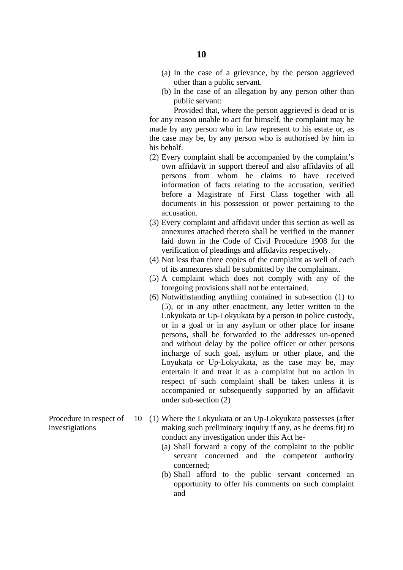- (a) In the case of a grievance, by the person aggrieved other than a public servant.
- (b) In the case of an allegation by any person other than public servant:

 Provided that, where the person aggrieved is dead or is for any reason unable to act for himself, the complaint may be made by any person who in law represent to his estate or, as the case may be, by any person who is authorised by him in his behalf.

- (2) Every complaint shall be accompanied by the complaint's own affidavit in support thereof and also affidavits of all persons from whom he claims to have received information of facts relating to the accusation, verified before a Magistrate of First Class together with all documents in his possession or power pertaining to the accusation.
- (3) Every complaint and affidavit under this section as well as annexures attached thereto shall be verified in the manner laid down in the Code of Civil Procedure 1908 for the verification of pleadings and affidavits respectively.
- (4) Not less than three copies of the complaint as well of each of its annexures shall be submitted by the complainant.
- (5) A complaint which does not comply with any of the foregoing provisions shall not be entertained.
- (6) Notwithstanding anything contained in sub-section (1) to (5), or in any other enactment, any letter written to the Lokyukata or Up-Lokyukata by a person in police custody, or in a goal or in any asylum or other place for insane persons, shall be forwarded to the addresses un-opened and without delay by the police officer or other persons incharge of such goal, asylum or other place, and the Loyukata or Up-Lokyukata, as the case may be, may entertain it and treat it as a complaint but no action in respect of such complaint shall be taken unless it is accompanied or subsequently supported by an affidavit under sub-section (2)
- Procedure in respect of 10 (1) Where the Lokyukata or an Up-Lokyukata possesses (after investigiations making such preliminary inquiry if any, as he deems fit) to conduct any investigation under this Act he-
	- (a) Shall forward a copy of the complaint to the public servant concerned and the competent authority concerned;
	- (b) Shall afford to the public servant concerned an opportunity to offer his comments on such complaint and
-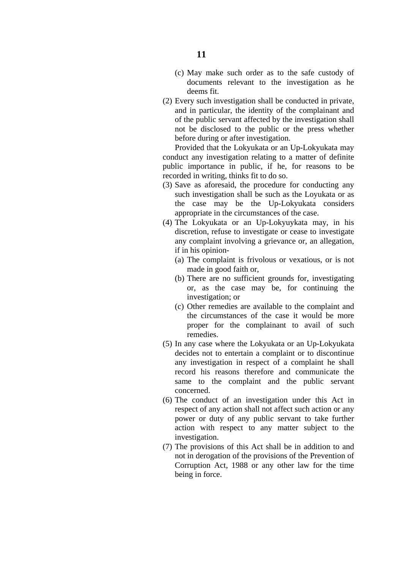- (c) May make such order as to the safe custody of documents relevant to the investigation as he deems fit.
- (2) Every such investigation shall be conducted in private, and in particular, the identity of the complainant and of the public servant affected by the investigation shall not be disclosed to the public or the press whether before during or after investigation.

 Provided that the Lokyukata or an Up-Lokyukata may conduct any investigation relating to a matter of definite public importance in public, if he, for reasons to be recorded in writing, thinks fit to do so.

- (3) Save as aforesaid, the procedure for conducting any such investigation shall be such as the Loyukata or as the case may be the Up-Lokyukata considers appropriate in the circumstances of the case.
- (4) The Lokyukata or an Up-Lokyuykata may, in his discretion, refuse to investigate or cease to investigate any complaint involving a grievance or, an allegation, if in his opinion-
	- (a) The complaint is frivolous or vexatious, or is not made in good faith or,
	- (b) There are no sufficient grounds for, investigating or, as the case may be, for continuing the investigation; or
	- (c) Other remedies are available to the complaint and the circumstances of the case it would be more proper for the complainant to avail of such remedies.
- (5) In any case where the Lokyukata or an Up-Lokyukata decides not to entertain a complaint or to discontinue any investigation in respect of a complaint he shall record his reasons therefore and communicate the same to the complaint and the public servant concerned.
- (6) The conduct of an investigation under this Act in respect of any action shall not affect such action or any power or duty of any public servant to take further action with respect to any matter subject to the investigation.
- (7) The provisions of this Act shall be in addition to and not in derogation of the provisions of the Prevention of Corruption Act, 1988 or any other law for the time being in force.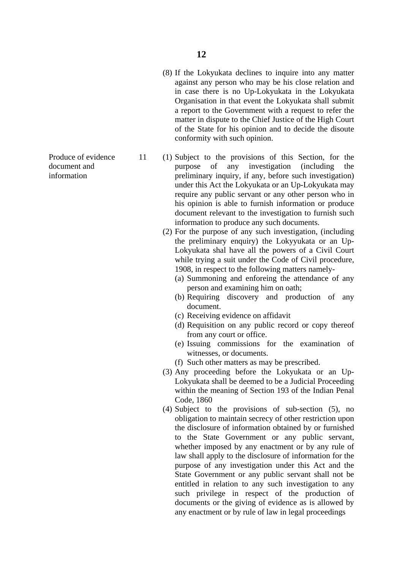- (8) If the Lokyukata declines to inquire into any matter against any person who may be his close relation and in case there is no Up-Lokyukata in the Lokyukata Organisation in that event the Lokyukata shall submit a report to the Government with a request to refer the matter in dispute to the Chief Justice of the High Court of the State for his opinion and to decide the disoute conformity with such opinion.
- Produce of evidence 11 (1) Subject to the provisions of this Section, for the document and purpose of any investigation (including the information preliminary inquiry, if any, before such investigation) under this Act the Lokyukata or an Up-Lokyukata may require any public servant or any other person who in his opinion is able to furnish information or produce document relevant to the investigation to furnish such information to produce any such documents.
	- (2) For the purpose of any such investigation, (including the preliminary enquiry) the Lokyyukata or an Up-Lokyukata shal have all the powers of a Civil Court while trying a suit under the Code of Civil procedure, 1908, in respect to the following matters namely-
		- (a) Summoning and enforeing the attendance of any person and examining him on oath;
		- (b) Requiring discovery and production of any document.
		- (c) Receiving evidence on affidavit
		- (d) Requisition on any public record or copy thereof from any court or office.
		- (e) Issuing commissions for the examination of witnesses, or documents.
		- (f) Such other matters as may be prescribed.
	- (3) Any proceeding before the Lokyukata or an Up-Lokyukata shall be deemed to be a Judicial Proceeding within the meaning of Section 193 of the Indian Penal Code, 1860
	- (4) Subject to the provisions of sub-section (5), no obligation to maintain secrecy of other restriction upon the disclosure of information obtained by or furnished to the State Government or any public servant, whether imposed by any enactment or by any rule of law shall apply to the disclosure of information for the purpose of any investigation under this Act and the State Government or any public servant shall not be entitled in relation to any such investigation to any such privilege in respect of the production of documents or the giving of evidence as is allowed by any enactment or by rule of law in legal proceedings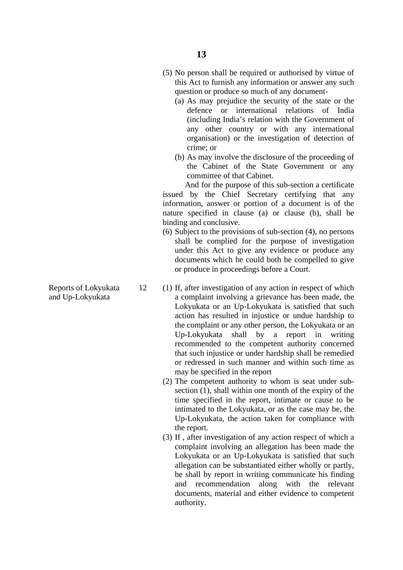- (5) No person shall be required or authorised by virtue of this Act to furnish any information or answer any such question or produce so much of any document-
	- (a) As may prejudice the security of the state or the defence or international relations of India (including India's relation with the Government of any other country or with any international organisation) or the investigation of detection of crime; or
	- (b) As may involve the disclosure of the proceeding of the Cabinet of the State Government or any committee of that Cabinet.

 And for the purpose of this sub-section a certificate issued by the Chief Secretary certifying that any information, answer or portion of a document is of the nature specified in clause (a) or clause (b), shall be binding and conclusive.

- (6) Subject to the provisions of sub-section (4), no persons shall be complied for the purpose of investigation under this Act to give any evidence or produce any documents which he could both be compelled to give or produce in proceedings before a Court.
- Reports of Lokyukata 12 (1) If, after investigation of any action in respect of which and Up-Lokyukata a complaint involving a grievance has been made, the Lokyukata or an Up-Lokyukata is satisfied that such action has resulted in injustice or undue hardship to the complaint or any other person, the Lokyukata or an Up-Lokyukata shall by a report in writing recommended to the competent authority concerned that such injustice or under hardship shall be remedied or redressed in such manner and within such time as may be specified in the report
	- (2) The competent authority to whom is seat under subsection (1), shall within one month of the expiry of the time specified in the report, intimate or cause to be intimated to the Lokyukata, or as the case may be, the Up-Lokyukata, the action taken for compliance with the report.
	- (3) If , after investigation of any action respect of which a complaint involving an allegation has been made the Lokyukata or an Up-Lokyukata is satisfied that such allegation can be substantiated either wholly or partly, be shall by report in writing communicate his finding and recommendation along with the relevant documents, material and either evidence to competent authority.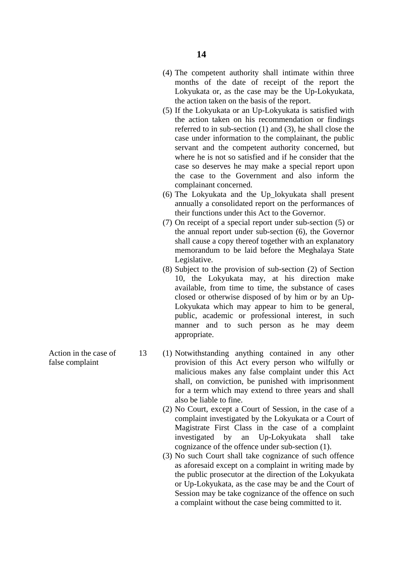- (4) The competent authority shall intimate within three months of the date of receipt of the report the Lokyukata or, as the case may be the Up-Lokyukata, the action taken on the basis of the report.
- (5) If the Lokyukata or an Up-Lokyukata is satisfied with the action taken on his recommendation or findings referred to in sub-section (1) and (3), he shall close the case under information to the complainant, the public servant and the competent authority concerned, but where he is not so satisfied and if he consider that the case so deserves he may make a special report upon the case to the Government and also inform the complainant concerned.
- (6) The Lokyukata and the Up\_lokyukata shall present annually a consolidated report on the performances of their functions under this Act to the Governor.
- (7) On receipt of a special report under sub-section (5) or the annual report under sub-section (6), the Governor shall cause a copy thereof together with an explanatory memorandum to be laid before the Meghalaya State Legislative.
- (8) Subject to the provision of sub-section (2) of Section 10, the Lokyukata may, at his direction make available, from time to time, the substance of cases closed or otherwise disposed of by him or by an Up-Lokyukata which may appear to him to be general, public, academic or professional interest, in such manner and to such person as he may deem appropriate.
- Action in the case of 13 (1) Notwithstanding anything contained in any other false complaint provision of this Act every person who wilfully or malicious makes any false complaint under this Act shall, on conviction, be punished with imprisonment for a term which may extend to three years and shall also be liable to fine.
	- (2) No Court, except a Court of Session, in the case of a complaint investigated by the Lokyukata or a Court of Magistrate First Class in the case of a complaint investigated by an Up-Lokyukata shall take cognizance of the offence under sub-section (1).
	- (3) No such Court shall take cognizance of such offence as aforesaid except on a complaint in writing made by the public prosecutor at the direction of the Lokyukata or Up-Lokyukata, as the case may be and the Court of Session may be take cognizance of the offence on such a complaint without the case being committed to it.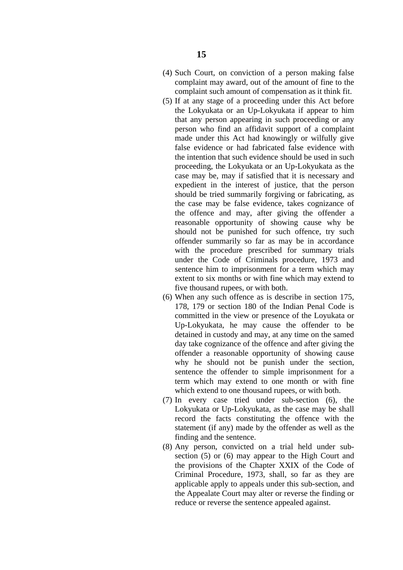- (4) Such Court, on conviction of a person making false complaint may award, out of the amount of fine to the complaint such amount of compensation as it think fit.
- (5) If at any stage of a proceeding under this Act before the Lokyukata or an Up-Lokyukata if appear to him that any person appearing in such proceeding or any person who find an affidavit support of a complaint made under this Act had knowingly or wilfully give false evidence or had fabricated false evidence with the intention that such evidence should be used in such proceeding, the Lokyukata or an Up-Lokyukata as the case may be, may if satisfied that it is necessary and expedient in the interest of justice, that the person should be tried summarily forgiving or fabricating, as the case may be false evidence, takes cognizance of the offence and may, after giving the offender a reasonable opportunity of showing cause why be should not be punished for such offence, try such offender summarily so far as may be in accordance with the procedure prescribed for summary trials under the Code of Criminals procedure, 1973 and sentence him to imprisonment for a term which may extent to six months or with fine which may extend to five thousand rupees, or with both.
- (6) When any such offence as is describe in section 175, 178, 179 or section 180 of the Indian Penal Code is committed in the view or presence of the Loyukata or Up-Lokyukata, he may cause the offender to be detained in custody and may, at any time on the samed day take cognizance of the offence and after giving the offender a reasonable opportunity of showing cause why he should not be punish under the section, sentence the offender to simple imprisonment for a term which may extend to one month or with fine which extend to one thousand rupees, or with both.
- (7) In every case tried under sub-section (6), the Lokyukata or Up-Lokyukata, as the case may be shall record the facts constituting the offence with the statement (if any) made by the offender as well as the finding and the sentence.
- (8) Any person, convicted on a trial held under subsection (5) or (6) may appear to the High Court and the provisions of the Chapter XXIX of the Code of Criminal Procedure, 1973, shall, so far as they are applicable apply to appeals under this sub-section, and the Appealate Court may alter or reverse the finding or reduce or reverse the sentence appealed against.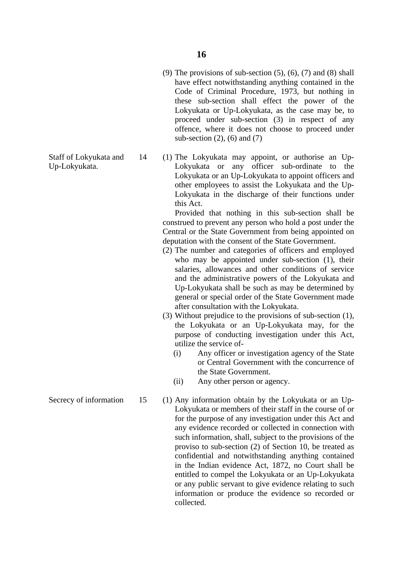- (9) The provisions of sub-section  $(5)$ ,  $(6)$ ,  $(7)$  and  $(8)$  shall have effect notwithstanding anything contained in the Code of Criminal Procedure, 1973, but nothing in these sub-section shall effect the power of the Lokyukata or Up-Lokyukata, as the case may be, to proceed under sub-section (3) in respect of any offence, where it does not choose to proceed under sub-section  $(2)$ ,  $(6)$  and  $(7)$
- Staff of Lokyukata and 14 (1) The Lokyukata may appoint, or authorise an Up-Up-Lokyukata. Lokyukata or any officer sub-ordinate to the Lokyukata or an Up-Lokyukata to appoint officers and other employees to assist the Lokyukata and the Up-Lokyukata in the discharge of their functions under this Act.

 Provided that nothing in this sub-section shall be construed to prevent any person who hold a post under the Central or the State Government from being appointed on deputation with the consent of the State Government.

- (2) The number and categories of officers and employed who may be appointed under sub-section (1), their salaries, allowances and other conditions of service and the administrative powers of the Lokyukata and Up-Lokyukata shall be such as may be determined by general or special order of the State Government made after consultation with the Lokyukata.
- (3) Without prejudice to the provisions of sub-section (1), the Lokyukata or an Up-Lokyukata may, for the purpose of conducting investigation under this Act, utilize the service of-
	- (i) Any officer or investigation agency of the State or Central Government with the concurrence of the State Government.
	- (ii) Any other person or agency.
- Secrecy of information 15 (1) Any information obtain by the Lokyukata or an Up-Lokyukata or members of their staff in the course of or for the purpose of any investigation under this Act and any evidence recorded or collected in connection with such information, shall, subject to the provisions of the proviso to sub-section (2) of Section 10, be treated as confidential and notwithstanding anything contained in the Indian evidence Act, 1872, no Court shall be entitled to compel the Lokyukata or an Up-Lokyukata or any public servant to give evidence relating to such information or produce the evidence so recorded or collected.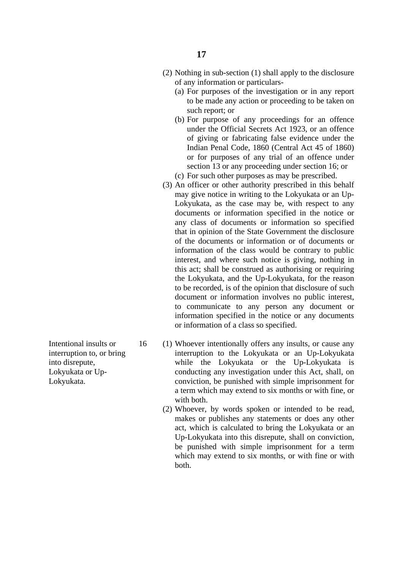- (2) Nothing in sub-section (1) shall apply to the disclosure of any information or particulars-
	- (a) For purposes of the investigation or in any report to be made any action or proceeding to be taken on such report; or
	- (b) For purpose of any proceedings for an offence under the Official Secrets Act 1923, or an offence of giving or fabricating false evidence under the Indian Penal Code, 1860 (Central Act 45 of 1860) or for purposes of any trial of an offence under section 13 or any proceeding under section 16; or
	- (c) For such other purposes as may be prescribed.
- (3) An officer or other authority prescribed in this behalf may give notice in writing to the Lokyukata or an Up-Lokyukata, as the case may be, with respect to any documents or information specified in the notice or any class of documents or information so specified that in opinion of the State Government the disclosure of the documents or information or of documents or information of the class would be contrary to public interest, and where such notice is giving, nothing in this act; shall be construed as authorising or requiring the Lokyukata, and the Up-Lokyukata, for the reason to be recorded, is of the opinion that disclosure of such document or information involves no public interest, to communicate to any person any document or information specified in the notice or any documents or information of a class so specified.
- Intentional insults or 16 (1) Whoever intentionally offers any insults, or cause any interruption to, or bring interruption to the Lokyukata or an Up-Lokyukata into disrepute, while the Lokyukata or the Up-Lokyukata is Lokyukata or Up-<br>
conducting any investigation under this Act, shall, on Lokyukata. conviction, be punished with simple imprisonment for a term which may extend to six months or with fine, or with both.
	- (2) Whoever, by words spoken or intended to be read, makes or publishes any statements or does any other act, which is calculated to bring the Lokyukata or an Up-Lokyukata into this disrepute, shall on conviction, be punished with simple imprisonment for a term which may extend to six months, or with fine or with both.
-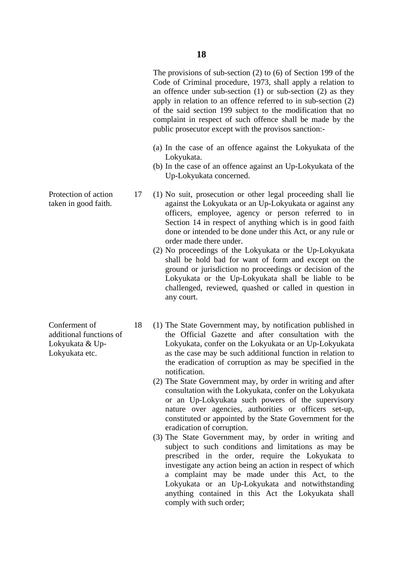The provisions of sub-section (2) to (6) of Section 199 of the Code of Criminal procedure, 1973, shall apply a relation to an offence under sub-section (1) or sub-section (2) as they apply in relation to an offence referred to in sub-section (2) of the said section 199 subject to the modification that no complaint in respect of such offence shall be made by the public prosecutor except with the provisos sanction:-

- (a) In the case of an offence against the Lokyukata of the Lokyukata.
- (b) In the case of an offence against an Up-Lokyukata of the Up-Lokyukata concerned.
- Protection of action 17 (1) No suit, prosecution or other legal proceeding shall lie taken in good faith. against the Lokyukata or an Up-Lokyukata or against any officers, employee, agency or person referred to in Section 14 in respect of anything which is in good faith done or intended to be done under this Act, or any rule or order made there under.
	- (2) No proceedings of the Lokyukata or the Up-Lokyukata shall be hold bad for want of form and except on the ground or jurisdiction no proceedings or decision of the Lokyukata or the Up-Lokyukata shall be liable to be challenged, reviewed, quashed or called in question in any court.
- Conferment of 18 (1) The State Government may, by notification published in additional functions of the Official Gazette and after consultation with the Lokyukata & Up-<br>
Lokyukata, confer on the Lokyukata or an Up-Lokyukata Lokyukata etc. as the case may be such additional function in relation to the eradication of corruption as may be specified in the notification.
	- (2) The State Government may, by order in writing and after consultation with the Lokyukata, confer on the Lokyukata or an Up-Lokyukata such powers of the supervisory nature over agencies, authorities or officers set-up, constituted or appointed by the State Government for the eradication of corruption.
	- (3) The State Government may, by order in writing and subject to such conditions and limitations as may be prescribed in the order, require the Lokyukata to investigate any action being an action in respect of which a complaint may be made under this Act, to the Lokyukata or an Up-Lokyukata and notwithstanding anything contained in this Act the Lokyukata shall comply with such order;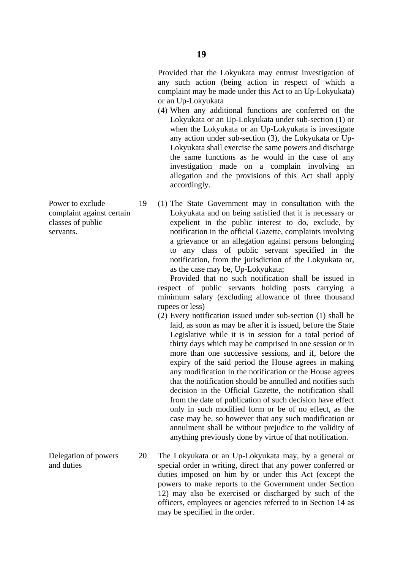- (4) When any additional functions are conferred on the Lokyukata or an Up-Lokyukata under sub-section (1) or when the Lokyukata or an Up-Lokyukata is investigate any action under sub-section (3), the Lokyukata or Up-Lokyukata shall exercise the same powers and discharge the same functions as he would in the case of any investigation made on a complain involving an allegation and the provisions of this Act shall apply accordingly.
- Power to exclude 19 (1) The State Government may in consultation with the complaint against certain Lokyukata and on being satisfied that it is necessary or classes of public expelient in the public interest to do, exclude, by servants. notification in the official Gazette, complaints involving a grievance or an allegation against persons belonging to any class of public servant specified in the notification, from the jurisdiction of the Lokyukata or, as the case may be, Up-Lokyukata;

 Provided that no such notification shall be issued in respect of public servants holding posts carrying a minimum salary (excluding allowance of three thousand rupees or less)

- (2) Every notification issued under sub-section (1) shall be laid, as soon as may be after it is issued, before the State Legislative while it is in session for a total period of thirty days which may be comprised in one session or in more than one successive sessions, and if, before the expiry of the said period the House agrees in making any modification in the notification or the House agrees that the notification should be annulled and notifies such decision in the Official Gazette, the notification shall from the date of publication of such decision have effect only in such modified form or be of no effect, as the case may be, so however that any such modification or annulment shall be without prejudice to the validity of anything previously done by virtue of that notification.
- Delegation of powers 20 The Lokyukata or an Up-Lokyukata may, by a general or and duties special order in writing, direct that any power conferred or duties imposed on him by or under this Act (except the powers to make reports to the Government under Section 12) may also be exercised or discharged by such of the officers, employees or agencies referred to in Section 14 as may be specified in the order.

- 
- 

or an Up-Lokyukata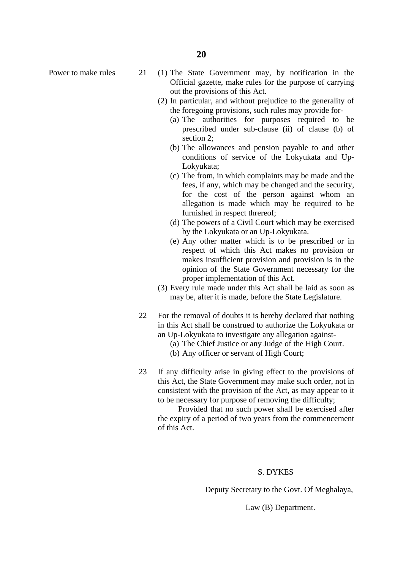**20**

- Power to make rules 21 (1) The State Government may, by notification in the Official gazette, make rules for the purpose of carrying out the provisions of this Act.
	- (2) In particular, and without prejudice to the generality of the foregoing provisions, such rules may provide for-
		- (a) The authorities for purposes required to be prescribed under sub-clause (ii) of clause (b) of section 2;
		- (b) The allowances and pension payable to and other conditions of service of the Lokyukata and Up-Lokyukata;
		- (c) The from, in which complaints may be made and the fees, if any, which may be changed and the security, for the cost of the person against whom an allegation is made which may be required to be furnished in respect threreof;
		- (d) The powers of a Civil Court which may be exercised by the Lokyukata or an Up-Lokyukata.
		- (e) Any other matter which is to be prescribed or in respect of which this Act makes no provision or makes insufficient provision and provision is in the opinion of the State Government necessary for the proper implementation of this Act.
	- (3) Every rule made under this Act shall be laid as soon as may be, after it is made, before the State Legislature.
	- 22 For the removal of doubts it is hereby declared that nothing in this Act shall be construed to authorize the Lokyukata or an Up-Lokyukata to investigate any allegation against-
		- (a) The Chief Justice or any Judge of the High Court.
		- (b) Any officer or servant of High Court;
	- 23 If any difficulty arise in giving effect to the provisions of this Act, the State Government may make such order, not in consistent with the provision of the Act, as may appear to it to be necessary for purpose of removing the difficulty;

 Provided that no such power shall be exercised after the expiry of a period of two years from the commencement of this Act.

#### S. DYKES

Deputy Secretary to the Govt. Of Meghalaya,

Law (B) Department.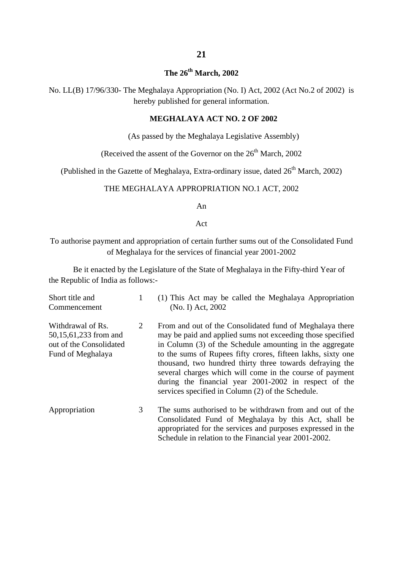## **The 26th March, 2002**

No. LL(B) 17/96/330- The Meghalaya Appropriation (No. I) Act, 2002 (Act No.2 of 2002) is hereby published for general information.

#### **MEGHALAYA ACT NO. 2 OF 2002**

(As passed by the Meghalaya Legislative Assembly)

(Received the assent of the Governor on the  $26<sup>th</sup>$  March, 2002

(Published in the Gazette of Meghalaya, Extra-ordinary issue, dated  $26<sup>th</sup>$  March, 2002)

#### THE MEGHALAYA APPROPRIATION NO.1 ACT, 2002

An

Act

To authorise payment and appropriation of certain further sums out of the Consolidated Fund of Meghalaya for the services of financial year 2001-2002

Be it enacted by the Legislature of the State of Meghalaya in the Fifty-third Year of the Republic of India as follows:-

| Short title and<br>Commencement                                                            | 1 | (1) This Act may be called the Meghalaya Appropriation<br>(No. I) Act, 2002                                                                                                                                                                                                                                                                                                                                                                                                              |
|--------------------------------------------------------------------------------------------|---|------------------------------------------------------------------------------------------------------------------------------------------------------------------------------------------------------------------------------------------------------------------------------------------------------------------------------------------------------------------------------------------------------------------------------------------------------------------------------------------|
| Withdrawal of Rs.<br>50,15,61,233 from and<br>out of the Consolidated<br>Fund of Meghalaya | 2 | From and out of the Consolidated fund of Meghalaya there<br>may be paid and applied sums not exceeding those specified<br>in Column (3) of the Schedule amounting in the aggregate<br>to the sums of Rupees fifty crores, fifteen lakhs, sixty one<br>thousand, two hundred thirty three towards defraying the<br>several charges which will come in the course of payment<br>during the financial year 2001-2002 in respect of the<br>services specified in Column (2) of the Schedule. |
| Appropriation                                                                              | 3 | The sums authorised to be withdrawn from and out of the<br>Consolidated Fund of Meghalaya by this Act, shall be<br>appropriated for the services and purposes expressed in the<br>Schedule in relation to the Financial year 2001-2002.                                                                                                                                                                                                                                                  |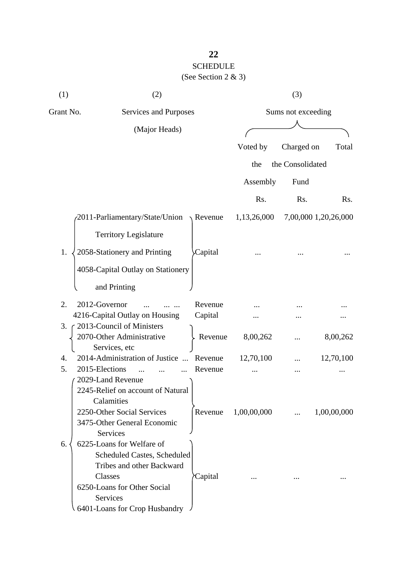## **22** SCHEDULE (See Section 2 & 3)

| (1)       | (2)                                                                                                                                                                          |                  |             | (3)                |                      |
|-----------|------------------------------------------------------------------------------------------------------------------------------------------------------------------------------|------------------|-------------|--------------------|----------------------|
| Grant No. | Services and Purposes                                                                                                                                                        |                  |             | Sums not exceeding |                      |
|           | (Major Heads)                                                                                                                                                                |                  |             |                    |                      |
|           |                                                                                                                                                                              |                  | Voted by    | Charged on         | Total                |
|           |                                                                                                                                                                              |                  | the         | the Consolidated   |                      |
|           |                                                                                                                                                                              |                  | Assembly    | Fund               |                      |
|           |                                                                                                                                                                              |                  | Rs.         | Rs.                | Rs.                  |
|           | 2011-Parliamentary/State/Union                                                                                                                                               | $\sqrt{$ Revenue | 1,13,26,000 |                    | 7,00,000 1,20,26,000 |
|           | <b>Territory Legislature</b>                                                                                                                                                 |                  |             |                    |                      |
| 1.        | 2058-Stationery and Printing                                                                                                                                                 | Capital          |             |                    |                      |
|           | 4058-Capital Outlay on Stationery                                                                                                                                            |                  |             |                    |                      |
|           | and Printing                                                                                                                                                                 |                  |             |                    |                      |
| 2.        | 2012-Governor                                                                                                                                                                | Revenue          |             |                    |                      |
|           | 4216-Capital Outlay on Housing                                                                                                                                               | Capital          |             |                    |                      |
| 3.        | 2013-Council of Ministers                                                                                                                                                    |                  |             |                    |                      |
|           | 2070-Other Administrative<br>Services, etc                                                                                                                                   | Revenue          | 8,00,262    |                    | 8,00,262             |
| 4.        | 2014-Administration of Justice<br>$\dddotsc$                                                                                                                                 | Revenue          | 12,70,100   |                    | 12,70,100            |
| 5.        | 2015-Elections                                                                                                                                                               | Revenue          |             |                    |                      |
|           | 2029-Land Revenue<br>2245-Relief on account of Natural<br>Calamities<br>2250-Other Social Services<br>3475-Other General Economic<br>Services                                | Revenue          | 1,00,00,000 | $\cdots$           | 1,00,00,000          |
| 6.        | 6225-Loans for Welfare of<br>Scheduled Castes, Scheduled<br>Tribes and other Backward<br>Classes<br>6250-Loans for Other Social<br>Services<br>6401-Loans for Crop Husbandry | Capital          |             |                    |                      |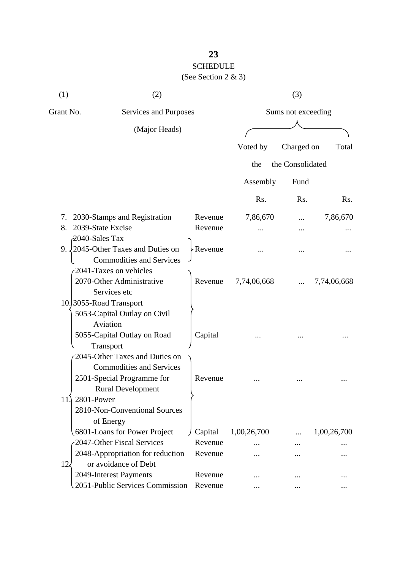## **23**  SCHEDULE

## (See Section 2 & 3)

| (1)         | (2)                                                       |                    |             | (3)                |             |  |
|-------------|-----------------------------------------------------------|--------------------|-------------|--------------------|-------------|--|
|             | Grant No.<br><b>Services and Purposes</b>                 |                    |             | Sums not exceeding |             |  |
|             | (Major Heads)                                             |                    |             |                    |             |  |
|             |                                                           |                    | Voted by    | Charged on         | Total       |  |
|             |                                                           |                    | the         | the Consolidated   |             |  |
|             |                                                           |                    |             |                    |             |  |
|             |                                                           |                    | Assembly    | Fund               |             |  |
|             |                                                           |                    | Rs.         | Rs.                | Rs.         |  |
| 7.          | 2030-Stamps and Registration                              | Revenue            | 7,86,670    |                    | 7,86,670    |  |
| 8.          | 2039-State Excise                                         | Revenue            |             |                    |             |  |
|             | 2040-Sales Tax                                            |                    |             |                    |             |  |
|             | 9. 2045-Other Taxes and Duties on                         | > Revenue          |             |                    |             |  |
|             | <b>Commodities and Services</b>                           |                    |             |                    |             |  |
|             | 2041-Taxes on vehicles                                    |                    |             |                    |             |  |
|             | 2070-Other Administrative                                 | Revenue            | 7,74,06,668 |                    | 7,74,06,668 |  |
|             | Services etc                                              |                    |             |                    |             |  |
|             | 10.3055-Road Transport                                    |                    |             |                    |             |  |
|             | 5053-Capital Outlay on Civil<br>Aviation                  |                    |             |                    |             |  |
|             | 5055-Capital Outlay on Road                               | Capital            |             |                    |             |  |
|             | Transport                                                 |                    |             |                    |             |  |
|             | 2045-Other Taxes and Duties on                            |                    |             |                    |             |  |
|             | <b>Commodities and Services</b>                           |                    |             |                    |             |  |
|             | 2501-Special Programme for                                | Revenue            |             |                    |             |  |
|             | <b>Rural Development</b>                                  |                    |             |                    |             |  |
| 11.         | 2801-Power                                                |                    |             |                    |             |  |
|             | 2810-Non-Conventional Sources                             |                    |             |                    |             |  |
|             | of Energy                                                 |                    |             |                    |             |  |
|             | 6801-Loans for Power Project                              | Capital            | 1,00,26,700 |                    | 1,00,26,700 |  |
|             | 2047-Other Fiscal Services                                | Revenue            |             |                    |             |  |
|             | 2048-Appropriation for reduction                          | Revenue            |             |                    |             |  |
| $12\lambda$ | or avoidance of Debt                                      |                    |             |                    |             |  |
|             | 2049-Interest Payments<br>2051-Public Services Commission | Revenue<br>Revenue |             |                    |             |  |
|             |                                                           |                    |             |                    |             |  |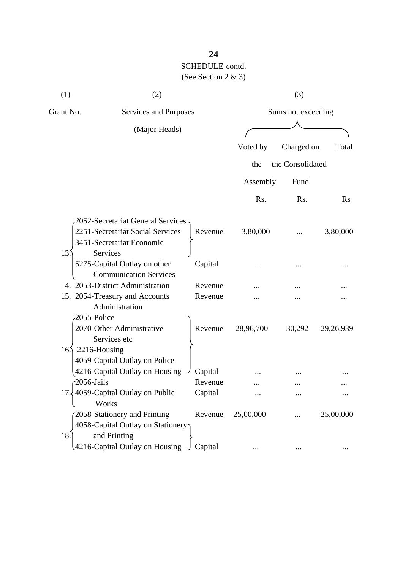| (1)             | (2)                                                               |         |                    | (3)              |           |
|-----------------|-------------------------------------------------------------------|---------|--------------------|------------------|-----------|
| Grant No.       | Services and Purposes                                             |         | Sums not exceeding |                  |           |
|                 | (Major Heads)                                                     |         |                    |                  |           |
|                 |                                                                   |         | Voted by           | Charged on       | Total     |
|                 |                                                                   |         | the                | the Consolidated |           |
|                 |                                                                   |         | Assembly           | Fund             |           |
|                 |                                                                   |         | Rs.                | Rs.              | $\rm Rs$  |
|                 | -2052-Secretariat General Services                                |         |                    |                  |           |
|                 | 2251-Secretariat Social Services                                  | Revenue | 3,80,000           |                  | 3,80,000  |
|                 | 3451-Secretariat Economic                                         |         |                    |                  |           |
| 13.5            | Services                                                          |         |                    |                  |           |
|                 | 5275-Capital Outlay on other                                      | Capital |                    |                  |           |
|                 | <b>Communication Services</b><br>14. 2053-District Administration | Revenue |                    |                  |           |
|                 | 15. 2054-Treasury and Accounts                                    | Revenue |                    |                  |           |
|                 | Administration                                                    |         |                    |                  |           |
| 2055-Police     |                                                                   |         |                    |                  |           |
|                 | 2070-Other Administrative                                         | Revenue | 28,96,700          | 30,292           | 29,26,939 |
|                 | Services etc                                                      |         |                    |                  |           |
| 16 <sub>1</sub> | 2216-Housing                                                      |         |                    |                  |           |
|                 | 4059-Capital Outlay on Police                                     |         |                    |                  |           |
|                 | 4216-Capital Outlay on Housing                                    | Capital |                    |                  |           |
| $-2056$ -Jails  |                                                                   | Revenue |                    |                  |           |
|                 | 17, 4059-Capital Outlay on Public<br>Works                        | Capital |                    |                  |           |
|                 | 2058-Stationery and Printing                                      | Revenue | 25,00,000          |                  | 25,00,000 |
|                 | 4058-Capital Outlay on Stationery                                 |         |                    |                  |           |
| 18.             | and Printing                                                      |         |                    |                  |           |
|                 | 4216-Capital Outlay on Housing                                    | Capital |                    |                  |           |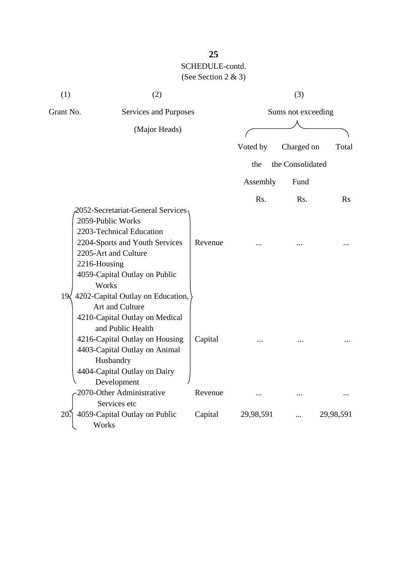| (1)                                | (2)                                                                                                                                                                                                                                        |         |                    | (3)              |           |
|------------------------------------|--------------------------------------------------------------------------------------------------------------------------------------------------------------------------------------------------------------------------------------------|---------|--------------------|------------------|-----------|
| Grant No.<br>Services and Purposes |                                                                                                                                                                                                                                            |         | Sums not exceeding |                  |           |
|                                    | (Major Heads)                                                                                                                                                                                                                              |         |                    |                  |           |
|                                    |                                                                                                                                                                                                                                            |         | Voted by           | Charged on       | Total     |
|                                    |                                                                                                                                                                                                                                            |         | the                | the Consolidated |           |
|                                    |                                                                                                                                                                                                                                            |         | Assembly           | Fund             |           |
|                                    |                                                                                                                                                                                                                                            |         | Rs.                | Rs.              | Rs        |
|                                    | 2052-Secretariat-General Services<br>2059-Public Works<br>2203-Technical Education<br>2204-Sports and Youth Services<br>2205-Art and Culture<br>2216-Housing<br>4059-Capital Outlay on Public<br>Works                                     | Revenue |                    |                  |           |
| 19 <sub>l</sub>                    | 4202-Capital Outlay on Education,<br>Art and Culture<br>4210-Capital Outlay on Medical<br>and Public Health<br>4216-Capital Outlay on Housing<br>4403-Capital Outlay on Animal<br>Husbandry<br>4404-Capital Outlay on Dairy<br>Development | Capital |                    |                  |           |
|                                    | 2070-Other Administrative                                                                                                                                                                                                                  | Revenue | .                  |                  |           |
| 20                                 | Services etc<br>4059-Capital Outlay on Public<br>Works                                                                                                                                                                                     | Capital | 29,98,591          |                  | 29,98,591 |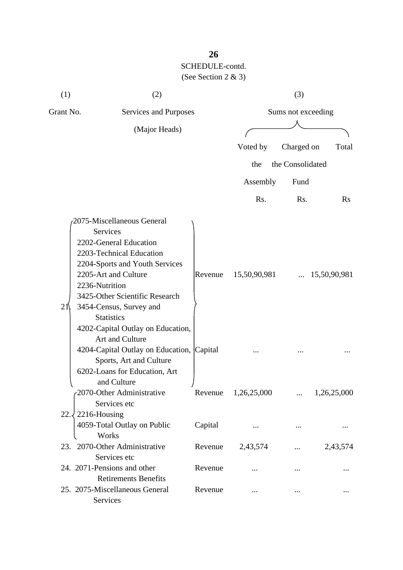| (1)       | (2)                                                                                                                                                                                                                                                                                                                                                                                                                                                                                     |                    |                             | (3)                |                                      |
|-----------|-----------------------------------------------------------------------------------------------------------------------------------------------------------------------------------------------------------------------------------------------------------------------------------------------------------------------------------------------------------------------------------------------------------------------------------------------------------------------------------------|--------------------|-----------------------------|--------------------|--------------------------------------|
| Grant No. | Services and Purposes                                                                                                                                                                                                                                                                                                                                                                                                                                                                   |                    |                             | Sums not exceeding |                                      |
|           | (Major Heads)                                                                                                                                                                                                                                                                                                                                                                                                                                                                           |                    |                             |                    |                                      |
|           |                                                                                                                                                                                                                                                                                                                                                                                                                                                                                         |                    | Voted by                    | Charged on         | Total                                |
|           |                                                                                                                                                                                                                                                                                                                                                                                                                                                                                         |                    | the                         | the Consolidated   |                                      |
|           |                                                                                                                                                                                                                                                                                                                                                                                                                                                                                         |                    | Assembly                    | Fund               |                                      |
|           |                                                                                                                                                                                                                                                                                                                                                                                                                                                                                         |                    | Rs.                         | Rs.                | Rs                                   |
| 21        | 2075-Miscellaneous General<br>Services<br>2202-General Education<br>2203-Technical Education<br>2204-Sports and Youth Services<br>2205-Art and Culture<br>2236-Nutrition<br>3425-Other Scientific Research<br>3454-Census, Survey and<br><b>Statistics</b><br>4202-Capital Outlay on Education,<br>Art and Culture<br>4204-Capital Outlay on Education, Capital<br>Sports, Art and Culture<br>6202-Loans for Education, Art<br>and Culture<br>2070-Other Administrative<br>Services etc | Revenue<br>Revenue | 15,50,90,981<br>1,26,25,000 | $\cdots$           | $\ldots$ 15,50,90,981<br>1,26,25,000 |
| 22.3      | 2216-Housing<br>4059-Total Outlay on Public<br>Works                                                                                                                                                                                                                                                                                                                                                                                                                                    | Capital            |                             |                    |                                      |
|           | 23. 2070-Other Administrative<br>Services etc                                                                                                                                                                                                                                                                                                                                                                                                                                           | Revenue            | 2,43,574                    |                    | 2,43,574                             |
|           | 24. 2071-Pensions and other<br><b>Retirements Benefits</b>                                                                                                                                                                                                                                                                                                                                                                                                                              | Revenue            |                             |                    |                                      |
|           | 25. 2075-Miscellaneous General<br>Services                                                                                                                                                                                                                                                                                                                                                                                                                                              | Revenue            |                             |                    |                                      |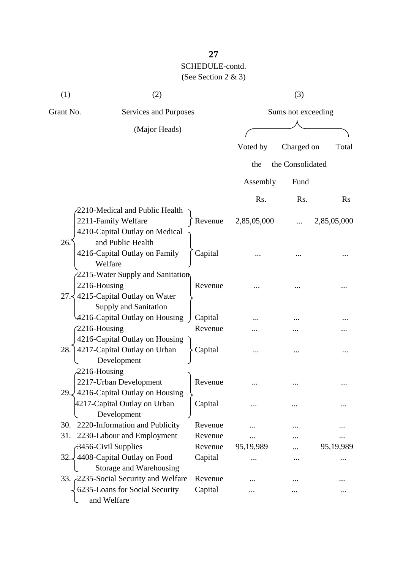| (1)              | (2)                                                                                               |                    |             | (3)                |             |
|------------------|---------------------------------------------------------------------------------------------------|--------------------|-------------|--------------------|-------------|
| Grant No.        | Services and Purposes                                                                             |                    |             | Sums not exceeding |             |
|                  | (Major Heads)                                                                                     |                    |             |                    |             |
|                  |                                                                                                   |                    | Voted by    | Charged on         | Total       |
|                  |                                                                                                   |                    | the         | the Consolidated   |             |
|                  |                                                                                                   |                    | Assembly    | Fund               |             |
|                  |                                                                                                   |                    | Rs.         | Rs.                | $\rm Rs$    |
|                  | $\lambda$ 2210-Medical and Public Health<br>2211-Family Welfare<br>4210-Capital Outlay on Medical | Revenue            | 2,85,05,000 |                    | 2,85,05,000 |
| 26.              | and Public Health<br>4216-Capital Outlay on Family<br>Welfare                                     | Capital            |             |                    |             |
| 2216-Housing     | 2215-Water Supply and Sanitation<br>27. 4215-Capital Outlay on Water                              | Revenue            |             |                    |             |
| 2216-Housing     | Supply and Sanitation<br>4216-Capital Outlay on Housing                                           | Capital<br>Revenue |             |                    |             |
| 28.              | 4216-Capital Outlay on Housing<br>4217-Capital Outlay on Urban<br>Development                     | Capital            |             |                    |             |
| $-2216$ -Housing | 2217-Urban Development<br>29. 4216-Capital Outlay on Housing                                      | Revenue            |             |                    |             |
|                  | 4217-Capital Outlay on Urban<br>Development                                                       | Capital            |             |                    |             |
| 30.              | 2220-Information and Publicity                                                                    | Revenue            |             |                    |             |
| 31.              | 2230-Labour and Employment                                                                        | Revenue            |             |                    |             |
|                  | 3456-Civil Supplies                                                                               | Revenue            | 95,19,989   |                    | 95,19,989   |
| 32.4             | 4408-Capital Outlay on Food<br>Storage and Warehousing                                            | Capital            |             |                    |             |
|                  | 33. 2235-Social Security and Welfare                                                              | Revenue            |             |                    |             |
|                  | 6235-Loans for Social Security<br>and Welfare                                                     | Capital            |             |                    |             |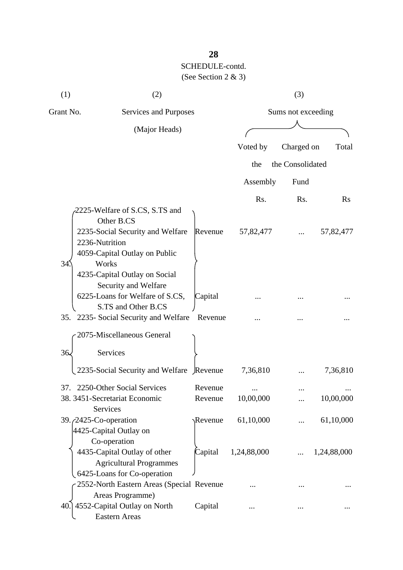| (1)<br>(2) |                                                                                                                                                                                                                                          | (3)                |                    |                  |                |  |
|------------|------------------------------------------------------------------------------------------------------------------------------------------------------------------------------------------------------------------------------------------|--------------------|--------------------|------------------|----------------|--|
| Grant No.  | Services and Purposes                                                                                                                                                                                                                    |                    | Sums not exceeding |                  |                |  |
|            | (Major Heads)                                                                                                                                                                                                                            |                    |                    |                  |                |  |
|            |                                                                                                                                                                                                                                          |                    | Voted by           | Charged on       | Total          |  |
|            |                                                                                                                                                                                                                                          |                    | the                | the Consolidated |                |  |
|            |                                                                                                                                                                                                                                          |                    |                    |                  |                |  |
|            |                                                                                                                                                                                                                                          |                    | Assembly           | Fund             |                |  |
|            |                                                                                                                                                                                                                                          |                    | Rs.                | Rs.              | $\mathbf{R}$ s |  |
| 34         | 2225-Welfare of S.CS, S.TS and<br>Other B.CS<br>2235-Social Security and Welfare<br>2236-Nutrition<br>4059-Capital Outlay on Public<br>Works<br>4235-Capital Outlay on Social<br>Security and Welfare<br>6225-Loans for Welfare of S.CS, | Revenue<br>Capital | 57,82,477          |                  | 57,82,477      |  |
|            | S.TS and Other B.CS                                                                                                                                                                                                                      |                    |                    |                  |                |  |
|            | 35. 2235- Social Security and Welfare                                                                                                                                                                                                    | Revenue            |                    |                  |                |  |
|            | 2075-Miscellaneous General                                                                                                                                                                                                               |                    |                    |                  |                |  |
| 36.        | Services                                                                                                                                                                                                                                 |                    |                    |                  |                |  |
|            | 2235-Social Security and Welfare Revenue                                                                                                                                                                                                 |                    | 7,36,810           |                  | 7,36,810       |  |
| 37.        | 2250-Other Social Services                                                                                                                                                                                                               | Revenue            |                    |                  |                |  |
|            | 38. 3451-Secretariat Economic                                                                                                                                                                                                            | Revenue            | 10,00,000          |                  | 10,00,000      |  |
|            | Services<br>39. <i>(2425-Co-operation</i> )<br>4425-Capital Outlay on                                                                                                                                                                    | Revenue            | 61,10,000          |                  | 61,10,000      |  |
|            | Co-operation<br>4435-Capital Outlay of other<br><b>Agricultural Programmes</b><br>6425-Loans for Co-operation                                                                                                                            | Capital            | 1,24,88,000        |                  | 1,24,88,000    |  |
|            | 2552-North Eastern Areas (Special Revenue                                                                                                                                                                                                |                    |                    |                  |                |  |
|            | Areas Programme)<br>40.] 4552-Capital Outlay on North<br><b>Eastern Areas</b>                                                                                                                                                            | Capital            |                    |                  |                |  |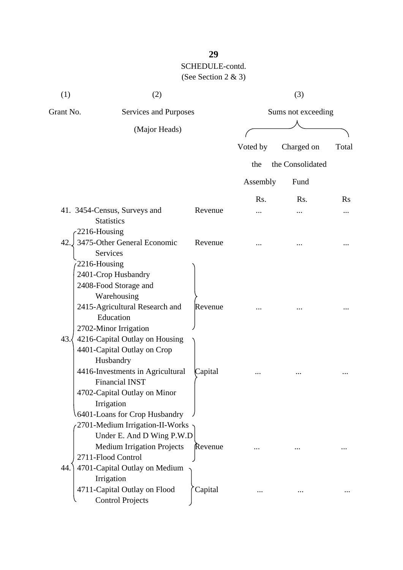| (1)<br>(2)                         |                                                                                                                                                                                                         | (3)                |          |                  |          |
|------------------------------------|---------------------------------------------------------------------------------------------------------------------------------------------------------------------------------------------------------|--------------------|----------|------------------|----------|
| Grant No.<br>Services and Purposes |                                                                                                                                                                                                         | Sums not exceeding |          |                  |          |
|                                    | (Major Heads)                                                                                                                                                                                           |                    |          |                  |          |
|                                    |                                                                                                                                                                                                         |                    | Voted by | Charged on       | Total    |
|                                    |                                                                                                                                                                                                         |                    | the      | the Consolidated |          |
|                                    |                                                                                                                                                                                                         |                    | Assembly | Fund             |          |
|                                    |                                                                                                                                                                                                         |                    | Rs.      | R <sub>s</sub> . | $\rm Rs$ |
|                                    | 41. 3454-Census, Surveys and<br><b>Statistics</b>                                                                                                                                                       | Revenue            |          |                  |          |
| 2216-Housing<br>42.                | 3475-Other General Economic<br>Services                                                                                                                                                                 | Revenue            |          |                  |          |
| 2216-Housing                       | 2401-Crop Husbandry<br>2408-Food Storage and<br>Warehousing<br>2415-Agricultural Research and<br>Education<br>2702-Minor Irrigation                                                                     | Revenue            |          |                  |          |
| 43.                                | 4216-Capital Outlay on Housing<br>4401-Capital Outlay on Crop<br>Husbandry<br>4416-Investments in Agricultural<br><b>Financial INST</b><br>4702-Capital Outlay on Minor<br>Irrigation                   | Capital            |          |                  |          |
| 44.                                | 6401-Loans for Crop Husbandry<br>2701-Medium Irrigation-II-Works<br>Under E. And D Wing P.W.D<br><b>Medium Irrigation Projects</b><br>2711-Flood Control<br>4701-Capital Outlay on Medium<br>Irrigation | Revenue            |          |                  |          |
|                                    | 4711-Capital Outlay on Flood<br><b>Control Projects</b>                                                                                                                                                 | Capital            |          |                  |          |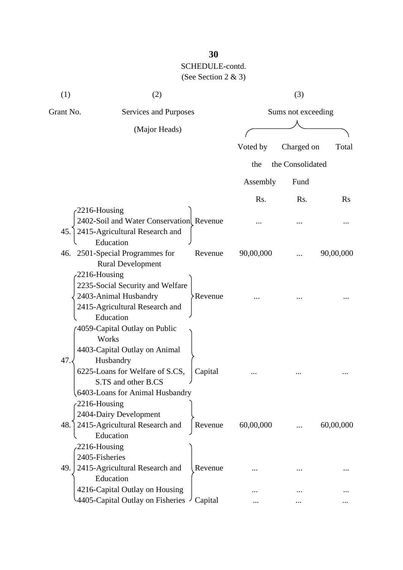| (1)            | (2)                                                         |                | (3)<br>Sums not exceeding |                  |           |  |
|----------------|-------------------------------------------------------------|----------------|---------------------------|------------------|-----------|--|
| Grant No.      | Services and Purposes                                       |                |                           |                  |           |  |
|                | (Major Heads)                                               |                |                           |                  |           |  |
|                |                                                             |                | Voted by                  | Charged on       | Total     |  |
|                |                                                             |                | the                       | the Consolidated |           |  |
|                |                                                             |                |                           |                  |           |  |
|                |                                                             |                | Assembly                  | Fund             |           |  |
|                |                                                             |                | Rs.                       | Rs.              | $\rm Rs$  |  |
| -2216-Housing  |                                                             |                |                           |                  |           |  |
|                | 2402-Soil and Water Conservation Revenue                    |                |                           |                  |           |  |
| 45.            | 2415-Agricultural Research and                              |                |                           |                  |           |  |
|                | Education                                                   |                |                           |                  |           |  |
|                | 46. 2501-Special Programmes for<br><b>Rural Development</b> | Revenue        | 90,00,000                 |                  | 90,00,000 |  |
| 2216-Housing   |                                                             |                |                           |                  |           |  |
|                | 2235-Social Security and Welfare                            |                |                           |                  |           |  |
|                | 2403-Animal Husbandry                                       | <b>Revenue</b> |                           |                  |           |  |
|                | 2415-Agricultural Research and                              |                |                           |                  |           |  |
|                | Education                                                   |                |                           |                  |           |  |
|                | 4059-Capital Outlay on Public                               |                |                           |                  |           |  |
|                | Works                                                       |                |                           |                  |           |  |
|                | 4403-Capital Outlay on Animal                               |                |                           |                  |           |  |
| 47.            | Husbandry                                                   |                |                           |                  |           |  |
|                | 6225-Loans for Welfare of S.CS,                             | Capital        |                           |                  |           |  |
|                | S.TS and other B.CS<br>6403-Loans for Animal Husbandry      |                |                           |                  |           |  |
| 2216-Housing   |                                                             |                |                           |                  |           |  |
|                | 2404-Dairy Development                                      |                |                           |                  |           |  |
| 48.            | 2415-Agricultural Research and                              | Revenue        | 60,00,000                 |                  | 60,00,000 |  |
|                | Education                                                   |                |                           |                  |           |  |
| 2216-Housing   |                                                             |                |                           |                  |           |  |
| 2405-Fisheries |                                                             |                |                           |                  |           |  |
| 49.            | 2415-Agricultural Research and                              | Revenue        |                           |                  |           |  |
|                | Education                                                   |                |                           |                  |           |  |
|                | 4216-Capital Outlay on Housing                              |                |                           |                  |           |  |
|                | 4405-Capital Outlay on Fisheries                            | Capital        |                           |                  |           |  |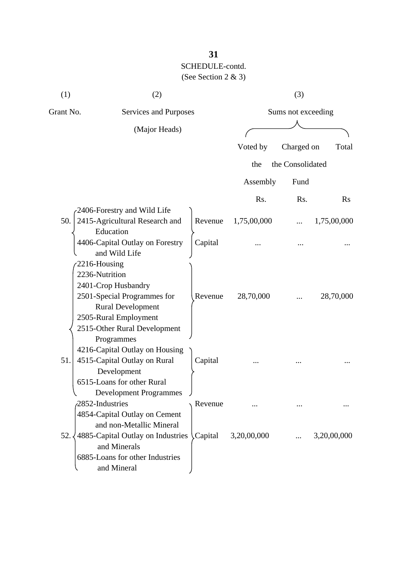| (1)       | (2)                                                                                                                                                                                     |                       |             | (3)                |             |  |  |
|-----------|-----------------------------------------------------------------------------------------------------------------------------------------------------------------------------------------|-----------------------|-------------|--------------------|-------------|--|--|
| Grant No. |                                                                                                                                                                                         | Services and Purposes |             | Sums not exceeding |             |  |  |
|           | (Major Heads)                                                                                                                                                                           |                       |             |                    |             |  |  |
|           |                                                                                                                                                                                         |                       | Voted by    | Charged on         | Total       |  |  |
|           |                                                                                                                                                                                         |                       | the         | the Consolidated   |             |  |  |
|           |                                                                                                                                                                                         |                       | Assembly    | Fund               |             |  |  |
|           |                                                                                                                                                                                         |                       | Rs.         | Rs.                | $\rm Rs$    |  |  |
| 50.       | 2406-Forestry and Wild Life<br>2415-Agricultural Research and<br>Education                                                                                                              | Revenue               | 1,75,00,000 |                    | 1,75,00,000 |  |  |
|           | 4406-Capital Outlay on Forestry<br>and Wild Life                                                                                                                                        | Capital               |             |                    |             |  |  |
|           | 2216-Housing<br>2236-Nutrition<br>2401-Crop Husbandry<br>2501-Special Programmes for<br><b>Rural Development</b><br>2505-Rural Employment<br>2515-Other Rural Development<br>Programmes | Revenue               | 28,70,000   |                    | 28,70,000   |  |  |
| 51.       | 4216-Capital Outlay on Housing<br>4515-Capital Outlay on Rural<br>Development<br>6515-Loans for other Rural<br><b>Development Programmes</b>                                            | Capital               |             |                    |             |  |  |
|           | 2852-Industries                                                                                                                                                                         | Revenue               |             |                    |             |  |  |
| 52.       | 4854-Capital Outlay on Cement<br>and non-Metallic Mineral<br>4885-Capital Outlay on Industries Capital<br>and Minerals<br>6885-Loans for other Industries<br>and Mineral                |                       | 3,20,00,000 |                    | 3,20,00,000 |  |  |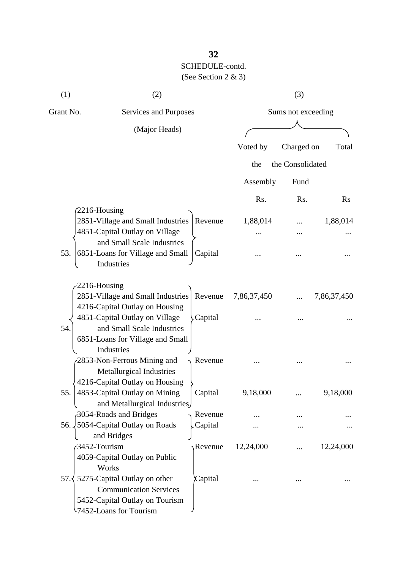| (1)           | (2)                                                           |                       | (3)         |                    |             |  |  |
|---------------|---------------------------------------------------------------|-----------------------|-------------|--------------------|-------------|--|--|
| Grant No.     |                                                               | Services and Purposes |             | Sums not exceeding |             |  |  |
|               | (Major Heads)                                                 |                       |             |                    |             |  |  |
|               |                                                               |                       |             |                    |             |  |  |
|               |                                                               |                       | Voted by    | Charged on         | Total       |  |  |
|               |                                                               |                       | the         | the Consolidated   |             |  |  |
|               |                                                               |                       | Assembly    | Fund               |             |  |  |
|               |                                                               |                       | Rs.         | Rs.                | $\rm Rs$    |  |  |
| 2216-Housing  |                                                               |                       |             |                    |             |  |  |
|               | 2851-Village and Small Industries                             | Revenue               | 1,88,014    |                    | 1,88,014    |  |  |
|               | 4851-Capital Outlay on Village                                |                       |             |                    |             |  |  |
|               | and Small Scale Industries                                    |                       |             |                    |             |  |  |
| 53.           | 6851-Loans for Village and Small<br>Industries                | Capital               |             |                    |             |  |  |
|               |                                                               |                       |             |                    |             |  |  |
| -2216-Housing |                                                               |                       |             |                    |             |  |  |
|               | 2851-Village and Small Industries                             | Revenue               | 7,86,37,450 |                    | 7,86,37,450 |  |  |
|               | 4216-Capital Outlay on Housing                                |                       |             |                    |             |  |  |
|               | 4851-Capital Outlay on Village                                | Capital               |             |                    |             |  |  |
| 54.           | and Small Scale Industries                                    |                       |             |                    |             |  |  |
|               | 6851-Loans for Village and Small                              |                       |             |                    |             |  |  |
|               | Industries                                                    |                       |             |                    |             |  |  |
|               | 2853-Non-Ferrous Mining and                                   | Revenue               |             |                    |             |  |  |
|               | <b>Metallurgical Industries</b>                               |                       |             |                    |             |  |  |
|               | 4216-Capital Outlay on Housing                                |                       |             |                    |             |  |  |
| 55.           | 4853-Capital Outlay on Mining<br>and Metallurgical Industries | Capital               | 9,18,000    |                    | 9,18,000    |  |  |
|               | 3054-Roads and Bridges                                        | Revenue               |             |                    |             |  |  |
|               | 56. 5054-Capital Outlay on Roads                              | Capital               |             |                    |             |  |  |
|               | and Bridges                                                   |                       |             |                    |             |  |  |
| 3452-Tourism  |                                                               | Revenue               | 12,24,000   |                    | 12,24,000   |  |  |
|               | 4059-Capital Outlay on Public                                 |                       |             |                    |             |  |  |
|               | Works                                                         |                       |             |                    |             |  |  |
| 57.〈          | 5275-Capital Outlay on other                                  | Capital               |             |                    |             |  |  |
|               | <b>Communication Services</b>                                 |                       |             |                    |             |  |  |
|               | 5452-Capital Outlay on Tourism                                |                       |             |                    |             |  |  |
|               | -7452-Loans for Tourism                                       |                       |             |                    |             |  |  |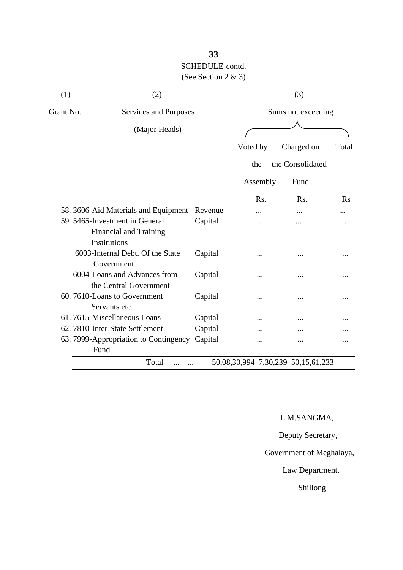| (1)                                                                      | (2)                                            |         | (3)                |                  |          |  |
|--------------------------------------------------------------------------|------------------------------------------------|---------|--------------------|------------------|----------|--|
| Grant No.                                                                | Services and Purposes<br>(Major Heads)         |         | Sums not exceeding |                  |          |  |
|                                                                          |                                                |         |                    |                  |          |  |
|                                                                          |                                                |         | Voted by           | Charged on       | Total    |  |
|                                                                          |                                                |         | the                | the Consolidated |          |  |
|                                                                          |                                                |         | Assembly           | Fund             |          |  |
|                                                                          |                                                |         | Rs.                | Rs.              | $\rm Rs$ |  |
| 58. 3606-Aid Materials and Equipment                                     |                                                | Revenue |                    |                  |          |  |
| 59. 5465-Investment in General<br>Financial and Training<br>Institutions |                                                | Capital |                    |                  |          |  |
|                                                                          | 6003-Internal Debt. Of the State<br>Government | Capital |                    |                  |          |  |
| 6004-Loans and Advances from<br>the Central Government                   |                                                | Capital |                    |                  |          |  |
| 60.7610-Loans to Government<br>Servants etc                              |                                                | Capital | .                  |                  |          |  |
| 61.7615-Miscellaneous Loans                                              |                                                | Capital | .                  |                  |          |  |
|                                                                          | 62. 7810-Inter-State Settlement                | Capital |                    |                  |          |  |
| Fund                                                                     | 63. 7999-Appropriation to Contingency          | Capital |                    |                  |          |  |

L.M.SANGMA,

Deputy Secretary,

Government of Meghalaya,

Law Department,

Shillong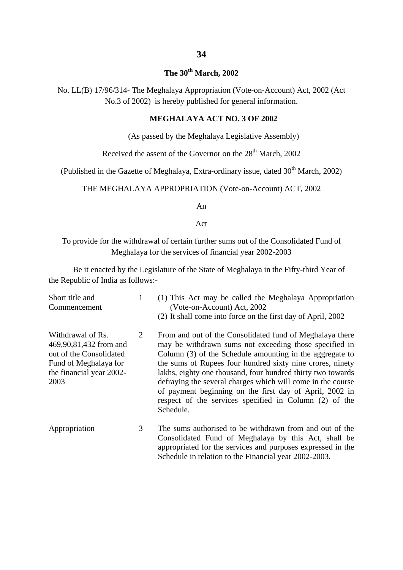#### **The 30th March, 2002**

No. LL(B) 17/96/314- The Meghalaya Appropriation (Vote-on-Account) Act, 2002 (Act No.3 of 2002) is hereby published for general information.

#### **MEGHALAYA ACT NO. 3 OF 2002**

(As passed by the Meghalaya Legislative Assembly)

Received the assent of the Governor on the 28<sup>th</sup> March, 2002

(Published in the Gazette of Meghalaya, Extra-ordinary issue, dated  $30<sup>th</sup>$  March, 2002)

THE MEGHALAYA APPROPRIATION (Vote-on-Account) ACT, 2002

An

Act

To provide for the withdrawal of certain further sums out of the Consolidated Fund of Meghalaya for the services of financial year 2002-2003

Be it enacted by the Legislature of the State of Meghalaya in the Fifty-third Year of the Republic of India as follows:-

| Short title and<br>Commencement                                                                                                     | 1 | (1) This Act may be called the Meghalaya Appropriation<br>(Vote-on-Account) Act, 2002<br>(2) It shall come into force on the first day of April, 2002                                                                                                                                                                                                                                                                                                                                                       |
|-------------------------------------------------------------------------------------------------------------------------------------|---|-------------------------------------------------------------------------------------------------------------------------------------------------------------------------------------------------------------------------------------------------------------------------------------------------------------------------------------------------------------------------------------------------------------------------------------------------------------------------------------------------------------|
| Withdrawal of Rs.<br>469,90,81,432 from and<br>out of the Consolidated<br>Fund of Meghalaya for<br>the financial year 2002-<br>2003 | 2 | From and out of the Consolidated fund of Meghalaya there<br>may be withdrawn sums not exceeding those specified in<br>Column (3) of the Schedule amounting in the aggregate to<br>the sums of Rupees four hundred sixty nine crores, ninety<br>lakhs, eighty one thousand, four hundred thirty two towards<br>defraying the several charges which will come in the course<br>of payment beginning on the first day of April, 2002 in<br>respect of the services specified in Column (2) of the<br>Schedule. |
| Appropriation                                                                                                                       | 3 | The sums authorised to be withdrawn from and out of the<br>Consolidated Fund of Meghalaya by this Act, shall be<br>appropriated for the services and purposes expressed in the                                                                                                                                                                                                                                                                                                                              |

Schedule in relation to the Financial year 2002-2003.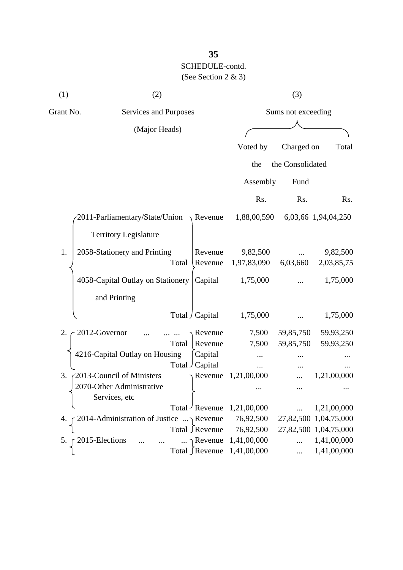| (1)       | (2)                                       |                       | (3)                |                  |                       |  |
|-----------|-------------------------------------------|-----------------------|--------------------|------------------|-----------------------|--|
| Grant No. | Services and Purposes                     |                       | Sums not exceeding |                  |                       |  |
|           | (Major Heads)                             |                       |                    |                  |                       |  |
|           |                                           |                       | Voted by           | Charged on       | Total                 |  |
|           |                                           |                       | the                | the Consolidated |                       |  |
|           |                                           |                       |                    |                  |                       |  |
|           |                                           |                       | Assembly           | Fund             |                       |  |
|           |                                           |                       | Rs.                | Rs.              | Rs.                   |  |
|           | $2011$ -Parliamentary/State/Union Revenue |                       | 1,88,00,590        |                  | 6,03,66 1,94,04,250   |  |
|           | <b>Territory Legislature</b>              |                       |                    |                  |                       |  |
| 1.        | 2058-Stationery and Printing              | Revenue               | 9,82,500           |                  | 9,82,500              |  |
|           | Total                                     | Revenue               | 1,97,83,090        | 6,03,660         | 2,03,85,75            |  |
|           | 4058-Capital Outlay on Stationery         | Capital               | 1,75,000           |                  | 1,75,000              |  |
|           | and Printing                              |                       |                    |                  |                       |  |
|           |                                           | Total / Capital       | 1,75,000           |                  | 1,75,000              |  |
| 2.        | 2012-Governor                             | Revenue               | 7,500              | 59,85,750        | 59,93,250             |  |
|           | Total                                     | Revenue               | 7,500              | 59,85,750        | 59,93,250             |  |
|           | 4216-Capital Outlay on Housing            | Capital               |                    |                  |                       |  |
|           |                                           | Total Capital         | $\cdots$           |                  |                       |  |
| 3.        | 2013-Council of Ministers                 | Revenue               | 1,21,00,000        |                  | 1,21,00,000           |  |
|           | 2070-Other Administrative                 |                       |                    |                  |                       |  |
|           | Services, etc                             |                       |                    |                  |                       |  |
|           |                                           | Total Revenue         | 1,21,00,000        |                  | 1,21,00,000           |  |
| 4.        | 2014-Administration of Justice  Revenue   |                       | 76,92,500          |                  | 27,82,500 1,04,75,000 |  |
|           |                                           | Total ∫Revenue        | 76,92,500          |                  | 27,82,500 1,04,75,000 |  |
| 5.        | 2015-Elections                            | $\ldots \cap$ Revenue | 1,41,00,000        | $\cdots$         | 1,41,00,000           |  |
|           |                                           | Total ∫Revenue        | 1,41,00,000        |                  | 1,41,00,000           |  |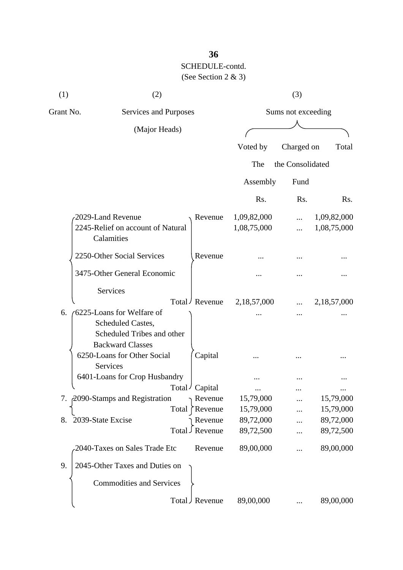| (1)       | (2)                                                                                                      |                                |                            | (3)                |                            |
|-----------|----------------------------------------------------------------------------------------------------------|--------------------------------|----------------------------|--------------------|----------------------------|
| Grant No. | Services and Purposes                                                                                    |                                |                            | Sums not exceeding |                            |
|           | (Major Heads)                                                                                            |                                |                            |                    |                            |
|           |                                                                                                          |                                | Voted by                   | Charged on         | Total                      |
|           |                                                                                                          |                                | The                        | the Consolidated   |                            |
|           |                                                                                                          |                                | Assembly                   | Fund               |                            |
|           |                                                                                                          |                                | Rs.                        | Rs.                | R <sub>s</sub> .           |
|           | 2029-Land Revenue<br>2245-Relief on account of Natural<br>Calamities                                     | Revenue                        | 1,09,82,000<br>1,08,75,000 | .<br>              | 1,09,82,000<br>1,08,75,000 |
|           | 2250-Other Social Services                                                                               | Revenue                        |                            |                    |                            |
|           | 3475-Other General Economic                                                                              |                                |                            |                    |                            |
|           | Services                                                                                                 | Total / Revenue                | 2,18,57,000                |                    | 2,18,57,000                |
| 6.        | (6225-Loans for Welfare of<br>Scheduled Castes,<br>Scheduled Tribes and other<br><b>Backward Classes</b> |                                |                            |                    |                            |
|           | 6250-Loans for Other Social<br>Services                                                                  | Capital                        |                            |                    |                            |
|           | 6401-Loans for Crop Husbandry                                                                            | Total<br>' Capital             |                            |                    |                            |
|           | 7. 2090-Stamps and Registration                                                                          | Revenue<br>Total<br>Revenue    | 15,79,000<br>15,79,000     | <br>               | 15,79,000<br>15,79,000     |
| 8.        | 2039-State Excise                                                                                        | Revenue<br>Revenue<br>لـ Total | 89,72,000<br>89,72,500     |                    | 89,72,000<br>89,72,500     |
|           | 2040-Taxes on Sales Trade Etc                                                                            | Revenue                        | 89,00,000                  |                    | 89,00,000                  |
| 9.        | 2045-Other Taxes and Duties on                                                                           |                                |                            |                    |                            |
|           | <b>Commodities and Services</b>                                                                          |                                |                            |                    |                            |
|           |                                                                                                          | Total J Revenue                | 89,00,000                  |                    | 89,00,000                  |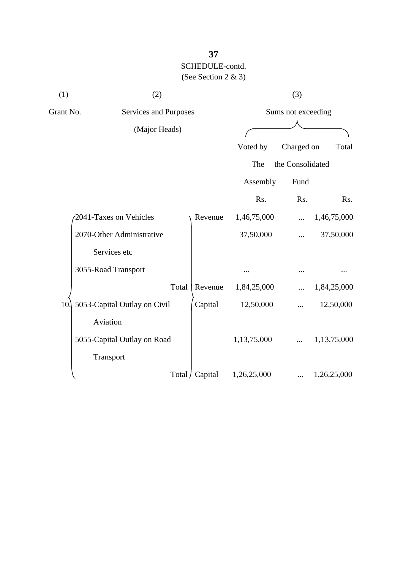| (1) | (2)                                |                 |             | (3)                |             |  |
|-----|------------------------------------|-----------------|-------------|--------------------|-------------|--|
|     | Grant No.<br>Services and Purposes |                 |             | Sums not exceeding |             |  |
|     | (Major Heads)                      |                 |             |                    |             |  |
|     |                                    |                 | Voted by    | Charged on         | Total       |  |
|     |                                    |                 | The         | the Consolidated   |             |  |
|     |                                    |                 | Assembly    | Fund               |             |  |
|     |                                    |                 | Rs.         | Rs.                | Rs.         |  |
|     | 2041-Taxes on Vehicles             | Revenue         | 1,46,75,000 |                    | 1,46,75,000 |  |
|     | 2070-Other Administrative          |                 | 37,50,000   |                    | 37,50,000   |  |
|     | Services etc                       |                 |             |                    |             |  |
|     | 3055-Road Transport                |                 |             |                    |             |  |
|     | Total                              | Revenue         | 1,84,25,000 |                    | 1,84,25,000 |  |
| 10. | 5053-Capital Outlay on Civil       | Capital         | 12,50,000   |                    | 12,50,000   |  |
|     | Aviation                           |                 |             |                    |             |  |
|     | 5055-Capital Outlay on Road        |                 | 1,13,75,000 |                    | 1,13,75,000 |  |
|     | Transport                          |                 |             |                    |             |  |
|     |                                    | Total / Capital | 1,26,25,000 | .                  | 1,26,25,000 |  |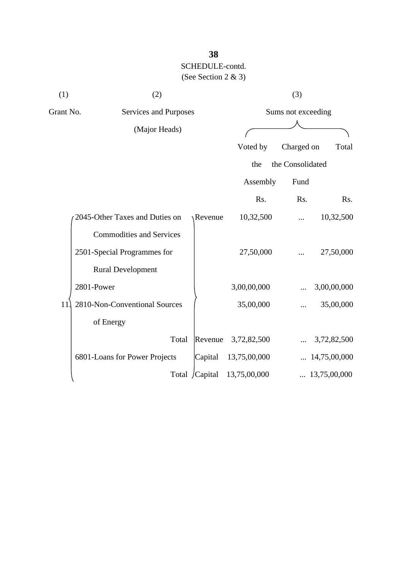| (1)       | (2)                             |                |              | (3)                |                       |
|-----------|---------------------------------|----------------|--------------|--------------------|-----------------------|
| Grant No. | Services and Purposes           |                |              | Sums not exceeding |                       |
|           | (Major Heads)                   |                |              |                    |                       |
|           |                                 |                | Voted by     | Charged on         | Total                 |
|           |                                 |                | the          | the Consolidated   |                       |
|           |                                 |                | Assembly     | Fund               |                       |
|           |                                 |                | Rs.          | Rs.                | Rs.                   |
|           | 2045-Other Taxes and Duties on  | <b>Revenue</b> | 10,32,500    |                    | 10,32,500             |
|           | <b>Commodities and Services</b> |                |              |                    |                       |
|           | 2501-Special Programmes for     |                | 27,50,000    |                    | 27,50,000             |
|           | <b>Rural Development</b>        |                |              |                    |                       |
|           | 2801-Power                      |                | 3,00,00,000  |                    | 3,00,00,000           |
| 11        | 2810-Non-Conventional Sources   |                | 35,00,000    |                    | 35,00,000             |
|           | of Energy                       |                |              |                    |                       |
|           | Total                           | Revenue        | 3,72,82,500  |                    | 3,72,82,500           |
|           | 6801-Loans for Power Projects   | Capital        | 13,75,00,000 |                    | $\ldots$ 14,75,00,000 |
|           |                                 | Total /Capital | 13,75,00,000 |                    | $\ldots$ 13,75,00,000 |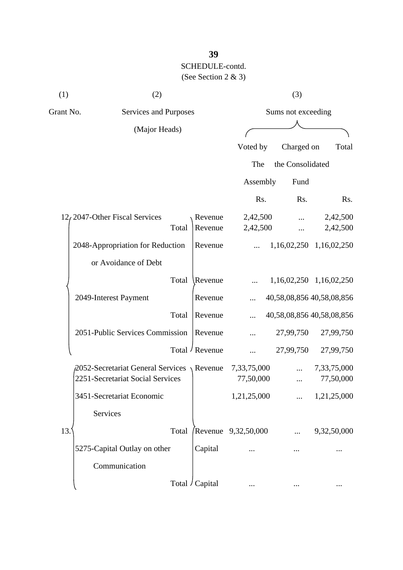| (1)                                | (2)                                                      |                 |                     | (3)                |                           |  |
|------------------------------------|----------------------------------------------------------|-----------------|---------------------|--------------------|---------------------------|--|
| Grant No.<br>Services and Purposes |                                                          |                 |                     | Sums not exceeding |                           |  |
|                                    | (Major Heads)                                            |                 |                     |                    |                           |  |
|                                    |                                                          |                 | Voted by            | Charged on         | Total                     |  |
|                                    |                                                          |                 | The                 | the Consolidated   |                           |  |
|                                    |                                                          |                 | Assembly            | Fund               |                           |  |
|                                    |                                                          |                 | Rs.                 | Rs.                | R <sub>s</sub> .          |  |
|                                    | 12, 2047-Other Fiscal Services                           | Revenue         | 2,42,500            |                    | 2,42,500                  |  |
|                                    | Total                                                    | Revenue         | 2,42,500            |                    | 2,42,500                  |  |
|                                    | 2048-Appropriation for Reduction                         | Revenue         |                     |                    | 1,16,02,250 1,16,02,250   |  |
|                                    | or Avoidance of Debt                                     |                 |                     |                    |                           |  |
|                                    | Total                                                    | Revenue         |                     |                    | 1,16,02,250 1,16,02,250   |  |
|                                    | 2049-Interest Payment                                    | Revenue         | $\cdots$            |                    | 40,58,08,856 40,58,08,856 |  |
|                                    | Total                                                    | Revenue         |                     |                    | 40,58,08,856 40,58,08,856 |  |
|                                    | 2051-Public Services Commission                          | Revenue         |                     | 27,99,750          | 27,99,750                 |  |
|                                    |                                                          | Total / Revenue |                     | 27,99,750          | 27,99,750                 |  |
|                                    | $\beta$ 2052-Secretariat General Services $\chi$ Revenue |                 | 7,33,75,000         |                    | 7,33,75,000               |  |
|                                    | 2251-Secretariat Social Services                         |                 | 77,50,000           | .                  | 77,50,000                 |  |
|                                    | 3451-Secretariat Economic                                |                 | 1,21,25,000         |                    | 1,21,25,000               |  |
|                                    | Services                                                 |                 |                     |                    |                           |  |
| 13.                                | Total                                                    |                 | Revenue 9,32,50,000 |                    | 9,32,50,000               |  |
|                                    | 5275-Capital Outlay on other                             | Capital         |                     |                    |                           |  |
|                                    | Communication                                            |                 |                     |                    |                           |  |
|                                    |                                                          | Total / Capital |                     |                    |                           |  |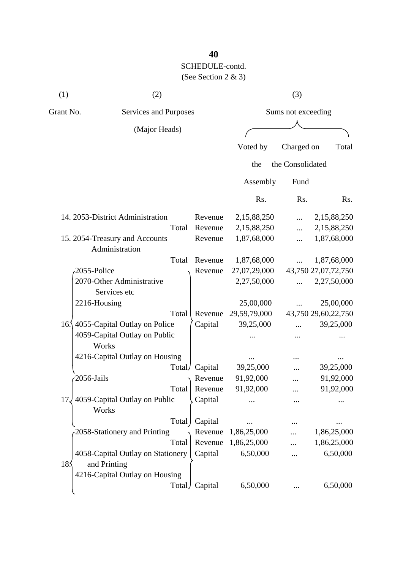| (1)       | (2)                                               |                    |              | (3)              |                     |
|-----------|---------------------------------------------------|--------------------|--------------|------------------|---------------------|
| Grant No. | Services and Purposes                             | Sums not exceeding |              |                  |                     |
|           | (Major Heads)                                     |                    |              |                  |                     |
|           |                                                   |                    | Voted by     | Charged on       | Total               |
|           |                                                   |                    | the          | the Consolidated |                     |
|           |                                                   |                    | Assembly     | Fund             |                     |
|           |                                                   |                    | Rs.          | Rs.              | Rs.                 |
|           | 14. 2053-District Administration                  | Revenue            | 2,15,88,250  |                  | 2,15,88,250         |
|           | Total                                             | Revenue            | 2,15,88,250  | $\cdots$         | 2,15,88,250         |
|           | 15. 2054-Treasury and Accounts<br>Administration  | Revenue            | 1,87,68,000  |                  | 1,87,68,000         |
|           | Total                                             | Revenue            | 1,87,68,000  | .                | 1,87,68,000         |
|           | 2055-Police                                       | Revenue            | 27,07,29,000 |                  | 43,750 27,07,72,750 |
|           | 2070-Other Administrative<br>Services etc         |                    | 2,27,50,000  | $\cdots$         | 2,27,50,000         |
|           | 2216-Housing                                      |                    | 25,00,000    |                  | 25,00,000           |
|           | Total                                             | Revenue            | 29,59,79,000 |                  | 43,750 29,60,22,750 |
|           | 16.\ 4055-Capital Outlay on Police                | Capital            | 39,25,000    |                  | 39,25,000           |
|           | 4059-Capital Outlay on Public<br>Works            |                    |              |                  |                     |
|           | 4216-Capital Outlay on Housing                    |                    |              |                  |                     |
|           | Total/                                            | Capital            | 39,25,000    |                  | 39,25,000           |
|           | 2056-Jails                                        | Revenue            | 91,92,000    |                  | 91,92,000           |
|           | Total                                             | Revenue            | 91,92,000    |                  | 91,92,000           |
| 17.       | 4059-Capital Outlay on Public<br>Works            | Capital            |              |                  |                     |
|           | Total                                             | Capital            |              |                  |                     |
|           | 2058-Stationery and Printing                      | Revenue            | 1,86,25,000  |                  | 1,86,25,000         |
|           | Total                                             | Revenue            | 1,86,25,000  |                  | 1,86,25,000         |
| 185       | 4058-Capital Outlay on Stationery<br>and Printing | Capital            | 6,50,000     |                  | 6,50,000            |
|           | 4216-Capital Outlay on Housing                    | Total Capital      | 6,50,000     |                  | 6,50,000            |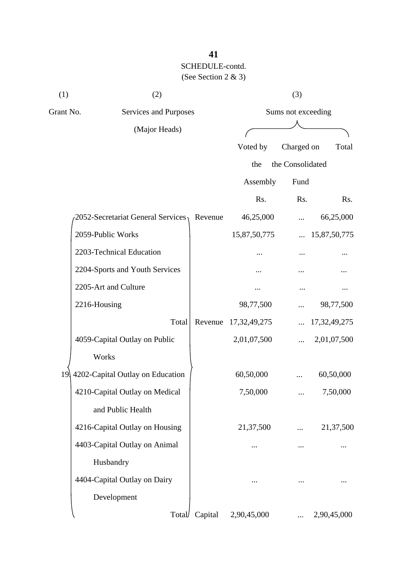| (1)       | (2)                               |                    | (3)             |                  |              |  |
|-----------|-----------------------------------|--------------------|-----------------|------------------|--------------|--|
| Grant No. | Services and Purposes             | Sums not exceeding |                 |                  |              |  |
|           | (Major Heads)                     |                    |                 |                  |              |  |
|           |                                   |                    | Voted by        | Charged on       | Total        |  |
|           |                                   |                    | the             | the Consolidated |              |  |
|           |                                   |                    | Assembly        | Fund             |              |  |
|           |                                   |                    | Rs.             | Rs.              | Rs.          |  |
|           | 2052-Secretariat General Services | Revenue            | 46,25,000       | .                | 66,25,000    |  |
|           | 2059-Public Works                 |                    | 15,87,50,775    | $\ddots$         | 15,87,50,775 |  |
|           | 2203-Technical Education          |                    |                 |                  |              |  |
|           | 2204-Sports and Youth Services    |                    |                 |                  |              |  |
|           | 2205-Art and Culture              |                    |                 |                  |              |  |
|           | 2216-Housing                      |                    | 98,77,500       |                  | 98,77,500    |  |
|           | Total                             | Revenue            | 17, 32, 49, 275 |                  | 17,32,49,275 |  |
|           | 4059-Capital Outlay on Public     |                    | 2,01,07,500     | $\cdots$         | 2,01,07,500  |  |
|           | Works                             |                    |                 |                  |              |  |
| 19        | 4202-Capital Outlay on Education  |                    | 60,50,000       |                  | 60,50,000    |  |
|           | 4210-Capital Outlay on Medical    |                    | 7,50,000        |                  | 7,50,000     |  |
|           | and Public Health                 |                    |                 |                  |              |  |
|           | 4216-Capital Outlay on Housing    |                    | 21,37,500       |                  | 21,37,500    |  |
|           | 4403-Capital Outlay on Animal     |                    | $\cdots$        | $\cdots$         |              |  |
|           | Husbandry                         |                    |                 |                  |              |  |
|           | 4404-Capital Outlay on Dairy      |                    |                 |                  |              |  |
|           | Development                       |                    |                 |                  |              |  |
|           | Total                             | Capital            | 2,90,45,000     |                  | 2,90,45,000  |  |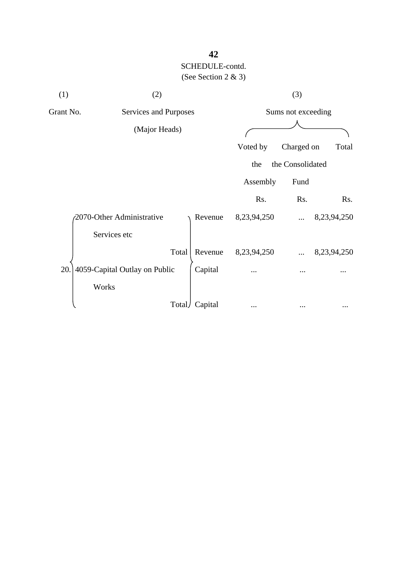| (1)       | (2)                           |         |             | (3)                |             |  |
|-----------|-------------------------------|---------|-------------|--------------------|-------------|--|
| Grant No. | Services and Purposes         |         |             | Sums not exceeding |             |  |
|           | (Major Heads)                 |         |             |                    |             |  |
|           |                               |         | Voted by    | Charged on         | Total       |  |
|           |                               |         | the         | the Consolidated   |             |  |
|           |                               |         | Assembly    | Fund               |             |  |
|           |                               |         | Rs.         | Rs.                | Rs.         |  |
|           | 2070-Other Administrative     | Revenue | 8,23,94,250 | $\cdots$           | 8,23,94,250 |  |
|           | Services etc                  |         |             |                    |             |  |
|           | Total                         | Revenue | 8,23,94,250 |                    | 8,23,94,250 |  |
| 20.       | 4059-Capital Outlay on Public | Capital |             |                    |             |  |
|           | Works                         |         |             |                    |             |  |
|           | Total                         | Capital | $\cdots$    |                    |             |  |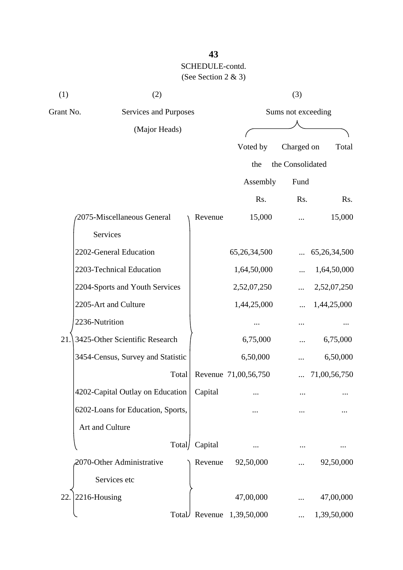| (1)       | (2)                               |                    | (3)                  |                  |              |  |
|-----------|-----------------------------------|--------------------|----------------------|------------------|--------------|--|
| Grant No. | Services and Purposes             | Sums not exceeding |                      |                  |              |  |
|           | (Major Heads)                     |                    |                      |                  |              |  |
|           |                                   |                    | Voted by             | Charged on       | Total        |  |
|           |                                   |                    | the                  | the Consolidated |              |  |
|           |                                   |                    | Assembly             | Fund             |              |  |
|           |                                   |                    | Rs.                  | Rs.              | Rs.          |  |
|           | 2075-Miscellaneous General        | Revenue            | 15,000               |                  | 15,000       |  |
|           | <b>Services</b>                   |                    |                      |                  |              |  |
|           | 2202-General Education            |                    | 65,26,34,500         |                  | 65,26,34,500 |  |
|           | 2203-Technical Education          |                    | 1,64,50,000          |                  | 1,64,50,000  |  |
|           | 2204-Sports and Youth Services    |                    | 2,52,07,250          |                  | 2,52,07,250  |  |
|           | 2205-Art and Culture              |                    | 1,44,25,000          |                  | 1,44,25,000  |  |
|           | 2236-Nutrition                    |                    |                      |                  |              |  |
| 21.       | 3425-Other Scientific Research    |                    | 6,75,000             |                  | 6,75,000     |  |
|           | 3454-Census, Survey and Statistic |                    | 6,50,000             |                  | 6,50,000     |  |
|           | Total                             |                    | Revenue 71,00,56,750 |                  | 71,00,56,750 |  |
|           | 4202-Capital Outlay on Education  | Capital            |                      |                  |              |  |
|           | 6202-Loans for Education, Sports, |                    |                      |                  |              |  |
|           | Art and Culture                   |                    |                      |                  |              |  |
|           | Total/                            | Capital            |                      |                  |              |  |
|           | 2070-Other Administrative         | Revenue            | 92,50,000            |                  | 92,50,000    |  |
|           | Services etc                      |                    |                      |                  |              |  |
| 22.       | 2216-Housing                      |                    | 47,00,000            |                  | 47,00,000    |  |
|           | TotalV                            |                    | Revenue 1,39,50,000  |                  | 1,39,50,000  |  |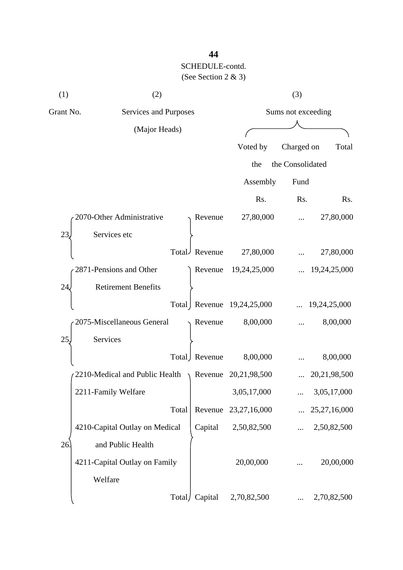| (1)       | (2)                                                               | (3)                |                            |                  |              |
|-----------|-------------------------------------------------------------------|--------------------|----------------------------|------------------|--------------|
| Grant No. | Services and Purposes                                             | Sums not exceeding |                            |                  |              |
|           | (Major Heads)                                                     |                    |                            |                  |              |
|           |                                                                   |                    | Voted by                   | Charged on       | Total        |
|           |                                                                   |                    | the                        | the Consolidated |              |
|           |                                                                   |                    | Assembly                   | Fund             |              |
|           |                                                                   |                    | Rs.                        | Rs.              | Rs.          |
|           | 2070-Other Administrative                                         | Revenue            | 27,80,000                  |                  | 27,80,000    |
| 23,       | Services etc                                                      |                    |                            |                  |              |
|           |                                                                   | Total Revenue      | 27,80,000                  |                  | 27,80,000    |
|           | 2871-Pensions and Other                                           | Revenue            | 19,24,25,000               |                  | 19,24,25,000 |
| 24        | <b>Retirement Benefits</b>                                        |                    |                            |                  |              |
|           |                                                                   |                    | Total Revenue 19,24,25,000 |                  | 19,24,25,000 |
|           | 2075-Miscellaneous General                                        | Revenue            | 8,00,000                   |                  | 8,00,000     |
| 25,       | Services                                                          |                    |                            |                  |              |
|           |                                                                   | Total Revenue      | 8,00,000                   |                  | 8,00,000     |
|           | 2210-Medical and Public Health $\rightarrow$ Revenue 20,21,98,500 |                    |                            |                  | 20,21,98,500 |
|           | 2211-Family Welfare                                               |                    | 3,05,17,000                |                  | 3,05,17,000  |
|           | Total                                                             | Revenue            | 23, 27, 16, 000            |                  | 25,27,16,000 |
|           | 4210-Capital Outlay on Medical                                    | Capital            | 2,50,82,500                |                  | 2,50,82,500  |
| 26        | and Public Health                                                 |                    |                            |                  |              |
|           | 4211-Capital Outlay on Family                                     |                    | 20,00,000                  |                  | 20,00,000    |
|           | Welfare                                                           |                    |                            |                  |              |
|           | Total/                                                            | Capital            | 2,70,82,500                |                  | 2,70,82,500  |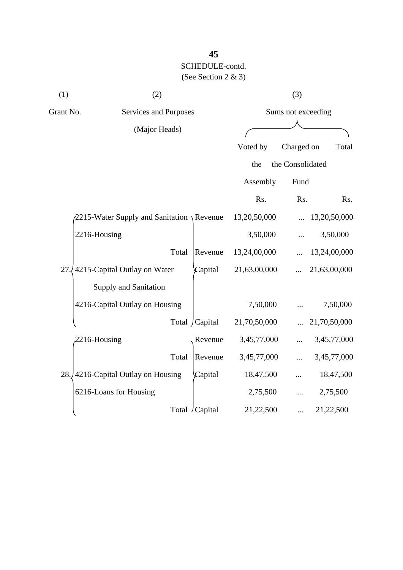| (1)       | (2)                                                 |                 |              | (3)                |              |
|-----------|-----------------------------------------------------|-----------------|--------------|--------------------|--------------|
| Grant No. | Services and Purposes                               |                 |              | Sums not exceeding |              |
|           | (Major Heads)                                       |                 |              |                    |              |
|           |                                                     |                 | Voted by     | Charged on         | Total        |
|           |                                                     |                 | the          | the Consolidated   |              |
|           |                                                     |                 | Assembly     | Fund               |              |
|           |                                                     |                 | Rs.          | Rs.                | Rs.          |
|           | $\sqrt{2215}$ -Water Supply and Sanitation \Revenue |                 | 13,20,50,000 |                    | 13,20,50,000 |
|           | 2216-Housing                                        |                 | 3,50,000     |                    | 3,50,000     |
|           | Total                                               | Revenue         | 13,24,00,000 |                    | 13,24,00,000 |
| 27        | 4215-Capital Outlay on Water                        | Capital         | 21,63,00,000 |                    | 21,63,00,000 |
|           | <b>Supply and Sanitation</b>                        |                 |              |                    |              |
|           | 4216-Capital Outlay on Housing                      |                 | 7,50,000     |                    | 7,50,000     |
|           |                                                     | Total / Capital | 21,70,50,000 |                    | 21,70,50,000 |
|           | 2216-Housing                                        | Revenue         | 3,45,77,000  |                    | 3,45,77,000  |
|           | Total                                               | Revenue         | 3,45,77,000  |                    | 3,45,77,000  |
|           | 28. 4216-Capital Outlay on Housing                  | Capital         | 18,47,500    |                    | 18,47,500    |
|           | 6216-Loans for Housing                              |                 | 2,75,500     |                    | 2,75,500     |
|           |                                                     | Total / Capital | 21,22,500    |                    | 21,22,500    |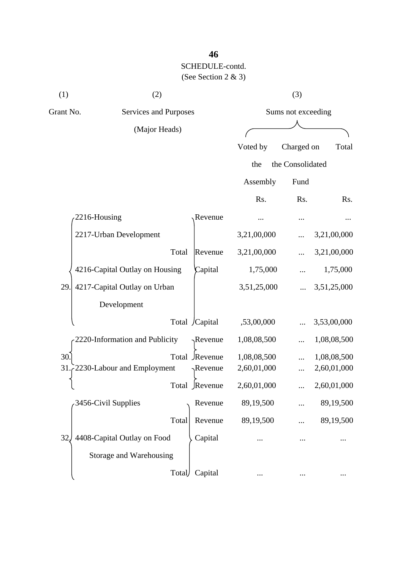| (1)       | (2)                            |       |                  |             | (3)                |             |
|-----------|--------------------------------|-------|------------------|-------------|--------------------|-------------|
| Grant No. | Services and Purposes          |       |                  |             | Sums not exceeding |             |
|           | (Major Heads)                  |       |                  |             |                    |             |
|           |                                |       |                  | Voted by    | Charged on         | Total       |
|           |                                |       |                  | the         | the Consolidated   |             |
|           |                                |       |                  | Assembly    | Fund               |             |
|           |                                |       |                  | Rs.         | Rs.                | Rs.         |
|           | 2216-Housing                   |       | Revenue          |             |                    |             |
|           | 2217-Urban Development         |       |                  | 3,21,00,000 |                    | 3,21,00,000 |
|           |                                | Total | Revenue          | 3,21,00,000 |                    | 3,21,00,000 |
|           | 4216-Capital Outlay on Housing |       | Capital          | 1,75,000    |                    | 1,75,000    |
| 29.       | 4217-Capital Outlay on Urban   |       |                  | 3,51,25,000 |                    | 3,51,25,000 |
|           | Development                    |       |                  |             |                    |             |
|           |                                |       | Total /Capital   | ,53,00,000  |                    | 3,53,00,000 |
|           | 2220-Information and Publicity |       | $\gamma$ Revenue | 1,08,08,500 |                    | 1,08,08,500 |
| 30.       |                                |       | Total Revenue    | 1,08,08,500 |                    | 1,08,08,500 |
| 31        | 2230-Labour and Employment     |       | $\sqrt{$ Revenue | 2,60,01,000 |                    | 2,60,01,000 |
|           |                                | Total | Revenue          | 2,60,01,000 |                    | 2,60,01,000 |
|           | 3456-Civil Supplies            |       | Revenue          | 89,19,500   |                    | 89,19,500   |
|           |                                | Total | Revenue          | 89,19,500   |                    | 89,19,500   |
| 32.       | 4408-Capital Outlay on Food    |       | Capital          |             |                    |             |
|           | Storage and Warehousing        |       |                  |             |                    |             |
|           |                                | Total | Capital          |             |                    |             |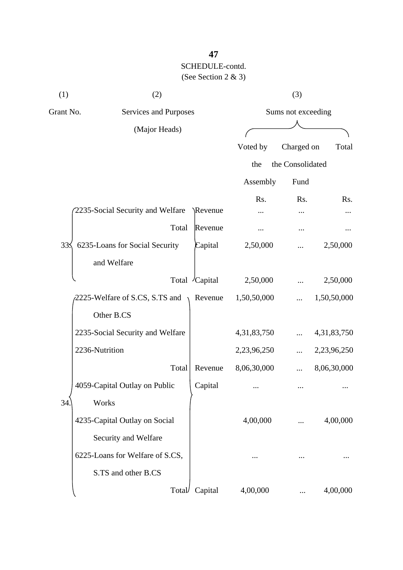| (1)       | (2)                              |          |                    | (3)              |             |  |
|-----------|----------------------------------|----------|--------------------|------------------|-------------|--|
| Grant No. | Services and Purposes            |          | Sums not exceeding |                  |             |  |
|           | (Major Heads)                    |          |                    |                  |             |  |
|           |                                  |          | Voted by           | Charged on       | Total       |  |
|           |                                  |          | the                | the Consolidated |             |  |
|           |                                  |          | Assembly           | Fund             |             |  |
|           | 2235-Social Security and Welfare | \Revenue | Rs.                | Rs.              | Rs.         |  |
|           | Total                            | Revenue  |                    |                  |             |  |
| 33<       | 6235-Loans for Social Security   | Capital  | 2,50,000           |                  | 2,50,000    |  |
|           | and Welfare                      |          |                    |                  |             |  |
|           | Total                            | /Capital | 2,50,000           |                  | 2,50,000    |  |
|           | 2225-Welfare of S.CS, S.TS and   | Revenue  | 1,50,50,000        |                  | 1,50,50,000 |  |
|           | Other B.CS                       |          |                    |                  |             |  |
|           | 2235-Social Security and Welfare |          | 4,31,83,750        |                  | 4,31,83,750 |  |
|           | 2236-Nutrition                   |          | 2,23,96,250        |                  | 2,23,96,250 |  |
|           | Total                            | Revenue  | 8,06,30,000        |                  | 8,06,30,000 |  |
|           | 4059-Capital Outlay on Public    | Capital  |                    | $\cdots$         |             |  |
| 34        | Works                            |          |                    |                  |             |  |
|           | 4235-Capital Outlay on Social    |          | 4,00,000           |                  | 4,00,000    |  |
|           | Security and Welfare             |          |                    |                  |             |  |
|           | 6225-Loans for Welfare of S.CS,  |          |                    |                  |             |  |
|           | S.TS and other B.CS              |          |                    |                  |             |  |
|           | Total/                           | Capital  | 4,00,000           |                  | 4,00,000    |  |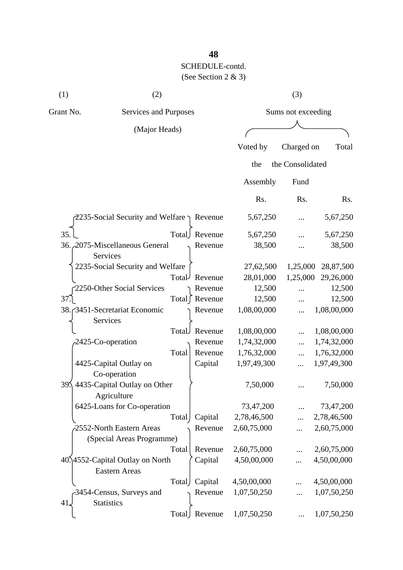| (1)       | (2)                   | (3)                             |  |  |
|-----------|-----------------------|---------------------------------|--|--|
| Grant No. | Services and Purposes | Sums not exceeding              |  |  |
|           | (Major Heads)         |                                 |  |  |
|           |                       | Total<br>Charged on<br>Voted by |  |  |
|           |                       | the Consolidated<br>the         |  |  |

|                                                                  | Assembly    | Fund       |             |
|------------------------------------------------------------------|-------------|------------|-------------|
|                                                                  | Rs.         | Rs.        | Rs.         |
| Physocial Security and Welfare Revenue                           | 5,67,250    | .          | 5,67,250    |
| 35.<br>Total<br>Revenue                                          | 5,67,250    |            | 5,67,250    |
| 36. 2075-Miscellaneous General<br>Revenue<br><b>Services</b>     | 38,500      |            | 38,500      |
| 2235-Social Security and Welfare                                 | 27,62,500   | 1,25,000   | 28,87,500   |
| Total <sup>J</sup><br>Revenue                                    | 28,01,000   | 1,25,000   | 29,26,000   |
| 2250-Other Social Services<br>Revenue                            | 12,500      |            | 12,500      |
| Total ∫ Revenue<br>37.                                           | 12,500      | $\ddotsc$  | 12,500      |
| 38. 3451-Secretariat Economic<br>Revenue<br><b>Services</b>      | 1,08,00,000 | .          | 1,08,00,000 |
| Revenue<br>Total                                                 | 1,08,00,000 | $\dddotsc$ | 1,08,00,000 |
| 2425-Co-operation<br>Revenue                                     | 1,74,32,000 | $\dddotsc$ | 1,74,32,000 |
| Total<br>Revenue                                                 | 1,76,32,000 |            | 1,76,32,000 |
| 4425-Capital Outlay on<br>Capital                                | 1,97,49,300 | .          | 1,97,49,300 |
| Co-operation                                                     |             |            |             |
| 39. 4435-Capital Outlay on Other<br>Agriculture                  | 7,50,000    |            | 7,50,000    |
| 6425-Loans for Co-operation                                      | 73,47,200   | .          | 73,47,200   |
| Capital<br>Total                                                 | 2,78,46,500 |            | 2,78,46,500 |
| 2552-North Eastern Areas<br>Revenue<br>(Special Areas Programme) | 2,60,75,000 |            | 2,60,75,000 |
| Total<br>Revenue                                                 | 2,60,75,000 |            | 2,60,75,000 |
| 40.14552-Capital Outlay on North<br>Capital                      | 4,50,00,000 | .          | 4,50,00,000 |
| <b>Eastern Areas</b>                                             |             |            |             |
| Capital<br>Total                                                 | 4,50,00,000 |            | 4,50,00,000 |
| 3454-Census, Surveys and<br>Revenue<br><b>Statistics</b><br>41.  | 1,07,50,250 |            | 1,07,50,250 |
| Total<br>Revenue                                                 | 1,07,50,250 |            | 1,07,50,250 |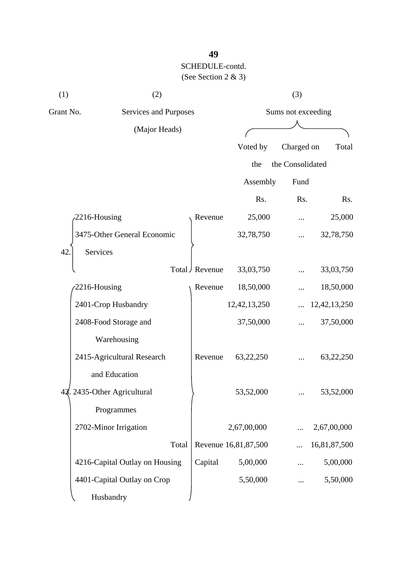| (1) | (2)                                |               |                      | (3)              |                 |  |
|-----|------------------------------------|---------------|----------------------|------------------|-----------------|--|
|     | Grant No.<br>Services and Purposes |               | Sums not exceeding   |                  |                 |  |
|     | (Major Heads)                      |               |                      |                  |                 |  |
|     |                                    |               | Voted by             | Charged on       | Total           |  |
|     |                                    |               | the                  | the Consolidated |                 |  |
|     |                                    |               | Assembly             | Fund             |                 |  |
|     |                                    |               | Rs.                  | Rs.              | Rs.             |  |
|     | 2216-Housing                       | Revenue       | 25,000               |                  | 25,000          |  |
|     | 3475-Other General Economic        |               | 32,78,750            |                  | 32,78,750       |  |
| 42  | Services                           |               |                      |                  |                 |  |
|     |                                    | Total Revenue | 33,03,750            |                  | 33,03,750       |  |
|     | 2216-Housing                       | Revenue       | 18,50,000            |                  | 18,50,000       |  |
|     | 2401-Crop Husbandry                |               | 12, 42, 13, 250      |                  | 12, 42, 13, 250 |  |
|     | 2408-Food Storage and              |               | 37,50,000            |                  | 37,50,000       |  |
|     | Warehousing                        |               |                      |                  |                 |  |
|     | 2415-Agricultural Research         | Revenue       | 63,22,250            |                  | 63,22,250       |  |
|     | and Education                      |               |                      |                  |                 |  |
|     | 42. 2435-Other Agricultural        |               | 53,52,000            |                  | 53,52,000       |  |
|     | Programmes                         |               |                      |                  |                 |  |
|     | 2702-Minor Irrigation              |               | 2,67,00,000          |                  | 2,67,00,000     |  |
|     | Total                              |               | Revenue 16,81,87,500 |                  | 16,81,87,500    |  |
|     | 4216-Capital Outlay on Housing     | Capital       | 5,00,000             |                  | 5,00,000        |  |
|     | 4401-Capital Outlay on Crop        |               | 5,50,000             |                  | 5,50,000        |  |
|     | Husbandry                          |               |                      |                  |                 |  |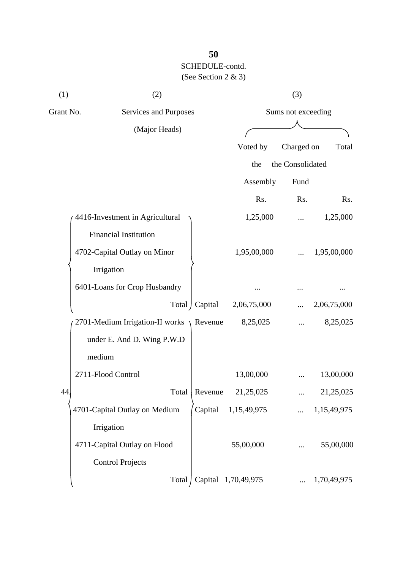| (1) | (2)                                       |                 | (3)         |                    |             |  |  |
|-----|-------------------------------------------|-----------------|-------------|--------------------|-------------|--|--|
|     | Grant No.<br>Services and Purposes        |                 |             | Sums not exceeding |             |  |  |
|     | (Major Heads)                             |                 |             |                    |             |  |  |
|     |                                           |                 | Voted by    | Charged on         | Total       |  |  |
|     |                                           |                 | the         | the Consolidated   |             |  |  |
|     |                                           |                 | Assembly    | Fund               |             |  |  |
|     |                                           |                 | Rs.         | Rs.                | Rs.         |  |  |
|     | 4416-Investment in Agricultural           |                 | 1,25,000    |                    | 1,25,000    |  |  |
|     | <b>Financial Institution</b>              |                 |             |                    |             |  |  |
|     | 4702-Capital Outlay on Minor              |                 | 1,95,00,000 |                    | 1,95,00,000 |  |  |
|     | Irrigation                                |                 |             |                    |             |  |  |
|     | 6401-Loans for Crop Husbandry             |                 |             |                    |             |  |  |
|     |                                           | Total   Capital | 2,06,75,000 |                    | 2,06,75,000 |  |  |
|     | 2701-Medium Irrigation-II works $\lambda$ | Revenue         | 8,25,025    |                    | 8,25,025    |  |  |
|     | under E. And D. Wing P.W.D                |                 |             |                    |             |  |  |
|     | medium                                    |                 |             |                    |             |  |  |
|     | 2711-Flood Control                        |                 | 13,00,000   |                    | 13,00,000   |  |  |
| 44  | Total                                     | Revenue         | 21,25,025   |                    | 21,25,025   |  |  |
|     | 4701-Capital Outlay on Medium             | Capital         | 1,15,49,975 |                    | 1,15,49,975 |  |  |
|     | Irrigation                                |                 |             |                    |             |  |  |
|     | 4711-Capital Outlay on Flood              |                 | 55,00,000   |                    | 55,00,000   |  |  |
|     | <b>Control Projects</b>                   |                 |             |                    |             |  |  |
|     | Total                                     | Capital         | 1,70,49,975 |                    | 1,70,49,975 |  |  |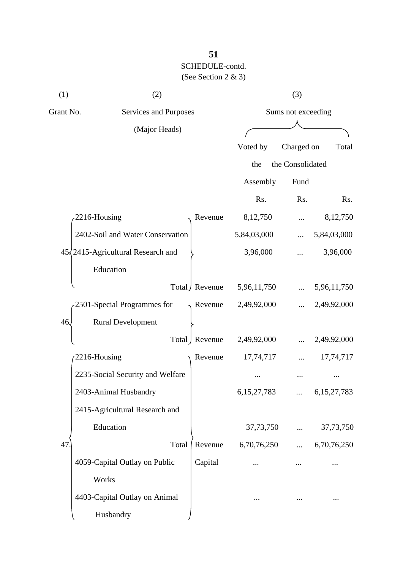| (1)       | (2)                                        |                 |                    | (3)              |                |
|-----------|--------------------------------------------|-----------------|--------------------|------------------|----------------|
| Grant No. | Services and Purposes                      |                 | Sums not exceeding |                  |                |
|           | (Major Heads)                              |                 |                    |                  |                |
|           |                                            |                 | Voted by           | Charged on       | Total          |
|           |                                            |                 | the                | the Consolidated |                |
|           |                                            |                 | Assembly           | Fund             |                |
|           |                                            |                 | Rs.                | Rs.              | Rs.            |
|           | 2216-Housing                               | Revenue         | 8,12,750           |                  | 8,12,750       |
|           | 2402-Soil and Water Conservation           |                 | 5,84,03,000        |                  | 5,84,03,000    |
|           | $45\sqrt{2415}$ -Agricultural Research and |                 | 3,96,000           |                  | 3,96,000       |
|           | Education                                  |                 |                    |                  |                |
|           |                                            | Total / Revenue | 5,96,11,750        |                  | 5,96,11,750    |
|           | 2501-Special Programmes for                | Revenue         | 2,49,92,000        |                  | 2,49,92,000    |
| 46.       | <b>Rural Development</b>                   |                 |                    |                  |                |
|           |                                            | Total   Revenue | 2,49,92,000        |                  | 2,49,92,000    |
|           | 2216-Housing                               | Revenue         | 17,74,717          |                  | 17,74,717      |
|           | 2235-Social Security and Welfare           |                 |                    |                  |                |
|           | 2403-Animal Husbandry                      |                 | 6, 15, 27, 783     |                  | 6, 15, 27, 783 |
|           | 2415-Agricultural Research and             |                 |                    |                  |                |
|           | Education                                  |                 | 37,73,750          |                  | 37,73,750      |
| 47        | Total                                      | Revenue         | 6,70,76,250        | $\cdots$         | 6,70,76,250    |
|           | 4059-Capital Outlay on Public              | Capital         |                    |                  |                |
|           | Works                                      |                 |                    |                  |                |
|           | 4403-Capital Outlay on Animal              |                 |                    |                  |                |
|           | Husbandry                                  |                 |                    |                  |                |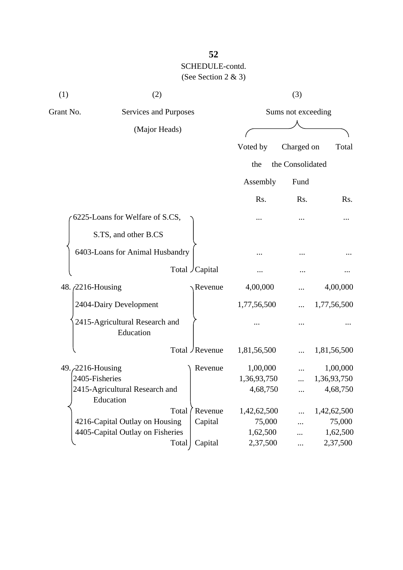| (1)                       | (2)                                         |       |                 |                    | (3)              |             |
|---------------------------|---------------------------------------------|-------|-----------------|--------------------|------------------|-------------|
| Grant No.                 | Services and Purposes                       |       |                 | Sums not exceeding |                  |             |
| (Major Heads)             |                                             |       |                 |                    |                  |             |
|                           |                                             |       |                 | Voted by           | Charged on       | Total       |
|                           |                                             |       |                 | the                | the Consolidated |             |
|                           |                                             |       |                 | Assembly           | Fund             |             |
|                           |                                             |       |                 | Rs.                | Rs.              | Rs.         |
|                           | 6225-Loans for Welfare of S.CS,             |       |                 |                    |                  |             |
|                           | S.TS, and other B.CS                        |       |                 |                    |                  |             |
|                           | 6403-Loans for Animal Husbandry             |       |                 |                    |                  |             |
|                           |                                             |       | Total Capital   |                    |                  |             |
| 48. <i>(2216-Housing)</i> |                                             |       | Revenue         | 4,00,000           |                  | 4,00,000    |
|                           | 2404-Dairy Development                      |       |                 | 1,77,56,500        |                  | 1,77,56,500 |
|                           | 2415-Agricultural Research and<br>Education |       |                 |                    |                  |             |
|                           |                                             |       | Total / Revenue | 1,81,56,500        |                  | 1,81,56,500 |
| 49. 2216-Housing          |                                             |       | Revenue         | 1,00,000           |                  | 1,00,000    |
| 2405-Fisheries            |                                             |       |                 | 1,36,93,750        |                  | 1,36,93,750 |
|                           | 2415-Agricultural Research and<br>Education |       |                 | 4,68,750           |                  | 4,68,750    |
|                           |                                             | Total | Revenue         | 1,42,62,500        |                  | 1,42,62,500 |
|                           | 4216-Capital Outlay on Housing              |       | Capital         | 75,000             |                  | 75,000      |
|                           | 4405-Capital Outlay on Fisheries            |       |                 | 1,62,500           |                  | 1,62,500    |
|                           |                                             | Total | Capital         | 2,37,500           | $\cdots$         | 2,37,500    |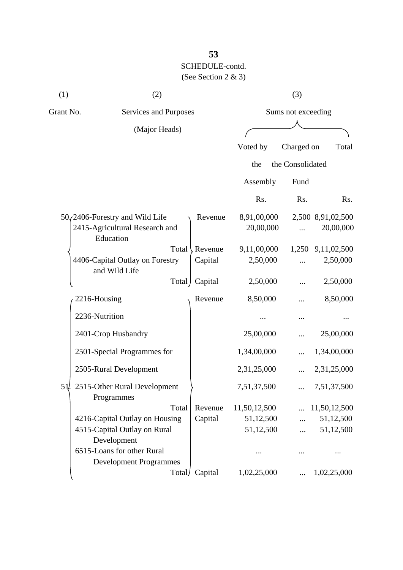| (1)       | (2)                                                         |         |              | (3)                |                   |
|-----------|-------------------------------------------------------------|---------|--------------|--------------------|-------------------|
| Grant No. | Services and Purposes                                       |         |              | Sums not exceeding |                   |
|           | (Major Heads)                                               |         |              |                    |                   |
|           |                                                             |         | Voted by     | Charged on         | Total             |
|           |                                                             |         | the          | the Consolidated   |                   |
|           |                                                             |         | Assembly     | Fund               |                   |
|           |                                                             |         | Rs.          | Rs.                | Rs.               |
|           | $50$ <sub>c</sub> $2406$ -Forestry and Wild Life            | Revenue | 8,91,00,000  |                    | 2,500 8,91,02,500 |
|           | 2415-Agricultural Research and<br>Education                 |         | 20,00,000    |                    | 20,00,000         |
|           | Total                                                       | Revenue | 9,11,00,000  |                    | 1,250 9,11,02,500 |
|           | 4406-Capital Outlay on Forestry<br>and Wild Life            | Capital | 2,50,000     |                    | 2,50,000          |
|           | Total                                                       | Capital | 2,50,000     |                    | 2,50,000          |
|           | 2216-Housing                                                | Revenue | 8,50,000     |                    | 8,50,000          |
|           | 2236-Nutrition                                              |         |              |                    |                   |
|           | 2401-Crop Husbandry                                         |         | 25,00,000    |                    | 25,00,000         |
|           | 2501-Special Programmes for                                 |         | 1,34,00,000  |                    | 1,34,00,000       |
|           | 2505-Rural Development                                      |         | 2,31,25,000  |                    | 2,31,25,000       |
| 5 I.      | 2515-Other Rural Development<br>Programmes                  |         | 7,51,37,500  |                    | 7,51,37,500       |
|           | Total                                                       | Revenue | 11,50,12,500 |                    | 11,50,12,500      |
|           | 4216-Capital Outlay on Housing                              | Capital | 51,12,500    |                    | 51,12,500         |
|           | 4515-Capital Outlay on Rural<br>Development                 |         | 51,12,500    |                    | 51,12,500         |
|           | 6515-Loans for other Rural<br><b>Development Programmes</b> |         |              |                    |                   |
|           | Total/                                                      | Capital | 1,02,25,000  |                    | 1,02,25,000       |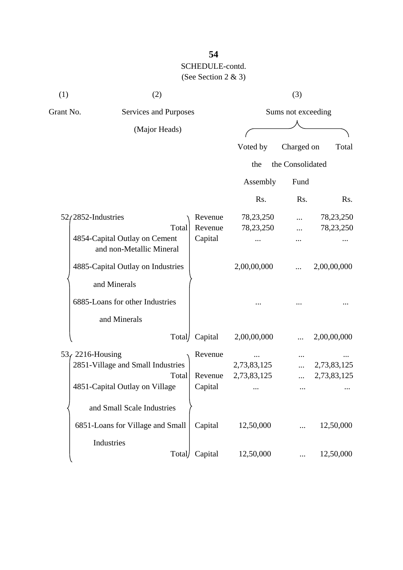| (1)                                                       | (2)                               |         |                    | (3)              |             |
|-----------------------------------------------------------|-----------------------------------|---------|--------------------|------------------|-------------|
| Grant No.                                                 | Services and Purposes             |         | Sums not exceeding |                  |             |
|                                                           | (Major Heads)                     |         |                    |                  |             |
|                                                           |                                   |         | Voted by           | Charged on       | Total       |
|                                                           |                                   |         | the                | the Consolidated |             |
|                                                           |                                   |         | Assembly           | Fund             |             |
|                                                           |                                   |         | Rs.                | Rs.              | Rs.         |
|                                                           | $52/2852$ -Industries             | Revenue | 78,23,250          |                  | 78,23,250   |
|                                                           | Total                             | Revenue | 78,23,250          |                  | 78,23,250   |
| 4854-Capital Outlay on Cement<br>and non-Metallic Mineral | Capital                           |         |                    |                  |             |
|                                                           | 4885-Capital Outlay on Industries |         | 2,00,00,000        |                  | 2,00,00,000 |
|                                                           | and Minerals                      |         |                    |                  |             |
|                                                           | 6885-Loans for other Industries   |         |                    |                  |             |
|                                                           | and Minerals                      |         |                    |                  |             |
|                                                           | Total/                            | Capital | 2,00,00,000        |                  | 2,00,00,000 |
|                                                           | $53f$ 2216-Housing                | Revenue |                    |                  |             |
|                                                           | 2851-Village and Small Industries |         | 2,73,83,125        |                  | 2,73,83,125 |
|                                                           | Total                             | Revenue | 2,73,83,125        |                  | 2,73,83,125 |
|                                                           | 4851-Capital Outlay on Village    | Capital | $\cdots$           | $\cdots$         |             |
|                                                           | and Small Scale Industries        |         |                    |                  |             |
|                                                           | 6851-Loans for Village and Small  | Capital | 12,50,000          |                  | 12,50,000   |
|                                                           | Industries                        |         |                    |                  |             |
|                                                           | Total                             | Capital | 12,50,000          |                  | 12,50,000   |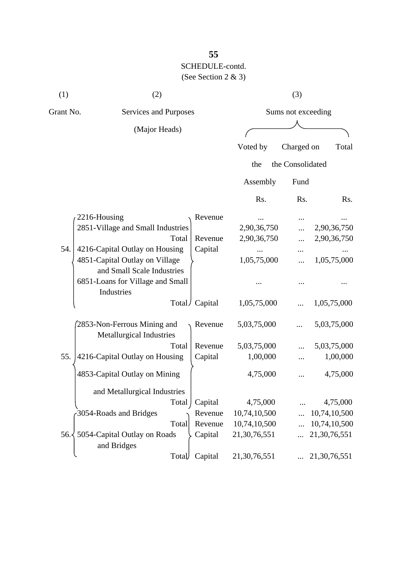| (1)       | (2)                                                          |                 |              | (3)                |              |
|-----------|--------------------------------------------------------------|-----------------|--------------|--------------------|--------------|
| Grant No. | Services and Purposes                                        |                 |              | Sums not exceeding |              |
|           | (Major Heads)                                                |                 |              |                    |              |
|           |                                                              |                 | Voted by     | Charged on         | Total        |
|           |                                                              |                 | the          | the Consolidated   |              |
|           |                                                              |                 | Assembly     | Fund               |              |
|           |                                                              |                 | Rs.          | Rs.                | Rs.          |
|           | 2216-Housing                                                 | Revenue         |              |                    |              |
|           | 2851-Village and Small Industries                            |                 | 2,90,36,750  |                    | 2,90,36,750  |
|           | Total                                                        | Revenue         | 2,90,36,750  |                    | 2,90,36,750  |
| 54.       | 4216-Capital Outlay on Housing                               | Capital         |              |                    |              |
|           | 4851-Capital Outlay on Village<br>and Small Scale Industries |                 | 1,05,75,000  |                    | 1,05,75,000  |
|           | 6851-Loans for Village and Small<br>Industries               |                 |              |                    |              |
|           |                                                              | Total / Capital | 1,05,75,000  |                    | 1,05,75,000  |
|           | 2853-Non-Ferrous Mining and<br>Metallurgical Industries      | Revenue         | 5,03,75,000  | .                  | 5,03,75,000  |
|           | Total                                                        | Revenue         | 5,03,75,000  |                    | 5,03,75,000  |
| 55.       | 4216-Capital Outlay on Housing                               | Capital         | 1,00,000     |                    | 1,00,000     |
|           | 4853-Capital Outlay on Mining                                |                 | 4,75,000     |                    | 4,75,000     |
|           | and Metallurgical Industries                                 |                 |              |                    |              |
|           | Total                                                        | Capital         | 4,75,000     |                    | 4,75,000     |
|           | 3054-Roads and Bridges                                       | Revenue         | 10,74,10,500 |                    | 10,74,10,500 |
|           | Total                                                        | Revenue         | 10,74,10,500 |                    | 10,74,10,500 |
|           | 56. 5054-Capital Outlay on Roads<br>and Bridges              | Capital         | 21,30,76,551 |                    | 21,30,76,551 |
|           | Total                                                        | Capital         | 21,30,76,551 |                    | 21,30,76,551 |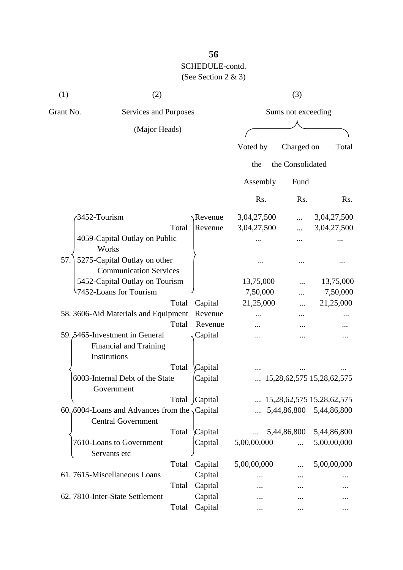| (1)       | (2)                                                                               |       |                    |             |                  |                                    |
|-----------|-----------------------------------------------------------------------------------|-------|--------------------|-------------|------------------|------------------------------------|
| Grant No. | Services and Purposes                                                             |       | Sums not exceeding |             |                  |                                    |
|           | (Major Heads)                                                                     |       |                    |             |                  |                                    |
|           |                                                                                   |       |                    | Voted by    | Charged on       | Total                              |
|           |                                                                                   |       |                    |             |                  |                                    |
|           |                                                                                   |       |                    | the         | the Consolidated |                                    |
|           |                                                                                   |       |                    | Assembly    | Fund             |                                    |
|           |                                                                                   |       |                    | Rs.         | Rs.              | R <sub>s</sub> .                   |
|           | 3452-Tourism                                                                      |       | Revenue            | 3,04,27,500 |                  | 3,04,27,500                        |
|           |                                                                                   | Total | Revenue            | 3,04,27,500 | .                | 3,04,27,500                        |
|           | 4059-Capital Outlay on Public                                                     |       |                    |             |                  |                                    |
| 57.       | Works<br>5275-Capital Outlay on other                                             |       |                    |             |                  |                                    |
|           | <b>Communication Services</b>                                                     |       |                    |             |                  |                                    |
|           | 5452-Capital Outlay on Tourism                                                    |       |                    | 13,75,000   |                  | 13,75,000                          |
|           | 1452-Loans for Tourism                                                            |       |                    | 7,50,000    |                  | 7,50,000                           |
|           |                                                                                   | Total | Capital            | 21,25,000   |                  | 21,25,000                          |
|           | 58. 3606-Aid Materials and Equipment                                              |       | Revenue            |             |                  |                                    |
|           |                                                                                   | Total | Revenue            |             |                  |                                    |
|           | 59.5465-Investment in General<br>Financial and Training<br>Institutions           |       | Capital            |             |                  |                                    |
|           |                                                                                   | Total | Capital            |             |                  |                                    |
|           | 6003-Internal Debt of the State<br>Government                                     |       | Capital            |             |                  | 15, 28, 62, 575 15, 28, 62, 575    |
|           |                                                                                   |       | Total Capital      |             |                  | $\ldots$ 15,28,62,575 15,28,62,575 |
|           | 60.6004-Loans and Advances from the $\sqrt{$ Capital<br><b>Central Government</b> |       |                    |             |                  | 5,44,86,800 5,44,86,800            |
|           |                                                                                   | Total | Capital            |             | 5,44,86,800      | 5,44,86,800                        |
|           | 7610-Loans to Government<br>Servants etc                                          |       | Capital            | 5,00,00,000 | $\cdots$         | 5,00,00,000                        |
|           |                                                                                   | Total | Capital            | 5,00,00,000 |                  | 5,00,00,000                        |
|           | 61.7615-Miscellaneous Loans                                                       |       | Capital            |             | .                |                                    |
|           |                                                                                   | Total | Capital            |             |                  |                                    |
|           | 62. 7810-Inter-State Settlement                                                   |       | Capital            |             |                  |                                    |
|           |                                                                                   | Total | Capital            |             | $\cdots$         | $\cdots$                           |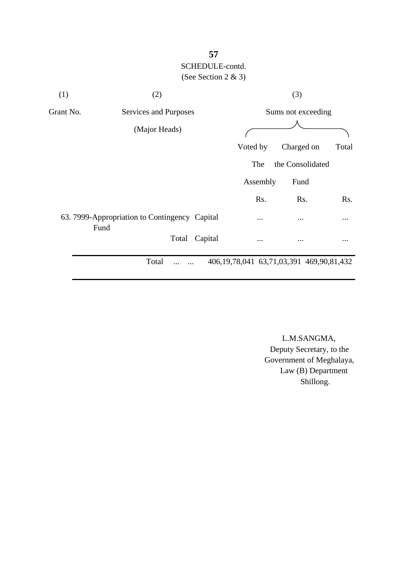| (1)       | (2)                                                   |         |                                                   | (3)                |          |
|-----------|-------------------------------------------------------|---------|---------------------------------------------------|--------------------|----------|
| Grant No. | Services and Purposes                                 |         |                                                   | Sums not exceeding |          |
|           | (Major Heads)                                         |         |                                                   |                    |          |
|           |                                                       |         | Voted by                                          | Charged on         | Total    |
|           |                                                       |         | The                                               | the Consolidated   |          |
|           |                                                       |         | Assembly                                          | Fund               |          |
|           |                                                       |         | Rs.                                               | Rs.                | Rs.      |
|           | 63. 7999-Appropriation to Contingency Capital<br>Fund |         | $\cdots$                                          | $\cdots$           | $\cdots$ |
|           | Total                                                 | Capital | $\ddotsc$                                         | $\ddotsc$          | $\cdots$ |
|           | Total<br><br>.                                        |         | 406, 19, 78, 041 63, 71, 03, 391 469, 90, 81, 432 |                    |          |

 L.M.SANGMA, Deputy Secretary, to the Government of Meghalaya, Law (B) Department Shillong.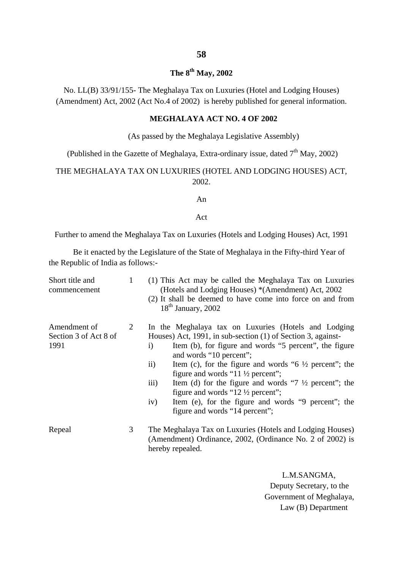#### **The 8th May, 2002**

No. LL(B) 33/91/155- The Meghalaya Tax on Luxuries (Hotel and Lodging Houses) (Amendment) Act, 2002 (Act No.4 of 2002) is hereby published for general information.

#### **MEGHALAYA ACT NO. 4 OF 2002**

#### (As passed by the Meghalaya Legislative Assembly)

(Published in the Gazette of Meghalaya, Extra-ordinary issue, dated  $7<sup>th</sup>$  May, 2002)

#### THE MEGHALAYA TAX ON LUXURIES (HOTEL AND LODGING HOUSES) ACT, 2002.

#### An

#### Act

Further to amend the Meghalaya Tax on Luxuries (Hotels and Lodging Houses) Act, 1991

Be it enacted by the Legislature of the State of Meghalaya in the Fifty-third Year of the Republic of India as follows:-

| Short title and<br>commencement               | 1 | (1) This Act may be called the Meghalaya Tax on Luxuries<br>(Hotels and Lodging Houses) * (Amendment) Act, 2002<br>(2) It shall be deemed to have come into force on and from<br>$18th$ January, 2002                                                                                                                                                                                                                                                                                                                                                                                           |
|-----------------------------------------------|---|-------------------------------------------------------------------------------------------------------------------------------------------------------------------------------------------------------------------------------------------------------------------------------------------------------------------------------------------------------------------------------------------------------------------------------------------------------------------------------------------------------------------------------------------------------------------------------------------------|
| Amendment of<br>Section 3 of Act 8 of<br>1991 | 2 | In the Meghalaya tax on Luxuries (Hotels and Lodging<br>Houses) Act, 1991, in sub-section (1) of Section 3, against-<br>Item (b), for figure and words "5 percent", the figure<br>$\rm i)$<br>and words "10 percent";<br>$\rm ii)$<br>Item (c), for the figure and words " $6\frac{1}{2}$ percent"; the<br>figure and words " $11\frac{1}{2}$ percent";<br>$\overline{iii}$<br>Item (d) for the figure and words " $7\frac{1}{2}$ percent"; the<br>figure and words " $12\frac{1}{2}$ percent";<br>Item (e), for the figure and words "9 percent"; the<br>iv)<br>figure and words "14 percent"; |
| Repeal                                        | 3 | The Meghalaya Tax on Luxuries (Hotels and Lodging Houses)<br>(Amendment) Ordinance, 2002, (Ordinance No. 2 of 2002) is<br>hereby repealed.                                                                                                                                                                                                                                                                                                                                                                                                                                                      |

 L.M.SANGMA, Deputy Secretary, to the Government of Meghalaya, Law (B) Department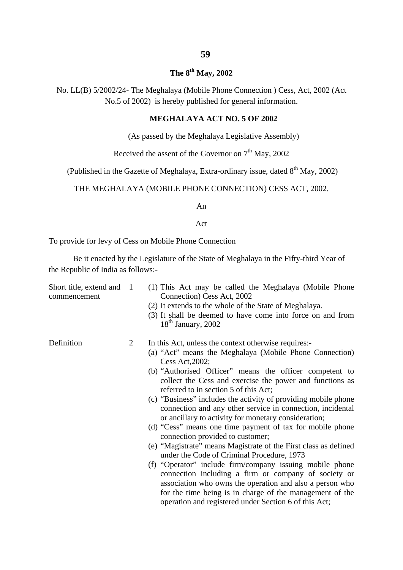#### **The 8th May, 2002**

No. LL(B) 5/2002/24- The Meghalaya (Mobile Phone Connection ) Cess, Act, 2002 (Act No.5 of 2002) is hereby published for general information.

#### **MEGHALAYA ACT NO. 5 OF 2002**

(As passed by the Meghalaya Legislative Assembly)

Received the assent of the Governor on  $7<sup>th</sup>$  May, 2002

(Published in the Gazette of Meghalaya, Extra-ordinary issue, dated  $8<sup>th</sup>$  May, 2002)

#### THE MEGHALAYA (MOBILE PHONE CONNECTION) CESS ACT, 2002.

An

Act

To provide for levy of Cess on Mobile Phone Connection

Be it enacted by the Legislature of the State of Meghalaya in the Fifty-third Year of the Republic of India as follows:-

- Short title, extend and 1 (1) This Act may be called the Meghalaya (Mobile Phone commencement Connection) Cess Act, 2002
	- (2) It extends to the whole of the State of Meghalaya.
	- (3) It shall be deemed to have come into force on and from  $18<sup>th</sup>$  January, 2002

- Definition 2 In this Act, unless the context otherwise requires:-
	- (a) "Act" means the Meghalaya (Mobile Phone Connection) Cess Act,2002;
	- (b) "Authorised Officer" means the officer competent to collect the Cess and exercise the power and functions as referred to in section 5 of this Act;
	- (c) "Business" includes the activity of providing mobile phone connection and any other service in connection, incidental or ancillary to activity for monetary consideration;
	- (d) "Cess" means one time payment of tax for mobile phone connection provided to customer;
	- (e) "Magistrate" means Magistrate of the First class as defined under the Code of Criminal Procedure, 1973
	- (f) "Operator" include firm/company issuing mobile phone connection including a firm or company of society or association who owns the operation and also a person who for the time being is in charge of the management of the operation and registered under Section 6 of this Act;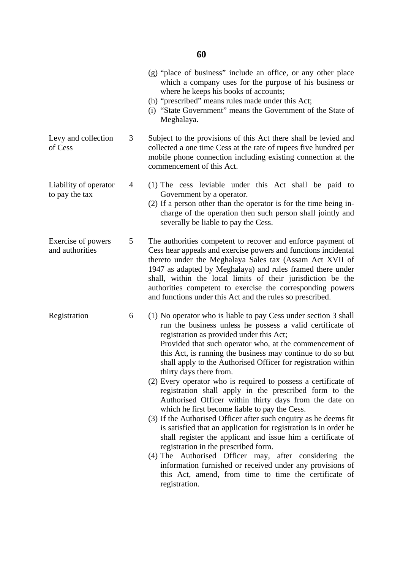|                                         |   | (g) "place of business" include an office, or any other place<br>which a company uses for the purpose of his business or<br>where he keeps his books of accounts;<br>(h) "prescribed" means rules made under this Act;<br>(i) "State Government" means the Government of the State of<br>Meghalaya.                                                                                                                                                                                                                                                                                                                                                                                                                                                                                                                                                                                                                                                                                                                                                                                  |
|-----------------------------------------|---|--------------------------------------------------------------------------------------------------------------------------------------------------------------------------------------------------------------------------------------------------------------------------------------------------------------------------------------------------------------------------------------------------------------------------------------------------------------------------------------------------------------------------------------------------------------------------------------------------------------------------------------------------------------------------------------------------------------------------------------------------------------------------------------------------------------------------------------------------------------------------------------------------------------------------------------------------------------------------------------------------------------------------------------------------------------------------------------|
| Levy and collection<br>of Cess          | 3 | Subject to the provisions of this Act there shall be levied and<br>collected a one time Cess at the rate of rupees five hundred per<br>mobile phone connection including existing connection at the<br>commencement of this Act.                                                                                                                                                                                                                                                                                                                                                                                                                                                                                                                                                                                                                                                                                                                                                                                                                                                     |
| Liability of operator<br>to pay the tax | 4 | (1) The cess leviable under this Act shall be paid to<br>Government by a operator.<br>(2) If a person other than the operator is for the time being in-<br>charge of the operation then such person shall jointly and<br>severally be liable to pay the Cess.                                                                                                                                                                                                                                                                                                                                                                                                                                                                                                                                                                                                                                                                                                                                                                                                                        |
| Exercise of powers<br>and authorities   | 5 | The authorities competent to recover and enforce payment of<br>Cess hear appeals and exercise powers and functions incidental<br>thereto under the Meghalaya Sales tax (Assam Act XVII of<br>1947 as adapted by Meghalaya) and rules framed there under<br>shall, within the local limits of their jurisdiction be the<br>authorities competent to exercise the corresponding powers<br>and functions under this Act and the rules so prescribed.                                                                                                                                                                                                                                                                                                                                                                                                                                                                                                                                                                                                                                    |
| Registration                            | 6 | (1) No operator who is liable to pay Cess under section 3 shall<br>run the business unless he possess a valid certificate of<br>registration as provided under this Act;<br>Provided that such operator who, at the commencement of<br>this Act, is running the business may continue to do so but<br>shall apply to the Authorised Officer for registration within<br>thirty days there from.<br>(2) Every operator who is required to possess a certificate of<br>registration shall apply in the prescribed form to the<br>Authorised Officer within thirty days from the date on<br>which he first become liable to pay the Cess.<br>(3) If the Authorised Officer after such enquiry as he deems fit<br>is satisfied that an application for registration is in order he<br>shall register the applicant and issue him a certificate of<br>registration in the prescribed form.<br>(4) The Authorised Officer may, after considering the<br>information furnished or received under any provisions of<br>this Act, amend, from time to time the certificate of<br>registration. |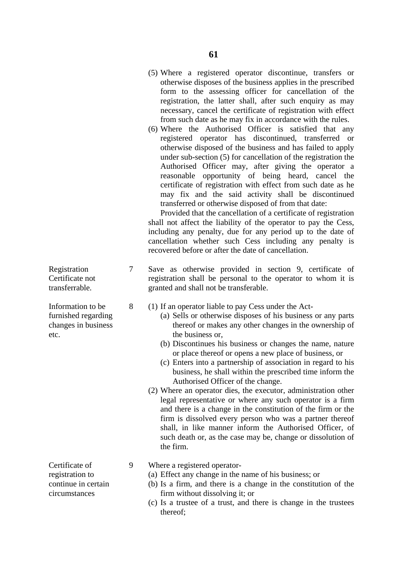- (5) Where a registered operator discontinue, transfers or otherwise disposes of the business applies in the prescribed form to the assessing officer for cancellation of the registration, the latter shall, after such enquiry as may necessary, cancel the certificate of registration with effect from such date as he may fix in accordance with the rules.
- (6) Where the Authorised Officer is satisfied that any registered operator has discontinued, transferred or otherwise disposed of the business and has failed to apply under sub-section (5) for cancellation of the registration the Authorised Officer may, after giving the operator a reasonable opportunity of being heard, cancel the certificate of registration with effect from such date as he may fix and the said activity shall be discontinued transferred or otherwise disposed of from that date:

 Provided that the cancellation of a certificate of registration shall not affect the liability of the operator to pay the Cess, including any penalty, due for any period up to the date of cancellation whether such Cess including any penalty is recovered before or after the date of cancellation.

- Registration 7 Save as otherwise provided in section 9, certificate of Certificate not registration shall be personal to the operator to whom it is transferrable. granted and shall not be transferable.
- Information to be 8 (1) If an operator liable to pay Cess under the Act-
- furnished regarding (a) Sells or otherwise disposes of his business or any parts changes in business thereof or makes any other changes in the ownership of
	- (b) Discontinues his business or changes the name, nature or place thereof or opens a new place of business, or
	- (c) Enters into a partnership of association in regard to his business, he shall within the prescribed time inform the Authorised Officer of the change.
	- (2) Where an operator dies, the executor, administration other legal representative or where any such operator is a firm and there is a change in the constitution of the firm or the firm is dissolved every person who was a partner thereof shall, in like manner inform the Authorised Officer, of such death or, as the case may be, change or dissolution of the firm.
- Certificate of 9 Where a registered operator-
- registration to (a) Effect any change in the name of his business; or
- continue in certain (b) Is a firm, and there is a change in the constitution of the circumstances firm without dissolving it; or
	- (c) Is a trustee of a trust, and there is change in the trustees thereof;

etc. the business or,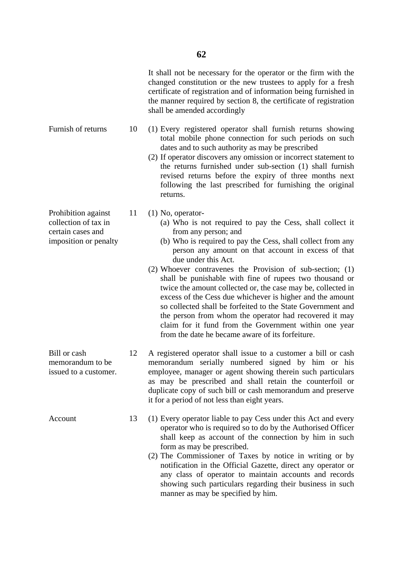It shall not be necessary for the operator or the firm with the changed constitution or the new trustees to apply for a fresh certificate of registration and of information being furnished in the manner required by section 8, the certificate of registration shall be amended accordingly

- Furnish of returns 10 (1) Every registered operator shall furnish returns showing total mobile phone connection for such periods on such dates and to such authority as may be prescribed
	- (2) If operator discovers any omission or incorrect statement to the returns furnished under sub-section (1) shall furnish revised returns before the expiry of three months next following the last prescribed for furnishing the original returns.
	-
- collection of tax in (a) Who is not required to pay the Cess, shall collect it certain cases and from any person; and
- imposition or penalty (b) Who is required to pay the Cess, shall collect from any person any amount on that account in excess of that due under this Act.
	- (2) Whoever contravenes the Provision of sub-section; (1) shall be punishable with fine of rupees two thousand or twice the amount collected or, the case may be, collected in excess of the Cess due whichever is higher and the amount so collected shall be forfeited to the State Government and the person from whom the operator had recovered it may claim for it fund from the Government within one year from the date he became aware of its forfeiture.
- Bill or cash 12 A registered operator shall issue to a customer a bill or cash memorandum to be memorandum serially numbered signed by him or his issued to a customer. employee, manager or agent showing therein such particulars as may be prescribed and shall retain the counterfoil or duplicate copy of such bill or cash memorandum and preserve it for a period of not less than eight years.
- Account 13 (1) Every operator liable to pay Cess under this Act and every operator who is required so to do by the Authorised Officer shall keep as account of the connection by him in such form as may be prescribed.
	- (2) The Commissioner of Taxes by notice in writing or by notification in the Official Gazette, direct any operator or any class of operator to maintain accounts and records showing such particulars regarding their business in such manner as may be specified by him.

Prohibition against 11 (1) No, operator-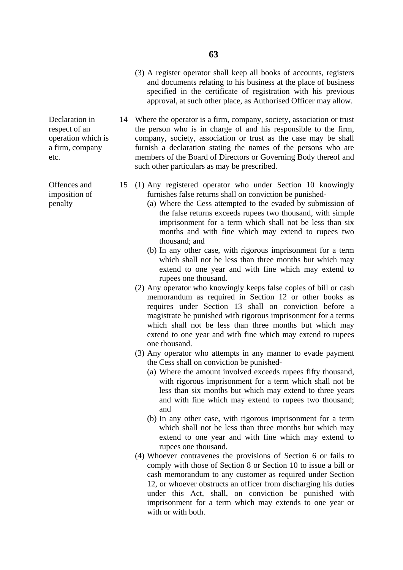(3) A register operator shall keep all books of accounts, registers and documents relating to his business at the place of business specified in the certificate of registration with his previous approval, at such other place, as Authorised Officer may allow.

Declaration in 14 Where the operator is a firm, company, society, association or trust respect of an the person who is in charge of and his responsible to the firm, operation which is company, society, association or trust as the case may be shall a firm, company furnish a declaration stating the names of the persons who are etc. members of the Board of Directors or Governing Body thereof and such other particulars as may be prescribed.

- Offences and 15 (1) Any registered operator who under Section 10 knowingly imposition of furnishes false returns shall on conviction be punished-
- penalty (a) Where the Cess attempted to the evaded by submission of the false returns exceeds rupees two thousand, with simple imprisonment for a term which shall not be less than six months and with fine which may extend to rupees two thousand; and
	- (b) In any other case, with rigorous imprisonment for a term which shall not be less than three months but which may extend to one year and with fine which may extend to rupees one thousand.
	- (2) Any operator who knowingly keeps false copies of bill or cash memorandum as required in Section 12 or other books as requires under Section 13 shall on conviction before a magistrate be punished with rigorous imprisonment for a terms which shall not be less than three months but which may extend to one year and with fine which may extend to rupees one thousand.
	- (3) Any operator who attempts in any manner to evade payment the Cess shall on conviction be punished-
		- (a) Where the amount involved exceeds rupees fifty thousand, with rigorous imprisonment for a term which shall not be less than six months but which may extend to three years and with fine which may extend to rupees two thousand; and
		- (b) In any other case, with rigorous imprisonment for a term which shall not be less than three months but which may extend to one year and with fine which may extend to rupees one thousand.
	- (4) Whoever contravenes the provisions of Section 6 or fails to comply with those of Section 8 or Section 10 to issue a bill or cash memorandum to any customer as required under Section 12, or whoever obstructs an officer from discharging his duties under this Act, shall, on conviction be punished with imprisonment for a term which may extends to one year or with or with both.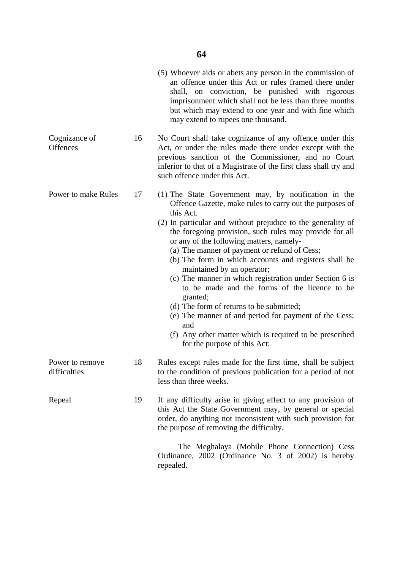|                                 |    | (5) Whoever aids or abets any person in the commission of<br>an offence under this Act or rules framed there under<br>shall, on conviction, be punished with rigorous<br>imprisonment which shall not be less than three months<br>but which may extend to one year and with fine which<br>may extend to rupees one thousand.                                                                                                                                                                                                                                                                                                                                                                                                                                              |
|---------------------------------|----|----------------------------------------------------------------------------------------------------------------------------------------------------------------------------------------------------------------------------------------------------------------------------------------------------------------------------------------------------------------------------------------------------------------------------------------------------------------------------------------------------------------------------------------------------------------------------------------------------------------------------------------------------------------------------------------------------------------------------------------------------------------------------|
| Cognizance of<br>Offences       | 16 | No Court shall take cognizance of any offence under this<br>Act, or under the rules made there under except with the<br>previous sanction of the Commissioner, and no Court<br>inferior to that of a Magistrate of the first class shall try and<br>such offence under this Act.                                                                                                                                                                                                                                                                                                                                                                                                                                                                                           |
| Power to make Rules             | 17 | (1) The State Government may, by notification in the<br>Offence Gazette, make rules to carry out the purposes of<br>this Act.<br>(2) In particular and without prejudice to the generality of<br>the foregoing provision, such rules may provide for all<br>or any of the following matters, namely-<br>(a) The manner of payment or refund of Cess;<br>(b) The form in which accounts and registers shall be<br>maintained by an operator;<br>(c) The manner in which registration under Section 6 is<br>to be made and the forms of the licence to be<br>granted;<br>(d) The form of returns to be submitted;<br>(e) The manner of and period for payment of the Cess;<br>and<br>(f) Any other matter which is required to be prescribed<br>for the purpose of this Act; |
| Power to remove<br>difficulties | 18 | Rules except rules made for the first time, shall be subject<br>to the condition of previous publication for a period of not<br>less than three weeks.                                                                                                                                                                                                                                                                                                                                                                                                                                                                                                                                                                                                                     |
| Repeal                          | 19 | If any difficulty arise in giving effect to any provision of<br>this Act the State Government may, by general or special<br>order, do anything not inconsistent with such provision for<br>the purpose of removing the difficulty.                                                                                                                                                                                                                                                                                                                                                                                                                                                                                                                                         |
|                                 |    | The Meghalaya (Mobile Phone Connection) Cess<br>Ordinance, 2002 (Ordinance No. 3 of 2002) is hereby<br>repealed.                                                                                                                                                                                                                                                                                                                                                                                                                                                                                                                                                                                                                                                           |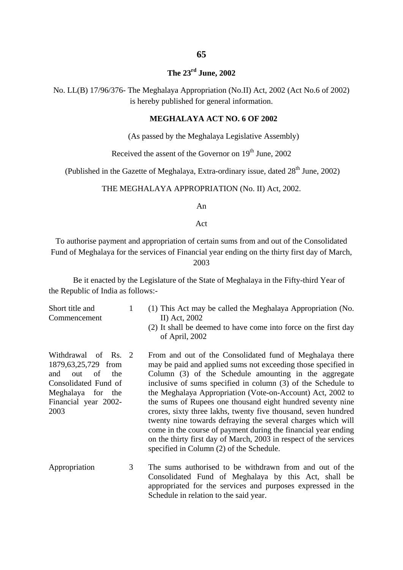#### **65**

#### **The 23rd June, 2002**

No. LL(B) 17/96/376- The Meghalaya Appropriation (No.II) Act, 2002 (Act No.6 of 2002) is hereby published for general information.

#### **MEGHALAYA ACT NO. 6 OF 2002**

(As passed by the Meghalaya Legislative Assembly)

Received the assent of the Governor on  $19<sup>th</sup>$  June, 2002

(Published in the Gazette of Meghalaya, Extra-ordinary issue, dated  $28<sup>th</sup>$  June, 2002)

#### THE MEGHALAYA APPROPRIATION (No. II) Act, 2002.

An

Act

To authorise payment and appropriation of certain sums from and out of the Consolidated Fund of Meghalaya for the services of Financial year ending on the thirty first day of March, 2003

Be it enacted by the Legislature of the State of Meghalaya in the Fifty-third Year of the Republic of India as follows:-

| Short title and<br>Commencement                                                                                                                       | 1 | (1) This Act may be called the Meghalaya Appropriation (No.<br>II) Act, 2002<br>(2) It shall be deemed to have come into force on the first day<br>of April, 2002                                                                                                                                                                                                                                                                                                                                                                                                                                                                                                                                   |
|-------------------------------------------------------------------------------------------------------------------------------------------------------|---|-----------------------------------------------------------------------------------------------------------------------------------------------------------------------------------------------------------------------------------------------------------------------------------------------------------------------------------------------------------------------------------------------------------------------------------------------------------------------------------------------------------------------------------------------------------------------------------------------------------------------------------------------------------------------------------------------------|
| Withdrawal of Rs. 2<br>1879, 63, 25, 729 from<br>the<br>and<br>of<br>out<br>Consolidated Fund of<br>Meghalaya for the<br>Financial year 2002-<br>2003 |   | From and out of the Consolidated fund of Meghalaya there<br>may be paid and applied sums not exceeding those specified in<br>Column (3) of the Schedule amounting in the aggregate<br>inclusive of sums specified in column (3) of the Schedule to<br>the Meghalaya Appropriation (Vote-on-Account) Act, 2002 to<br>the sums of Rupees one thousand eight hundred seventy nine<br>crores, sixty three lakhs, twenty five thousand, seven hundred<br>twenty nine towards defraying the several charges which will<br>come in the course of payment during the financial year ending<br>on the thirty first day of March, 2003 in respect of the services<br>specified in Column (2) of the Schedule. |
| Appropriation                                                                                                                                         | 3 | The sums authorised to be withdrawn from and out of the                                                                                                                                                                                                                                                                                                                                                                                                                                                                                                                                                                                                                                             |

Consolidated Fund of Meghalaya by this Act, shall be appropriated for the services and purposes expressed in the Schedule in relation to the said year.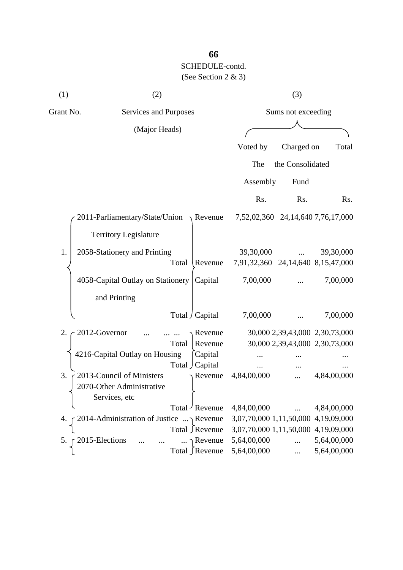| (1)       | (2)                                              | (3)                                                         |     |
|-----------|--------------------------------------------------|-------------------------------------------------------------|-----|
| Grant No. | Services and Purposes                            | Sums not exceeding                                          |     |
|           | (Major Heads)                                    |                                                             |     |
|           |                                                  | Voted by<br>Charged on<br>Total                             |     |
|           |                                                  | the Consolidated<br>The                                     |     |
|           |                                                  | Assembly<br>Fund                                            |     |
|           |                                                  | Rs.<br>Rs.                                                  | Rs. |
|           | $2011$ -Parliamentary/State/Union Revenue        | 7,52,02,360 24,14,640 7,76,17,000                           |     |
|           | <b>Territory Legislature</b>                     |                                                             |     |
| 1.        | 2058-Stationery and Printing<br>Total<br>Revenue | 39,30,000<br>39,30,000<br>7,91,32,360 24,14,640 8,15,47,000 |     |
|           | 4058-Capital Outlay on Stationery<br>Capital     | 7,00,000<br>7,00,000                                        |     |
|           | and Printing                                     |                                                             |     |
|           | Total / Capital                                  | 7,00,000<br>7,00,000                                        |     |
| 2.        | 2012-Governor<br>Revenue                         | 30,000 2,39,43,000 2,30,73,000                              |     |
|           | Total<br>Revenue                                 | 30,000 2,39,43,000 2,30,73,000                              |     |
|           | 4216-Capital Outlay on Housing<br>Capital        |                                                             |     |
|           | Total Capital                                    |                                                             |     |
| 3.        | 2013-Council of Ministers<br>Revenue             | 4,84,00,000<br>4,84,00,000                                  |     |
|           | 2070-Other Administrative                        |                                                             |     |
|           | Services, etc                                    |                                                             |     |
|           | Total Revenue                                    | 4,84,00,000<br>4,84,00,000                                  |     |
| 4.        | r 2014-Administration of Justice  Revenue        | 3,07,70,000 1,11,50,000 4,19,09,000                         |     |
|           | Total ∫Revenue                                   | 3,07,70,000 1,11,50,000 4,19,09,000                         |     |
| 5.        | 2015-Elections<br>$\ldots \neg$ Revenue          | 5,64,00,000<br>5,64,00,000<br>.                             |     |
|           | Total ∫Revenue                                   | 5,64,00,000<br>5,64,00,000                                  |     |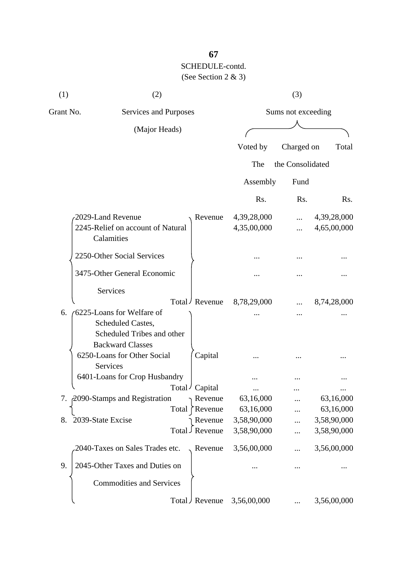| (1)       | (2)                                                                                                      |                            | (3)                |                            |
|-----------|----------------------------------------------------------------------------------------------------------|----------------------------|--------------------|----------------------------|
| Grant No. | Services and Purposes                                                                                    |                            | Sums not exceeding |                            |
|           | (Major Heads)                                                                                            |                            |                    |                            |
|           |                                                                                                          | Voted by                   | Charged on         | Total                      |
|           |                                                                                                          | The                        | the Consolidated   |                            |
|           |                                                                                                          | Assembly                   | Fund               |                            |
|           |                                                                                                          | Rs.                        | Rs.                | R <sub>s</sub> .           |
|           | 2029-Land Revenue<br>Revenue<br>2245-Relief on account of Natural<br>Calamities                          | 4,39,28,000<br>4,35,00,000 | <br>               | 4,39,28,000<br>4,65,00,000 |
|           | 2250-Other Social Services                                                                               |                            |                    |                            |
|           | 3475-Other General Economic                                                                              |                            |                    |                            |
|           | Services<br>Total / Revenue                                                                              | 8,78,29,000                |                    | 8,74,28,000                |
| 6.        | (6225-Loans for Welfare of<br>Scheduled Castes,<br>Scheduled Tribes and other<br><b>Backward Classes</b> |                            |                    |                            |
|           | 6250-Loans for Other Social<br>Capital<br>Services                                                       |                            |                    |                            |
|           | 6401-Loans for Crop Husbandry<br>Total<br>' Capital                                                      |                            |                    |                            |
|           | 7. 2090-Stamps and Registration<br>Revenue<br>Revenue<br>Total                                           | 63,16,000<br>63,16,000     |                    | 63,16,000<br>63,16,000     |
| 8.        | 2039-State Excise<br>Revenue<br>Total J Revenue                                                          | 3,58,90,000<br>3,58,90,000 |                    | 3,58,90,000<br>3,58,90,000 |
|           | 2040-Taxes on Sales Trades etc.<br>Revenue                                                               | 3,56,00,000                |                    | 3,56,00,000                |
| 9.        | 2045-Other Taxes and Duties on                                                                           |                            |                    |                            |
|           | <b>Commodities and Services</b>                                                                          |                            |                    |                            |
|           | Total J Revenue                                                                                          | 3,56,00,000                |                    | 3,56,00,000                |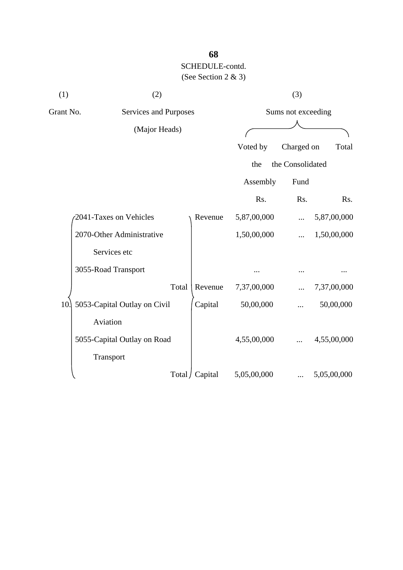| (1)       | (2)                          | (3)                |             |                  |             |  |  |
|-----------|------------------------------|--------------------|-------------|------------------|-------------|--|--|
| Grant No. | Services and Purposes        | Sums not exceeding |             |                  |             |  |  |
|           | (Major Heads)                |                    |             |                  |             |  |  |
|           |                              |                    | Voted by    | Charged on       | Total       |  |  |
|           |                              |                    | the         | the Consolidated |             |  |  |
|           |                              |                    | Assembly    | Fund             |             |  |  |
|           |                              |                    | Rs.         | Rs.              | Rs.         |  |  |
|           | 2041-Taxes on Vehicles       | Revenue            | 5,87,00,000 |                  | 5,87,00,000 |  |  |
|           | 2070-Other Administrative    |                    | 1,50,00,000 |                  | 1,50,00,000 |  |  |
|           | Services etc                 |                    |             |                  |             |  |  |
|           | 3055-Road Transport          |                    |             |                  |             |  |  |
|           | Total                        | Revenue            | 7,37,00,000 |                  | 7,37,00,000 |  |  |
| 10.       | 5053-Capital Outlay on Civil | Capital            | 50,00,000   |                  | 50,00,000   |  |  |
|           | Aviation                     |                    |             |                  |             |  |  |
|           | 5055-Capital Outlay on Road  |                    | 4,55,00,000 |                  | 4,55,00,000 |  |  |
|           | Transport                    |                    |             |                  |             |  |  |
|           |                              | Total / Capital    | 5,05,00,000 |                  | 5,05,00,000 |  |  |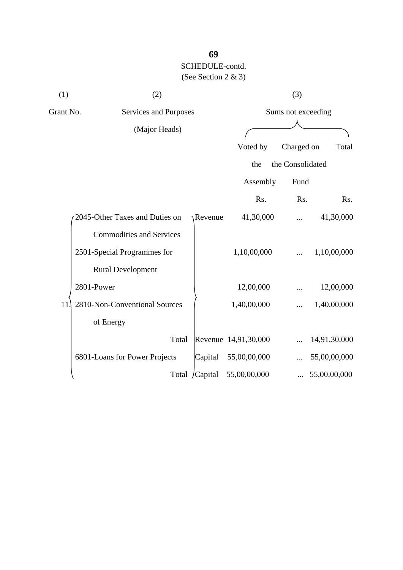| (1)       | (2)                             | (3)            |                      |                    |              |  |
|-----------|---------------------------------|----------------|----------------------|--------------------|--------------|--|
| Grant No. | Services and Purposes           |                |                      | Sums not exceeding |              |  |
|           | (Major Heads)                   |                |                      |                    |              |  |
|           |                                 |                | Voted by             | Charged on         | Total        |  |
|           |                                 |                | the                  | the Consolidated   |              |  |
|           |                                 |                | Assembly             | Fund               |              |  |
|           |                                 |                |                      |                    |              |  |
|           |                                 |                | Rs.                  | Rs.                | Rs.          |  |
|           | 2045-Other Taxes and Duties on  | Revenue        | 41,30,000            |                    | 41,30,000    |  |
|           | <b>Commodities and Services</b> |                |                      |                    |              |  |
|           | 2501-Special Programmes for     |                | 1,10,00,000          | $\cdots$           | 1,10,00,000  |  |
|           | <b>Rural Development</b>        |                |                      |                    |              |  |
|           | 2801-Power                      |                | 12,00,000            |                    | 12,00,000    |  |
| 11        | 2810-Non-Conventional Sources   |                | 1,40,00,000          | .                  | 1,40,00,000  |  |
|           | of Energy                       |                |                      |                    |              |  |
|           | Total                           |                | Revenue 14,91,30,000 |                    | 14,91,30,000 |  |
|           | 6801-Loans for Power Projects   | Capital        | 55,00,00,000         |                    | 55,00,00,000 |  |
|           |                                 | Total /Capital | 55,00,00,000         |                    | 55,00,00,000 |  |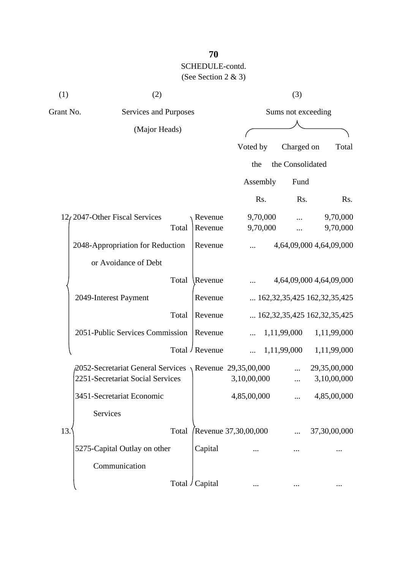| (1)       | (2)                                                             |                 |                      | (3)                |                                            |
|-----------|-----------------------------------------------------------------|-----------------|----------------------|--------------------|--------------------------------------------|
| Grant No. | Services and Purposes                                           |                 |                      | Sums not exceeding |                                            |
|           | (Major Heads)                                                   |                 |                      |                    |                                            |
|           |                                                                 |                 | Voted by             | Charged on         | Total                                      |
|           |                                                                 |                 | the                  | the Consolidated   |                                            |
|           |                                                                 |                 | Assembly             | Fund               |                                            |
|           |                                                                 |                 | Rs.                  | Rs.                | Rs.                                        |
|           | $12/2047$ -Other Fiscal Services                                | Revenue         | 9,70,000             |                    | 9,70,000                                   |
|           | Total                                                           | Revenue         | 9,70,000             |                    | 9,70,000                                   |
|           | 2048-Appropriation for Reduction                                | Revenue         |                      |                    | 4,64,09,000 4,64,09,000                    |
|           | or Avoidance of Debt                                            |                 |                      |                    |                                            |
|           | Total                                                           | Revenue         |                      |                    | 4,64,09,000 4,64,09,000                    |
|           | 2049-Interest Payment                                           | Revenue         |                      |                    | $\ldots$ 162, 32, 35, 425 162, 32, 35, 425 |
|           | Total                                                           | Revenue         |                      |                    | $\ldots$ 162, 32, 35, 425 162, 32, 35, 425 |
|           | 2051-Public Services Commission                                 | Revenue         |                      | 1,11,99,000        | 1,11,99,000                                |
|           |                                                                 | Total / Revenue |                      | 1,11,99,000        | 1,11,99,000                                |
|           | $\beta$ 2052-Secretariat General Services \Revenue 29,35,00,000 |                 |                      |                    | 29,35,00,000                               |
|           | 2251-Secretariat Social Services                                |                 | 3,10,00,000          |                    | 3,10,00,000                                |
|           | 3451-Secretariat Economic                                       |                 | 4,85,00,000          |                    | 4,85,00,000                                |
|           | Services                                                        |                 |                      |                    |                                            |
| 13.       | Total                                                           |                 | Revenue 37,30,00,000 |                    | 37,30,00,000                               |
|           | 5275-Capital Outlay on other                                    | Capital         |                      |                    |                                            |
|           | Communication                                                   |                 |                      |                    |                                            |
|           |                                                                 | Total / Capital |                      |                    |                                            |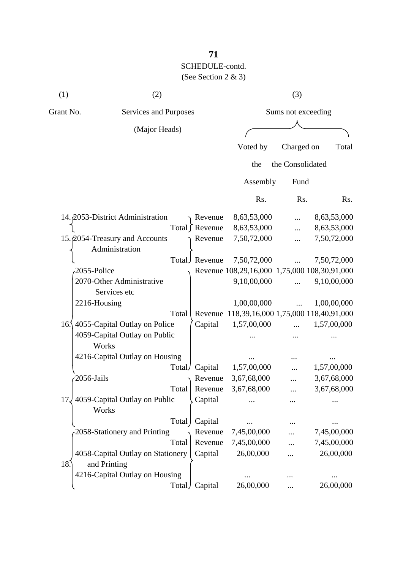| (1)       | (2)                                               |       |                 |                                              | (3)                |             |
|-----------|---------------------------------------------------|-------|-----------------|----------------------------------------------|--------------------|-------------|
| Grant No. | Services and Purposes                             |       |                 |                                              | Sums not exceeding |             |
|           | (Major Heads)                                     |       |                 |                                              |                    |             |
|           |                                                   |       |                 | Voted by                                     | Charged on         | Total       |
|           |                                                   |       |                 | the                                          | the Consolidated   |             |
|           |                                                   |       |                 |                                              |                    |             |
|           |                                                   |       |                 | Assembly                                     | Fund               |             |
|           |                                                   |       |                 | Rs.                                          | Rs.                | Rs.         |
|           | 14. 2053-District Administration                  |       | Revenue         | 8,63,53,000                                  |                    | 8,63,53,000 |
|           |                                                   |       | Total ∫ Revenue | 8,63,53,000                                  |                    | 8,63,53,000 |
|           | 15. 2054-Treasury and Accounts<br>Administration  |       | Revenue         | 7,50,72,000                                  |                    | 7,50,72,000 |
|           |                                                   |       | Total Revenue   | 7,50,72,000                                  | $\dddotsc$         | 7,50,72,000 |
|           | 2055-Police                                       |       |                 | Revenue 108,29,16,000 1,75,000 108,30,91,000 |                    |             |
|           | 2070-Other Administrative<br>Services etc         |       |                 | 9,10,00,000                                  | $\dddotsc$         | 9,10,00,000 |
|           | 2216-Housing                                      |       |                 | 1,00,00,000                                  | $\dddotsc$         | 1,00,00,000 |
|           |                                                   | Total |                 | Revenue 118,39,16,000 1,75,000 118,40,91,000 |                    |             |
|           | 16.\ 4055-Capital Outlay on Police                |       | Capital         | 1,57,00,000                                  |                    | 1,57,00,000 |
|           | 4059-Capital Outlay on Public<br>Works            |       |                 |                                              |                    |             |
|           | 4216-Capital Outlay on Housing                    |       |                 |                                              |                    |             |
|           |                                                   |       | Total/ Capital  | 1,57,00,000                                  |                    | 1,57,00,000 |
|           | 2056-Jails                                        |       | Revenue         | 3,67,68,000                                  |                    | 3,67,68,000 |
|           |                                                   | Total | Revenue         | 3,67,68,000                                  |                    | 3,67,68,000 |
| 17        | 4059-Capital Outlay on Public<br>Works            |       | Capital         |                                              |                    |             |
|           |                                                   | Total | Capital         |                                              |                    |             |
|           | 2058-Stationery and Printing                      |       | Revenue         | 7,45,00,000                                  |                    | 7,45,00,000 |
|           |                                                   | Total | Revenue         | 7,45,00,000                                  |                    | 7,45,00,000 |
| 18.       | 4058-Capital Outlay on Stationery<br>and Printing |       | Capital         | 26,00,000                                    |                    | 26,00,000   |
|           | 4216-Capital Outlay on Housing                    |       |                 |                                              |                    |             |
|           |                                                   |       | Total Capital   | 26,00,000                                    |                    | 26,00,000   |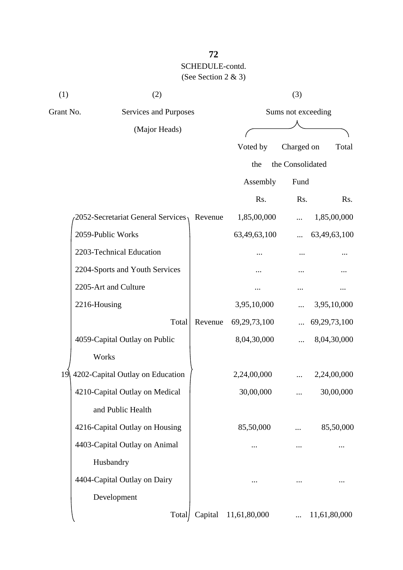| (1)<br>(2) |                                        | (3)     |                      |                    |              |  |  |
|------------|----------------------------------------|---------|----------------------|--------------------|--------------|--|--|
| Grant No.  | Services and Purposes<br>(Major Heads) |         |                      | Sums not exceeding |              |  |  |
|            |                                        |         |                      |                    |              |  |  |
|            |                                        |         | Voted by             | Charged on         | Total        |  |  |
|            |                                        |         | the                  | the Consolidated   |              |  |  |
|            |                                        |         | Assembly             | Fund               |              |  |  |
|            |                                        |         | Rs.                  | Rs.                | Rs.          |  |  |
|            | 2052-Secretariat General Services      | Revenue | 1,85,00,000          |                    | 1,85,00,000  |  |  |
|            | 2059-Public Works                      |         | 63,49,63,100         | .                  | 63,49,63,100 |  |  |
|            | 2203-Technical Education               |         |                      |                    |              |  |  |
|            | 2204-Sports and Youth Services         |         |                      |                    |              |  |  |
|            | 2205-Art and Culture                   |         |                      |                    |              |  |  |
|            | 2216-Housing                           |         | 3,95,10,000          |                    | 3,95,10,000  |  |  |
|            | Total                                  | Revenue | 69, 29, 73, 100      |                    | 69,29,73,100 |  |  |
|            | 4059-Capital Outlay on Public          |         | 8,04,30,000          |                    | 8,04,30,000  |  |  |
|            | Works                                  |         |                      |                    |              |  |  |
| 19         | 4202-Capital Outlay on Education       |         | 2,24,00,000          |                    | 2,24,00,000  |  |  |
|            | 4210-Capital Outlay on Medical         |         | 30,00,000            |                    | 30,00,000    |  |  |
|            | and Public Health                      |         |                      |                    |              |  |  |
|            | 4216-Capital Outlay on Housing         |         | 85,50,000            |                    | 85,50,000    |  |  |
|            | 4403-Capital Outlay on Animal          |         |                      |                    |              |  |  |
|            | Husbandry                              |         |                      |                    |              |  |  |
|            | 4404-Capital Outlay on Dairy           |         |                      |                    |              |  |  |
|            | Development                            |         |                      |                    |              |  |  |
|            | Total                                  |         | Capital 11,61,80,000 |                    | 11,61,80,000 |  |  |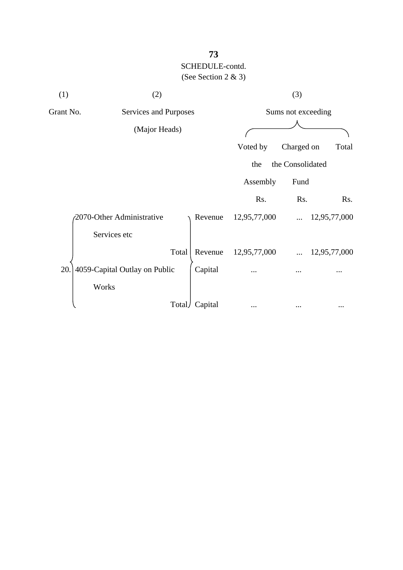| (1)           | (2)                                |         | (3)          |                    |              |
|---------------|------------------------------------|---------|--------------|--------------------|--------------|
|               | Grant No.<br>Services and Purposes |         |              | Sums not exceeding |              |
| (Major Heads) |                                    |         |              |                    |              |
|               |                                    |         | Voted by     | Charged on         | Total        |
|               |                                    |         | the          | the Consolidated   |              |
|               |                                    |         | Assembly     | Fund               |              |
|               |                                    |         | Rs.          | Rs.                | Rs.          |
|               | 2070-Other Administrative          | Revenue | 12,95,77,000 | $\cdots$           | 12,95,77,000 |
|               | Services etc                       |         |              |                    |              |
|               | Total                              | Revenue | 12,95,77,000 |                    | 12,95,77,000 |
| 20.           | 4059-Capital Outlay on Public      | Capital |              |                    |              |
|               | Works                              |         |              |                    |              |
|               | Total                              | Capital |              |                    |              |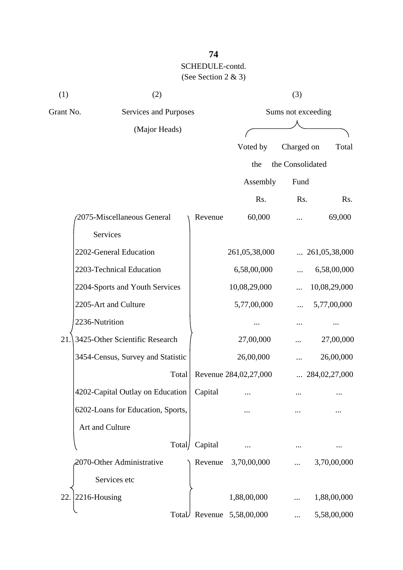| (1)       | (2)                               |         |                       | (3)              |                        |  |
|-----------|-----------------------------------|---------|-----------------------|------------------|------------------------|--|
| Grant No. | Services and Purposes             |         | Sums not exceeding    |                  |                        |  |
|           | (Major Heads)                     |         |                       |                  |                        |  |
|           |                                   |         | Voted by              | Charged on       | Total                  |  |
|           |                                   |         | the                   | the Consolidated |                        |  |
|           |                                   |         | Assembly              | Fund             |                        |  |
|           |                                   |         | Rs.                   | Rs.              | Rs.                    |  |
|           | 2075-Miscellaneous General        | Revenue | 60,000                |                  | 69,000                 |  |
|           | Services                          |         |                       |                  |                        |  |
|           | 2202-General Education            |         | 261,05,38,000         |                  | $\ldots$ 261,05,38,000 |  |
|           | 2203-Technical Education          |         | 6,58,00,000           |                  | 6,58,00,000            |  |
|           | 2204-Sports and Youth Services    |         | 10,08,29,000          |                  | 10,08,29,000           |  |
|           | 2205-Art and Culture              |         | 5,77,00,000           |                  | 5,77,00,000            |  |
|           | 2236-Nutrition                    |         |                       |                  |                        |  |
| 21.       | 3425-Other Scientific Research    |         | 27,00,000             |                  | 27,00,000              |  |
|           | 3454-Census, Survey and Statistic |         | 26,00,000             |                  | 26,00,000              |  |
|           | Total                             |         | Revenue 284,02,27,000 |                  | $\ldots$ 284,02,27,000 |  |
|           | 4202-Capital Outlay on Education  | Capital |                       |                  |                        |  |
|           | 6202-Loans for Education, Sports, |         |                       |                  |                        |  |
|           | Art and Culture                   |         |                       |                  |                        |  |
|           | Total/                            | Capital |                       |                  |                        |  |
|           | 2070-Other Administrative         | Revenue | 3,70,00,000           |                  | 3,70,00,000            |  |
|           | Services etc                      |         |                       |                  |                        |  |
| 22.       | 2216-Housing                      |         | 1,88,00,000           |                  | 1,88,00,000            |  |
|           | Total                             |         | Revenue 5,58,00,000   |                  | 5,58,00,000            |  |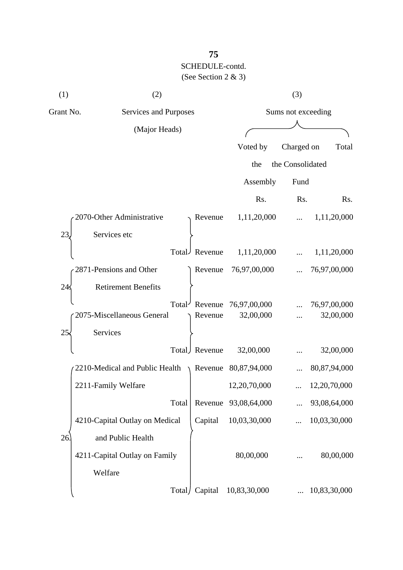| (1)       | (2)                            | (3)                 |                      |                  |              |
|-----------|--------------------------------|---------------------|----------------------|------------------|--------------|
| Grant No. | Services and Purposes          |                     | Sums not exceeding   |                  |              |
|           | (Major Heads)                  |                     |                      |                  |              |
|           |                                |                     | Voted by             | Charged on       | Total        |
|           |                                |                     | the                  | the Consolidated |              |
|           |                                |                     | Assembly             | Fund             |              |
|           |                                |                     | Rs.                  | Rs.              | Rs.          |
|           | 2070-Other Administrative      | Revenue             | 1,11,20,000          |                  | 1,11,20,000  |
| 23        | Services etc                   |                     |                      |                  |              |
|           |                                | Total Revenue       | 1,11,20,000          |                  | 1,11,20,000  |
|           | 2871-Pensions and Other        | Revenue             | 76,97,00,000         |                  | 76,97,00,000 |
| 24        | <b>Retirement Benefits</b>     |                     |                      |                  |              |
|           | Total <sup></sup>              | Revenue             | 76,97,00,000         |                  | 76,97,00,000 |
|           | 2075-Miscellaneous General     | Revenue             | 32,00,000            |                  | 32,00,000    |
| 25        | Services                       |                     |                      |                  |              |
|           | Total)                         | Revenue             | 32,00,000            |                  | 32,00,000    |
|           | 2210-Medical and Public Health | $\setminus$ Revenue | 80,87,94,000         |                  | 80,87,94,000 |
|           | 2211-Family Welfare            |                     | 12,20,70,000         |                  | 12,20,70,000 |
|           | Total                          |                     | Revenue 93,08,64,000 |                  | 93,08,64,000 |
|           | 4210-Capital Outlay on Medical | Capital             | 10,03,30,000         |                  | 10,03,30,000 |
| 26        | and Public Health              |                     |                      |                  |              |
|           | 4211-Capital Outlay on Family  |                     | 80,00,000            |                  | 80,00,000    |
|           | Welfare                        |                     |                      |                  |              |
|           | Total/                         | Capital             | 10,83,30,000         |                  | 10,83,30,000 |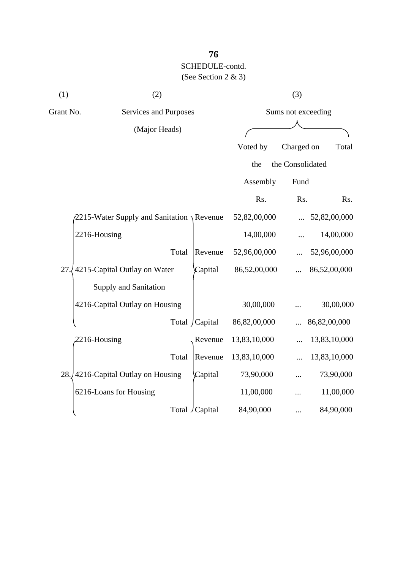| (1)       | (2)                                                 |                 |                    | (3)              |              |
|-----------|-----------------------------------------------------|-----------------|--------------------|------------------|--------------|
| Grant No. | Services and Purposes                               |                 | Sums not exceeding |                  |              |
|           | (Major Heads)                                       |                 |                    |                  |              |
|           |                                                     |                 | Voted by           | Charged on       | Total        |
|           |                                                     |                 | the                | the Consolidated |              |
|           |                                                     |                 | Assembly           | Fund             |              |
|           |                                                     |                 | Rs.                | Rs.              | Rs.          |
|           | $\sqrt{2215}$ -Water Supply and Sanitation \Revenue |                 | 52,82,00,000       |                  | 52,82,00,000 |
|           | 2216-Housing                                        |                 | 14,00,000          |                  | 14,00,000    |
|           | Total                                               | Revenue         | 52,96,00,000       |                  | 52,96,00,000 |
| 27        | 4215-Capital Outlay on Water                        | Capital         | 86,52,00,000       |                  | 86,52,00,000 |
|           | Supply and Sanitation                               |                 |                    |                  |              |
|           | 4216-Capital Outlay on Housing                      |                 | 30,00,000          |                  | 30,00,000    |
|           |                                                     | Total / Capital | 86,82,00,000       |                  | 86,82,00,000 |
|           | 2216-Housing                                        | Revenue         | 13,83,10,000       |                  | 13,83,10,000 |
|           | Total                                               | Revenue         | 13,83,10,000       |                  | 13,83,10,000 |
|           | 28. 4216-Capital Outlay on Housing                  | Capital         | 73,90,000          |                  | 73,90,000    |
|           | 6216-Loans for Housing                              |                 | 11,00,000          |                  | 11,00,000    |
|           |                                                     | Total / Capital | 84,90,000          |                  | 84,90,000    |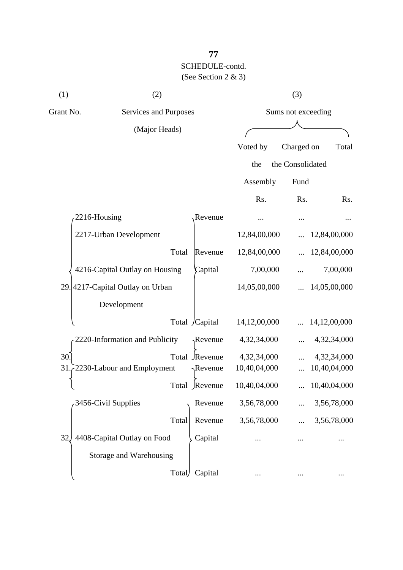| (1)          | (2)                              |        |                  |              | (3)                |              |
|--------------|----------------------------------|--------|------------------|--------------|--------------------|--------------|
| Grant No.    | Services and Purposes            |        |                  |              | Sums not exceeding |              |
|              | (Major Heads)                    |        |                  |              |                    |              |
|              |                                  |        |                  | Voted by     | Charged on         | Total        |
|              |                                  |        |                  | the          | the Consolidated   |              |
|              |                                  |        |                  | Assembly     | Fund               |              |
|              |                                  |        |                  | Rs.          | Rs.                | Rs.          |
| 2216-Housing |                                  |        | Revenue          |              |                    | $\cdots$     |
|              | 2217-Urban Development           |        |                  | 12,84,00,000 |                    | 12,84,00,000 |
|              |                                  | Total  | Revenue          | 12,84,00,000 |                    | 12,84,00,000 |
|              | 4216-Capital Outlay on Housing   |        | Capital          | 7,00,000     |                    | 7,00,000     |
|              | 29. 4217-Capital Outlay on Urban |        |                  | 14,05,00,000 |                    | 14,05,00,000 |
|              | Development                      |        |                  |              |                    |              |
|              |                                  |        | Total /Capital   | 14,12,00,000 |                    | 14,12,00,000 |
|              | 2220-Information and Publicity   |        | $\gamma$ Revenue | 4,32,34,000  |                    | 4,32,34,000  |
| 30.          |                                  | Total  | Revenue          | 4,32,34,000  |                    | 4,32,34,000  |
| 31           | 2230-Labour and Employment       |        | Revenue          | 10,40,04,000 |                    | 10,40,04,000 |
|              |                                  |        | Total Revenue    | 10,40,04,000 |                    | 10,40,04,000 |
|              | 3456-Civil Supplies              |        | Revenue          | 3,56,78,000  |                    | 3,56,78,000  |
|              |                                  | Total  | Revenue          | 3,56,78,000  |                    | 3,56,78,000  |
| 32           | 4408-Capital Outlay on Food      |        | Capital          |              |                    |              |
|              | Storage and Warehousing          |        |                  |              |                    |              |
|              |                                  | Total) | Capital          |              |                    |              |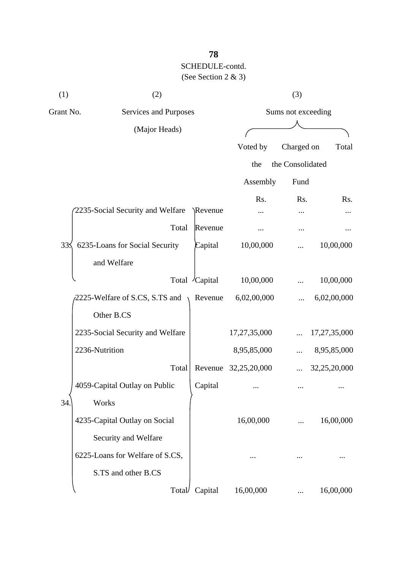| (1)<br>(2) |                                  |               |              | (3)                |              |
|------------|----------------------------------|---------------|--------------|--------------------|--------------|
| Grant No.  | Services and Purposes            |               |              | Sums not exceeding |              |
|            | (Major Heads)                    |               |              |                    |              |
|            |                                  |               | Voted by     | Charged on         | Total        |
|            |                                  |               | the          | the Consolidated   |              |
|            |                                  |               | Assembly     | Fund               |              |
|            | 2235-Social Security and Welfare | \Revenue      | Rs.          | Rs.                | Rs.          |
|            | Total                            | Revenue       |              |                    |              |
| 33<        | 6235-Loans for Social Security   | Capital       | 10,00,000    |                    | 10,00,000    |
|            | and Welfare                      |               |              |                    |              |
|            |                                  | Total Capital | 10,00,000    |                    | 10,00,000    |
|            | 2225-Welfare of S.CS, S.TS and   | Revenue       | 6,02,00,000  |                    | 6,02,00,000  |
|            | Other B.CS                       |               |              |                    |              |
|            | 2235-Social Security and Welfare |               | 17,27,35,000 |                    | 17,27,35,000 |
|            | 2236-Nutrition                   |               | 8,95,85,000  |                    | 8,95,85,000  |
|            | Total                            | Revenue       | 32,25,20,000 |                    | 32,25,20,000 |
|            | 4059-Capital Outlay on Public    | Capital       |              | $\cdots$           |              |
| 34         | Works                            |               |              |                    |              |
|            | 4235-Capital Outlay on Social    |               | 16,00,000    |                    | 16,00,000    |
|            | Security and Welfare             |               |              |                    |              |
|            | 6225-Loans for Welfare of S.CS,  |               |              |                    |              |
|            | S.TS and other B.CS              |               |              |                    |              |
|            | Total                            | Capital       | 16,00,000    |                    | 16,00,000    |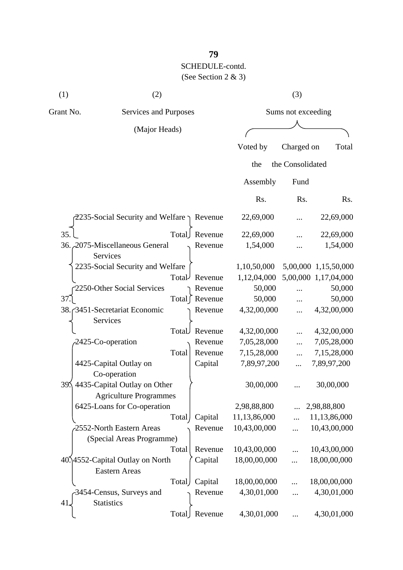| (1)                                                 | (2)                                               |       | (3)                  |                    |                  |                      |
|-----------------------------------------------------|---------------------------------------------------|-------|----------------------|--------------------|------------------|----------------------|
| Grant No.<br>Services and Purposes<br>(Major Heads) |                                                   |       |                      | Sums not exceeding |                  |                      |
|                                                     |                                                   |       |                      |                    |                  |                      |
|                                                     |                                                   |       |                      | Voted by           | Charged on       | Total                |
|                                                     |                                                   |       |                      | the                | the Consolidated |                      |
|                                                     |                                                   |       |                      | Assembly           | Fund             |                      |
|                                                     |                                                   |       |                      | Rs.                | Rs.              | Rs.                  |
|                                                     | 2235-Social Security and Welfare $\gamma$ Revenue |       |                      | 22,69,000          |                  | 22,69,000            |
| 35.                                                 |                                                   |       | Total Revenue        | 22,69,000          |                  | 22,69,000            |
|                                                     | 36. 2075-Miscellaneous General<br>Services        |       | Revenue              | 1,54,000           |                  | 1,54,000             |
|                                                     | 2235-Social Security and Welfare                  |       |                      | 1,10,50,000        |                  | 5,00,000 1,15,50,000 |
|                                                     |                                                   | Total | Revenue              | 1,12,04,000        |                  | 5,00,000 1,17,04,000 |
|                                                     | 2250-Other Social Services                        |       | Revenue              | 50,000             |                  | 50,000               |
| 37.                                                 |                                                   |       | Total [ Revenue      | 50,000             |                  | 50,000               |
|                                                     | 38. 3451-Secretariat Economic<br>Services         |       | Revenue              | 4,32,00,000        | .                | 4,32,00,000          |
|                                                     |                                                   | Total | Revenue              | 4,32,00,000        |                  | 4,32,00,000          |
|                                                     | $2425$ -Co-operation                              |       | $\mathsf{R}$ Revenue | 7.05.28.000        |                  | 7.05.28.000          |

| 37.I                                            | Total   Revenue  | 50,000       |            | 50,000       |
|-------------------------------------------------|------------------|--------------|------------|--------------|
| 38. 3451-Secretariat Economic                   | Revenue          | 4,32,00,000  |            | 4,32,00,000  |
| Services                                        |                  |              |            |              |
|                                                 | Total<br>Revenue | 4,32,00,000  | $\dddotsc$ | 4,32,00,000  |
| $-2425$ -Co-operation                           | Revenue          | 7,05,28,000  |            | 7,05,28,000  |
|                                                 | Total<br>Revenue | 7,15,28,000  |            | 7,15,28,000  |
| 4425-Capital Outlay on                          | Capital          | 7,89,97,200  |            | 7,89,97,200  |
| Co-operation                                    |                  |              |            |              |
| 4435-Capital Outlay on Other<br>39 <sub>2</sub> |                  | 30,00,000    |            | 30,00,000    |
| <b>Agriculture Programmes</b>                   |                  |              |            |              |
| 6425-Loans for Co-operation                     |                  | 2,98,88,800  |            | 2,98,88,800  |
|                                                 | Capital<br>Total | 11,13,86,000 | $\dddotsc$ | 11,13,86,000 |
| 2552-North Eastern Areas                        | Revenue          | 10,43,00,000 |            | 10,43,00,000 |
| (Special Areas Programme)                       |                  |              |            |              |
|                                                 | Total<br>Revenue | 10,43,00,000 |            | 10,43,00,000 |
| 40.14552-Capital Outlay on North                | Capital          | 18,00,00,000 |            | 18,00,00,000 |
| <b>Eastern Areas</b>                            |                  |              |            |              |
|                                                 | Capital<br>Total | 18,00,00,000 |            | 18,00,00,000 |
| 3454-Census, Surveys and                        | Revenue          | 4,30,01,000  | $\dddotsc$ | 4,30,01,000  |
| <b>Statistics</b><br>41.                        |                  |              |            |              |
|                                                 | Total Revenue    | 4,30,01,000  | $\cdots$   | 4,30,01,000  |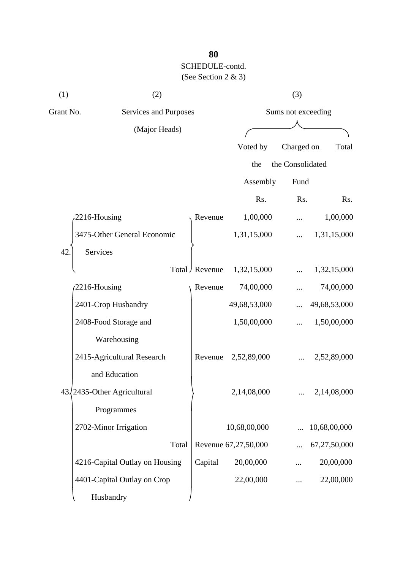| (1)       | (2)                            |                       | (3)           |                      |                  |              |  |
|-----------|--------------------------------|-----------------------|---------------|----------------------|------------------|--------------|--|
| Grant No. |                                | Services and Purposes |               | Sums not exceeding   |                  |              |  |
|           | (Major Heads)                  |                       |               |                      |                  |              |  |
|           |                                |                       |               | Voted by             | Charged on       | Total        |  |
|           |                                |                       |               | the                  | the Consolidated |              |  |
|           |                                |                       |               | Assembly             | Fund             |              |  |
|           |                                |                       |               | Rs.                  | Rs.              | Rs.          |  |
|           | 2216-Housing                   |                       | Revenue       | 1,00,000             |                  | 1,00,000     |  |
|           | 3475-Other General Economic    |                       |               | 1,31,15,000          |                  | 1,31,15,000  |  |
| 42        | Services                       |                       |               |                      |                  |              |  |
|           |                                |                       | Total Revenue | 1,32,15,000          |                  | 1,32,15,000  |  |
|           | 2216-Housing                   |                       | Revenue       | 74,00,000            |                  | 74,00,000    |  |
|           | 2401-Crop Husbandry            |                       |               | 49,68,53,000         |                  | 49,68,53,000 |  |
|           | 2408-Food Storage and          |                       |               | 1,50,00,000          |                  | 1,50,00,000  |  |
|           | Warehousing                    |                       |               |                      |                  |              |  |
|           | 2415-Agricultural Research     |                       | Revenue       | 2,52,89,000          |                  | 2,52,89,000  |  |
|           | and Education                  |                       |               |                      |                  |              |  |
|           | 43/2435-Other Agricultural     |                       |               | 2,14,08,000          |                  | 2,14,08,000  |  |
|           | Programmes                     |                       |               |                      |                  |              |  |
|           | 2702-Minor Irrigation          |                       |               | 10,68,00,000         |                  | 10,68,00,000 |  |
|           |                                | Total                 |               | Revenue 67,27,50,000 |                  | 67,27,50,000 |  |
|           | 4216-Capital Outlay on Housing |                       | Capital       | 20,00,000            |                  | 20,00,000    |  |
|           | 4401-Capital Outlay on Crop    |                       |               | 22,00,000            |                  | 22,00,000    |  |
|           | Husbandry                      |                       |               |                      |                  |              |  |

# **80**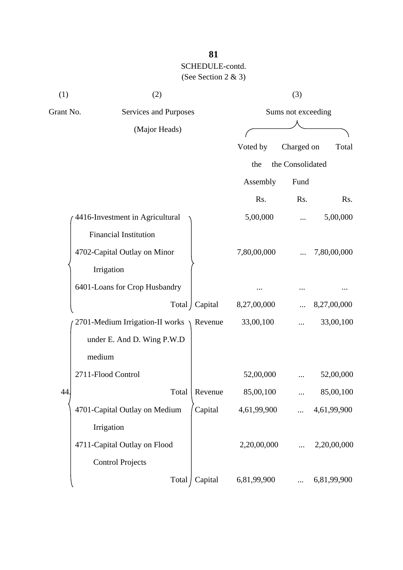| (1)       | (2)                                       |                 | (3)                |                  |             |  |
|-----------|-------------------------------------------|-----------------|--------------------|------------------|-------------|--|
| Grant No. | Services and Purposes                     |                 | Sums not exceeding |                  |             |  |
|           | (Major Heads)                             |                 |                    |                  |             |  |
|           |                                           |                 | Voted by           | Charged on       | Total       |  |
|           |                                           |                 | the                | the Consolidated |             |  |
|           |                                           |                 | Assembly           | Fund             |             |  |
|           |                                           |                 | Rs.                | Rs.              | Rs.         |  |
|           | 4416-Investment in Agricultural           | 5,00,000        |                    | 5,00,000         |             |  |
|           | Financial Institution                     |                 |                    |                  |             |  |
|           | 4702-Capital Outlay on Minor              |                 | 7,80,00,000        |                  | 7,80,00,000 |  |
|           | Irrigation                                |                 |                    |                  |             |  |
|           | 6401-Loans for Crop Husbandry             |                 |                    |                  |             |  |
|           |                                           | Total   Capital | 8,27,00,000        |                  | 8,27,00,000 |  |
|           | 2701-Medium Irrigation-II works \ Revenue |                 | 33,00,100          |                  | 33,00,100   |  |
|           | under E. And D. Wing P.W.D                |                 |                    |                  |             |  |
|           | medium                                    |                 |                    |                  |             |  |
|           | 2711-Flood Control                        |                 | 52,00,000          |                  | 52,00,000   |  |
| 44        | Total                                     | Revenue         | 85,00,100          |                  | 85,00,100   |  |
|           | 4701-Capital Outlay on Medium             | Capital         | 4,61,99,900        |                  | 4,61,99,900 |  |
|           | Irrigation                                |                 |                    |                  |             |  |
|           | 4711-Capital Outlay on Flood              |                 | 2,20,00,000        |                  | 2,20,00,000 |  |
|           | <b>Control Projects</b>                   |                 |                    |                  |             |  |
|           | Total                                     | Capital         | 6,81,99,900        |                  | 6,81,99,900 |  |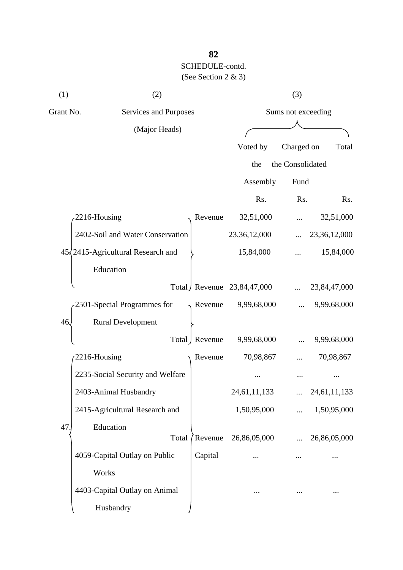| (1)       | (2)                                        |                    | (3)                        |                  |              |  |
|-----------|--------------------------------------------|--------------------|----------------------------|------------------|--------------|--|
| Grant No. | Services and Purposes                      | Sums not exceeding |                            |                  |              |  |
|           | (Major Heads)                              |                    |                            |                  |              |  |
|           |                                            |                    | Voted by                   | Charged on       | Total        |  |
|           |                                            |                    | the                        | the Consolidated |              |  |
|           |                                            |                    | Assembly                   | Fund             |              |  |
|           |                                            |                    | Rs.                        | Rs.              | Rs.          |  |
|           | 2216-Housing                               | Revenue            | 32,51,000                  |                  | 32,51,000    |  |
|           | 2402-Soil and Water Conservation           |                    | 23,36,12,000               |                  | 23,36,12,000 |  |
|           | $45\sqrt{2415}$ -Agricultural Research and |                    | 15,84,000                  |                  | 15,84,000    |  |
|           | Education                                  |                    |                            |                  |              |  |
|           |                                            |                    | Total Revenue 23,84,47,000 |                  | 23,84,47,000 |  |
|           | 2501-Special Programmes for                | Revenue            | 9,99,68,000                |                  | 9,99,68,000  |  |
| 46.       | <b>Rural Development</b>                   |                    |                            |                  |              |  |
|           |                                            | Total   Revenue    | 9,99,68,000                |                  | 9,99,68,000  |  |
|           | 2216-Housing                               | Revenue            | 70,98,867                  |                  | 70,98,867    |  |
|           | 2235-Social Security and Welfare           |                    |                            |                  |              |  |
|           | 2403-Animal Husbandry                      |                    | 24,61,11,133               |                  | 24,61,11,133 |  |
|           | 2415-Agricultural Research and             |                    | 1,50,95,000                |                  | 1,50,95,000  |  |
| 47        | Education                                  |                    |                            |                  |              |  |
|           | Total                                      | Revenue            | 26,86,05,000               |                  | 26,86,05,000 |  |
|           | 4059-Capital Outlay on Public              | Capital            |                            |                  |              |  |
|           | Works                                      |                    |                            |                  |              |  |
|           | 4403-Capital Outlay on Animal              |                    |                            |                  |              |  |
|           | Husbandry                                  |                    |                            |                  |              |  |

**82**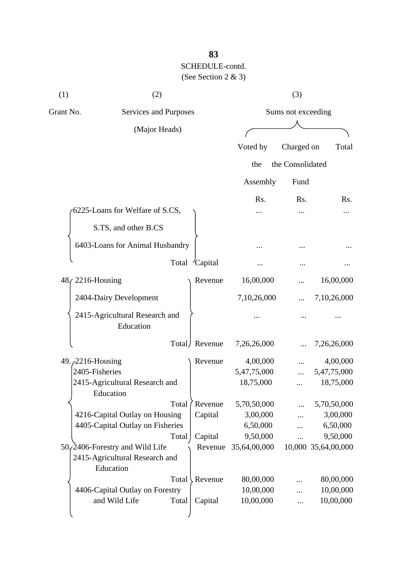| (1)       | (2)                                         |       | (3)            |                    |                  |                     |  |
|-----------|---------------------------------------------|-------|----------------|--------------------|------------------|---------------------|--|
| Grant No. | <b>Services and Purposes</b>                |       |                | Sums not exceeding |                  |                     |  |
|           | (Major Heads)                               |       |                |                    |                  |                     |  |
|           |                                             |       |                | Voted by           | Charged on       | Total               |  |
|           |                                             |       |                |                    |                  |                     |  |
|           |                                             |       |                | the                | the Consolidated |                     |  |
|           |                                             |       |                | Assembly           | Fund             |                     |  |
|           |                                             |       |                | R <sub>s</sub> .   | Rs.              | Rs.                 |  |
|           | 6225-Loans for Welfare of S.CS,             |       |                |                    |                  |                     |  |
|           | S.TS, and other B.CS                        |       |                |                    |                  |                     |  |
|           | 6403-Loans for Animal Husbandry             |       |                |                    |                  |                     |  |
|           |                                             |       |                |                    |                  |                     |  |
|           |                                             |       | Total Capital  |                    |                  |                     |  |
|           | 48 (2216-Housing                            |       | Revenue        | 16,00,000          |                  | 16,00,000           |  |
|           | 2404-Dairy Development                      |       |                | 7,10,26,000        |                  | 7,10,26,000         |  |
|           | 2415-Agricultural Research and<br>Education |       |                |                    |                  |                     |  |
|           |                                             |       | Total Revenue  | 7,26,26,000        |                  | 7,26,26,000         |  |
|           | 49. 2216-Housing                            |       | Revenue        | 4,00,000           |                  | 4,00,000            |  |
|           | 2405-Fisheries                              |       |                | 5,47,75,000        |                  | 5,47,75,000         |  |
|           | 2415-Agricultural Research and<br>Education |       |                | 18,75,000          |                  | 18,75,000           |  |
|           |                                             | Total | Revenue        | 5,70,50,000        |                  | 5,70,50,000         |  |
|           | 4216-Capital Outlay on Housing              |       | Capital        | 3,00,000           |                  | 3,00,000            |  |
|           | 4405-Capital Outlay on Fisheries            |       |                | 6,50,000           | .                | 6,50,000            |  |
|           |                                             | Total | Capital        | 9,50,000           |                  | 9,50,000            |  |
|           | $50$ , 2406-Forestry and Wild Life          |       | Revenue        | 35,64,00,000       |                  | 10,000 35,64,00,000 |  |
|           | 2415-Agricultural Research and<br>Education |       |                |                    |                  |                     |  |
|           |                                             | Total | <b>Revenue</b> | 80,00,000          |                  | 80,00,000           |  |
|           | 4406-Capital Outlay on Forestry             |       |                | 10,00,000          |                  | 10,00,000           |  |
|           | and Wild Life                               | Total | Capital        | 10,00,000          |                  | 10,00,000           |  |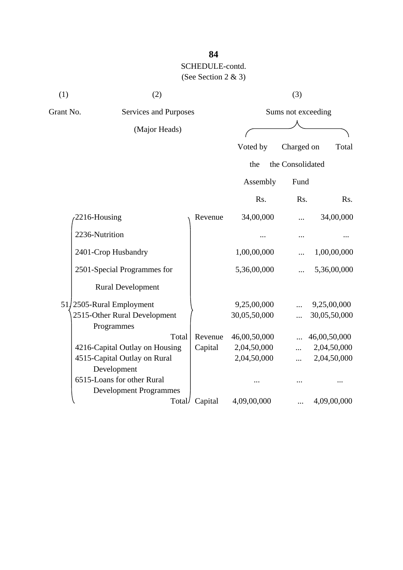| (1) | (2)                                                         |         | (3)          |                    |              |  |  |
|-----|-------------------------------------------------------------|---------|--------------|--------------------|--------------|--|--|
|     | Grant No.<br>Services and Purposes                          |         |              | Sums not exceeding |              |  |  |
|     | (Major Heads)                                               |         |              |                    |              |  |  |
|     |                                                             |         | Voted by     | Charged on         | Total        |  |  |
|     |                                                             |         | the          | the Consolidated   |              |  |  |
|     |                                                             |         | Assembly     | Fund               |              |  |  |
|     |                                                             |         | Rs.          | Rs.                | Rs.          |  |  |
|     | 2216-Housing                                                | Revenue | 34,00,000    |                    | 34,00,000    |  |  |
|     | 2236-Nutrition                                              |         |              |                    |              |  |  |
|     | 2401-Crop Husbandry                                         |         | 1,00,00,000  |                    | 1,00,00,000  |  |  |
|     | 2501-Special Programmes for                                 |         | 5,36,00,000  |                    | 5,36,00,000  |  |  |
|     | <b>Rural Development</b>                                    |         |              |                    |              |  |  |
|     | 51/2505-Rural Employment                                    |         | 9,25,00,000  |                    | 9,25,00,000  |  |  |
|     | 2515-Other Rural Development<br>Programmes                  |         | 30,05,50,000 |                    | 30,05,50,000 |  |  |
|     | Total                                                       | Revenue | 46,00,50,000 |                    | 46,00,50,000 |  |  |
|     | 4216-Capital Outlay on Housing                              | Capital | 2,04,50,000  |                    | 2,04,50,000  |  |  |
|     | 4515-Capital Outlay on Rural<br>Development                 |         | 2,04,50,000  | .                  | 2,04,50,000  |  |  |
|     | 6515-Loans for other Rural<br><b>Development Programmes</b> |         |              |                    |              |  |  |
|     | Total/                                                      | Capital | 4,09,00,000  |                    | 4,09,00,000  |  |  |

# **84**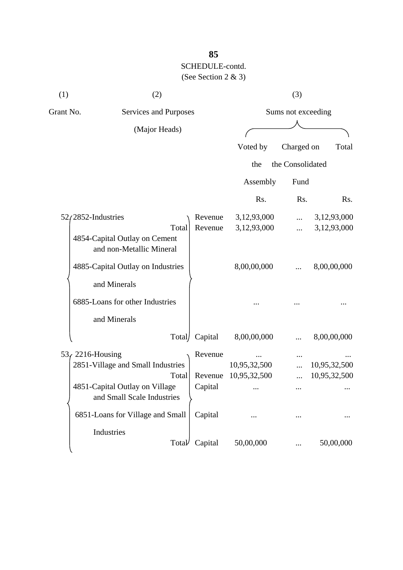| (1)       | (2)                                                          |                    | (3)                        |                      |                            |  |
|-----------|--------------------------------------------------------------|--------------------|----------------------------|----------------------|----------------------------|--|
| Grant No. | Services and Purposes                                        |                    |                            | Sums not exceeding   |                            |  |
|           | (Major Heads)                                                |                    |                            |                      |                            |  |
|           |                                                              |                    | Voted by                   | Charged on           | Total                      |  |
|           |                                                              |                    | the                        | the Consolidated     |                            |  |
|           |                                                              |                    | Assembly                   | Fund                 |                            |  |
|           |                                                              |                    | Rs.                        | Rs.                  | Rs.                        |  |
|           | $52/2852$ -Industries<br>Total                               | Revenue<br>Revenue | 3,12,93,000<br>3,12,93,000 | $\cdots$<br>$\cdots$ | 3,12,93,000<br>3,12,93,000 |  |
|           | 4854-Capital Outlay on Cement<br>and non-Metallic Mineral    |                    |                            |                      |                            |  |
|           | 4885-Capital Outlay on Industries                            |                    | 8,00,00,000                |                      | 8,00,00,000                |  |
|           | and Minerals                                                 |                    |                            |                      |                            |  |
|           | 6885-Loans for other Industries                              |                    |                            |                      |                            |  |
|           | and Minerals                                                 |                    |                            |                      |                            |  |
|           | Total/                                                       | Capital            | 8,00,00,000                |                      | 8,00,00,000                |  |
|           | $536$ 2216-Housing                                           | Revenue            |                            |                      |                            |  |
|           | 2851-Village and Small Industries                            |                    | 10,95,32,500               |                      | 10,95,32,500               |  |
|           | Total                                                        | Revenue            | 10,95,32,500               |                      | 10,95,32,500               |  |
|           | 4851-Capital Outlay on Village<br>and Small Scale Industries | Capital            |                            | $\cdots$             |                            |  |
|           | 6851-Loans for Village and Small                             | Capital            |                            |                      |                            |  |
|           | Industries                                                   |                    |                            |                      |                            |  |
|           | Total                                                        | Capital            | 50,00,000                  |                      | 50,00,000                  |  |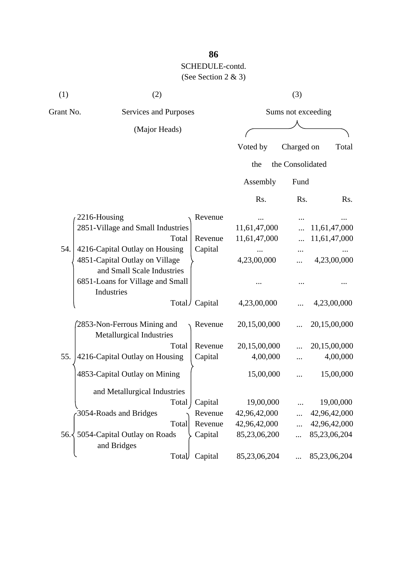| (1)           | (2)                                                          |                    |              | (3)              |              |
|---------------|--------------------------------------------------------------|--------------------|--------------|------------------|--------------|
| Grant No.     | Services and Purposes                                        | Sums not exceeding |              |                  |              |
|               | (Major Heads)                                                |                    |              |                  |              |
|               |                                                              |                    | Voted by     | Charged on       | Total        |
|               |                                                              |                    | the          | the Consolidated |              |
|               |                                                              |                    | Assembly     | Fund             |              |
|               |                                                              |                    | Rs.          | Rs.              | Rs.          |
|               | 2216-Housing                                                 | Revenue            |              |                  |              |
|               | 2851-Village and Small Industries                            |                    | 11,61,47,000 |                  | 11,61,47,000 |
|               | Total                                                        | Revenue            | 11,61,47,000 |                  | 11,61,47,000 |
| 54.           | 4216-Capital Outlay on Housing                               | Capital            |              |                  |              |
|               | 4851-Capital Outlay on Village<br>and Small Scale Industries |                    | 4,23,00,000  |                  | 4,23,00,000  |
|               | 6851-Loans for Village and Small<br>Industries               |                    |              |                  |              |
|               |                                                              | Total / Capital    | 4,23,00,000  |                  | 4,23,00,000  |
|               | 2853-Non-Ferrous Mining and<br>Metallurgical Industries      | Revenue            | 20,15,00,000 |                  | 20,15,00,000 |
|               | Total                                                        | Revenue            | 20,15,00,000 |                  | 20,15,00,000 |
| 55.           | 4216-Capital Outlay on Housing                               | Capital            | 4,00,000     |                  | 4,00,000     |
|               | 4853-Capital Outlay on Mining                                |                    | 15,00,000    |                  | 15,00,000    |
|               | and Metallurgical Industries                                 |                    |              |                  |              |
|               | Total                                                        | Capital            | 19,00,000    |                  | 19,00,000    |
|               | 3054-Roads and Bridges                                       | Revenue            | 42,96,42,000 |                  | 42,96,42,000 |
|               | Total                                                        | Revenue            | 42,96,42,000 | $\ddotsc$        | 42,96,42,000 |
| $56. \langle$ | 5054-Capital Outlay on Roads<br>and Bridges                  | Capital            | 85,23,06,200 | $\cdots$         | 85,23,06,204 |
|               | Total                                                        | Capital            | 85,23,06,204 |                  | 85,23,06,204 |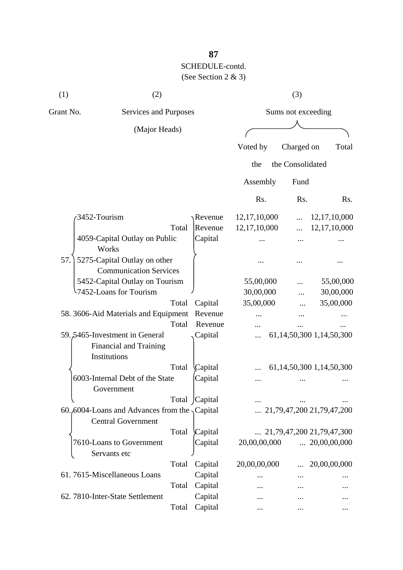| (1)          | (2)                                                                               |       |                    |                 | (3)              |                                    |
|--------------|-----------------------------------------------------------------------------------|-------|--------------------|-----------------|------------------|------------------------------------|
| Grant No.    | Services and Purposes                                                             |       | Sums not exceeding |                 |                  |                                    |
|              | (Major Heads)                                                                     |       |                    |                 |                  |                                    |
|              |                                                                                   |       |                    | Voted by        | Charged on       | Total                              |
|              |                                                                                   |       |                    | the             | the Consolidated |                                    |
|              |                                                                                   |       |                    | Assembly        | Fund             |                                    |
|              |                                                                                   |       |                    | Rs.             | Rs.              | Rs.                                |
| 3452-Tourism |                                                                                   |       | Revenue            | 12, 17, 10, 000 |                  | 12, 17, 10, 000                    |
|              |                                                                                   | Total | Revenue            | 12,17,10,000    |                  | 12,17,10,000                       |
|              | 4059-Capital Outlay on Public<br>Works                                            |       | Capital            |                 |                  |                                    |
| 57.          | 5275-Capital Outlay on other                                                      |       |                    |                 |                  |                                    |
|              | <b>Communication Services</b>                                                     |       |                    |                 |                  |                                    |
|              | 5452-Capital Outlay on Tourism                                                    |       |                    | 55,00,000       |                  | 55,00,000                          |
|              | 1452-Loans for Tourism                                                            |       |                    | 30,00,000       |                  | 30,00,000                          |
|              |                                                                                   | Total | Capital            | 35,00,000       |                  | 35,00,000                          |
|              | 58. 3606-Aid Materials and Equipment                                              |       | Revenue            |                 |                  |                                    |
|              |                                                                                   | Total | Revenue            |                 |                  |                                    |
|              | 59.5465-Investment in General<br>Financial and Training<br>Institutions           |       | Capital            |                 |                  | 61, 14, 50, 300 1, 14, 50, 300     |
|              |                                                                                   | Total | Capital            |                 |                  | 61,14,50,300 1,14,50,300           |
|              | 6003-Internal Debt of the State<br>Government                                     |       | Capital            |                 |                  |                                    |
|              |                                                                                   |       | Total Capital      |                 |                  |                                    |
|              | 60.6004-Loans and Advances from the $\sqrt{$ Capital<br><b>Central Government</b> |       |                    |                 |                  | 21,79,47,200 21,79,47,200          |
|              |                                                                                   | Total | Capital            |                 |                  | $\ldots$ 21,79,47,200 21,79,47,300 |
|              | 7610-Loans to Government<br>Servants etc                                          |       | Capital            | 20,00,00,000    |                  | $\ldots$ 20,00,00,000              |
|              |                                                                                   | Total | Capital            | 20,00,00,000    |                  | 20,00,00,000                       |
|              | 61.7615-Miscellaneous Loans                                                       |       | Capital            |                 |                  |                                    |
|              |                                                                                   | Total | Capital            |                 |                  |                                    |
|              | 62. 7810-Inter-State Settlement                                                   |       | Capital            |                 |                  |                                    |
|              |                                                                                   | Total | Capital            |                 | $\ddotsc$        |                                    |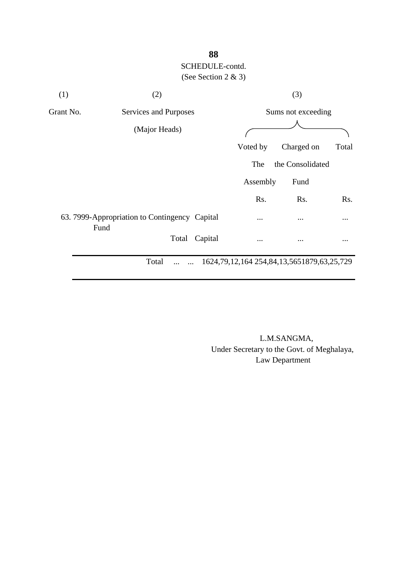| (1)       | (2)                                                   |         |                                                      | (3)              |          |  |
|-----------|-------------------------------------------------------|---------|------------------------------------------------------|------------------|----------|--|
| Grant No. | Services and Purposes                                 |         | Sums not exceeding                                   |                  |          |  |
|           | (Major Heads)                                         |         |                                                      |                  |          |  |
|           |                                                       |         | Voted by                                             | Charged on       | Total    |  |
|           |                                                       |         | The                                                  | the Consolidated |          |  |
|           |                                                       |         | Assembly                                             | Fund             |          |  |
|           |                                                       |         | Rs.                                                  | Rs.              | Rs.      |  |
|           | 63. 7999-Appropriation to Contingency Capital<br>Fund |         | $\cdots$                                             | $\cdots$         | $\cdots$ |  |
|           | Total                                                 | Capital |                                                      | $\cdots$         |          |  |
|           | Total                                                 |         | 1624, 79, 12, 164 254, 84, 13, 565 1879, 63, 25, 729 |                  |          |  |

 L.M.SANGMA, Under Secretary to the Govt. of Meghalaya, Law Department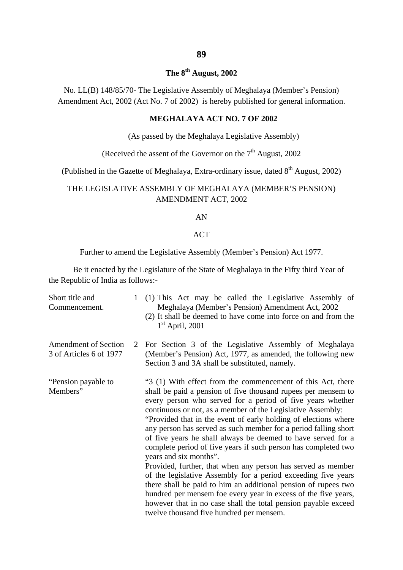### **The 8th August, 2002**

No. LL(B) 148/85/70- The Legislative Assembly of Meghalaya (Member's Pension) Amendment Act, 2002 (Act No. 7 of 2002) is hereby published for general information.

### **MEGHALAYA ACT NO. 7 OF 2002**

(As passed by the Meghalaya Legislative Assembly)

(Received the assent of the Governor on the  $7<sup>th</sup>$  August, 2002)

(Published in the Gazette of Meghalaya, Extra-ordinary issue, dated  $8^{th}$  August, 2002)

### THE LEGISLATIVE ASSEMBLY OF MEGHALAYA (MEMBER'S PENSION) AMENDMENT ACT, 2002

#### AN

### ACT

Further to amend the Legislative Assembly (Member's Pension) Act 1977.

Be it enacted by the Legislature of the State of Meghalaya in the Fifty third Year of the Republic of India as follows:-

| Short title and<br>Commencement.                       |   | 1 (1) This Act may be called the Legislative Assembly of<br>Meghalaya (Member's Pension) Amendment Act, 2002<br>(2) It shall be deemed to have come into force on and from the<br>$1st$ April, 2001                                                                                                                                                                                                                                                                                                                                                                                                                                                                                                                                                                                                                                                                                                                                            |
|--------------------------------------------------------|---|------------------------------------------------------------------------------------------------------------------------------------------------------------------------------------------------------------------------------------------------------------------------------------------------------------------------------------------------------------------------------------------------------------------------------------------------------------------------------------------------------------------------------------------------------------------------------------------------------------------------------------------------------------------------------------------------------------------------------------------------------------------------------------------------------------------------------------------------------------------------------------------------------------------------------------------------|
| <b>Amendment of Section</b><br>3 of Articles 6 of 1977 | 2 | For Section 3 of the Legislative Assembly of Meghalaya<br>(Member's Pension) Act, 1977, as amended, the following new<br>Section 3 and 3A shall be substituted, namely.                                                                                                                                                                                                                                                                                                                                                                                                                                                                                                                                                                                                                                                                                                                                                                        |
| "Pension payable to<br>Members"                        |   | "3 (1) With effect from the commencement of this Act, there<br>shall be paid a pension of five thousand rupees per mensem to<br>every person who served for a period of five years whether<br>continuous or not, as a member of the Legislative Assembly:<br>"Provided that in the event of early holding of elections where<br>any person has served as such member for a period falling short<br>of five years he shall always be deemed to have served for a<br>complete period of five years if such person has completed two<br>years and six months".<br>Provided, further, that when any person has served as member<br>of the legislative Assembly for a period exceeding five years<br>there shall be paid to him an additional pension of rupees two<br>hundred per mensem foe every year in excess of the five years,<br>however that in no case shall the total pension payable exceed<br>twelve thousand five hundred per mensem. |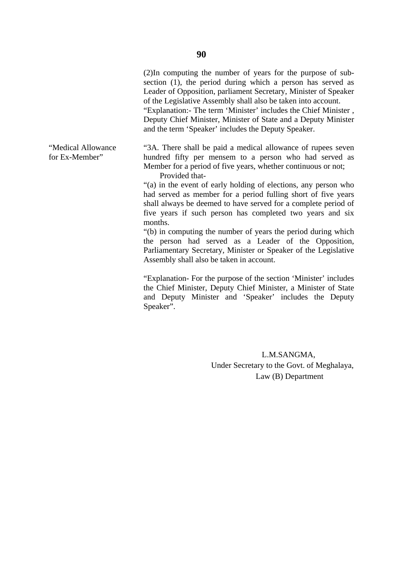(2)In computing the number of years for the purpose of subsection (1), the period during which a person has served as Leader of Opposition, parliament Secretary, Minister of Speaker of the Legislative Assembly shall also be taken into account.

 "Explanation:- The term 'Minister' includes the Chief Minister , Deputy Chief Minister, Minister of State and a Deputy Minister and the term 'Speaker' includes the Deputy Speaker.

"Medical Allowance "3A. There shall be paid a medical allowance of rupees seven for Ex-Member" hundred fifty per mensem to a person who had served as Member for a period of five years, whether continuous or not; Provided that-

> "(a) in the event of early holding of elections, any person who had served as member for a period fulling short of five years shall always be deemed to have served for a complete period of five years if such person has completed two years and six months.

> "(b) in computing the number of years the period during which the person had served as a Leader of the Opposition, Parliamentary Secretary, Minister or Speaker of the Legislative Assembly shall also be taken in account.

> "Explanation- For the purpose of the section 'Minister' includes the Chief Minister, Deputy Chief Minister, a Minister of State and Deputy Minister and 'Speaker' includes the Deputy Speaker".

> > L.M.SANGMA, Under Secretary to the Govt. of Meghalaya, Law (B) Department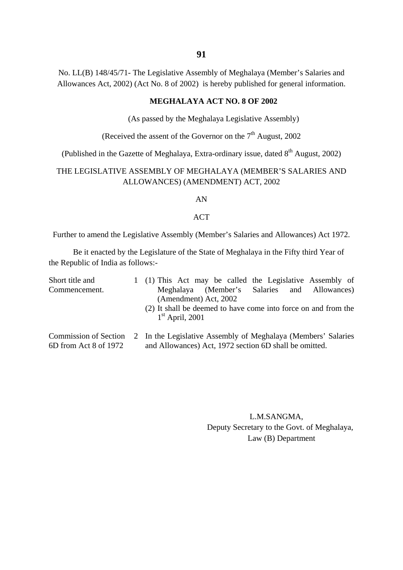No. LL(B) 148/45/71- The Legislative Assembly of Meghalaya (Member's Salaries and Allowances Act, 2002) (Act No. 8 of 2002) is hereby published for general information.

### **MEGHALAYA ACT NO. 8 OF 2002**

(As passed by the Meghalaya Legislative Assembly)

(Received the assent of the Governor on the  $7<sup>th</sup>$  August, 2002)

(Published in the Gazette of Meghalaya, Extra-ordinary issue, dated  $8<sup>th</sup>$  August, 2002)

### THE LEGISLATIVE ASSEMBLY OF MEGHALAYA (MEMBER'S SALARIES AND ALLOWANCES) (AMENDMENT) ACT, 2002

AN

#### ACT

Further to amend the Legislative Assembly (Member's Salaries and Allowances) Act 1972.

Be it enacted by the Legislature of the State of Meghalaya in the Fifty third Year of the Republic of India as follows:-

| Short title and |  | 1 (1) This Act may be called the Legislative Assembly of                            |
|-----------------|--|-------------------------------------------------------------------------------------|
| Commencement.   |  | Meghalaya (Member's Salaries and Allowances)<br>(Amendment) Act, 2002               |
|                 |  | (2) It shall be deemed to have come into force on and from the<br>$1st$ April, 2001 |
|                 |  | Commission of Section 2 In the Legislative Assembly of Meghalaya (Members' Salaries |

6D from Act 8 of 1972 and Allowances) Act, 1972 section 6D shall be omitted.

 L.M.SANGMA, Deputy Secretary to the Govt. of Meghalaya, Law (B) Department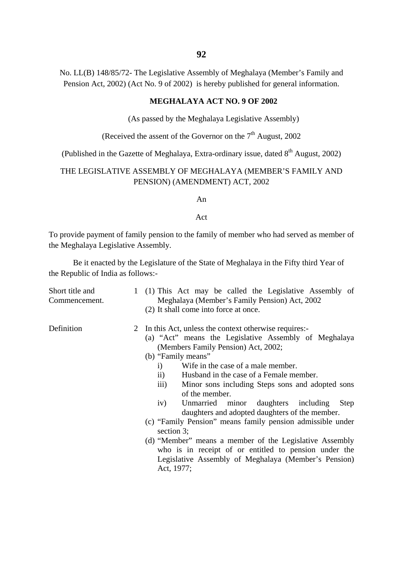No. LL(B) 148/85/72- The Legislative Assembly of Meghalaya (Member's Family and Pension Act, 2002) (Act No. 9 of 2002) is hereby published for general information.

### **MEGHALAYA ACT NO. 9 OF 2002**

(As passed by the Meghalaya Legislative Assembly)

(Received the assent of the Governor on the  $7<sup>th</sup>$  August, 2002)

(Published in the Gazette of Meghalaya, Extra-ordinary issue, dated  $8<sup>th</sup>$  August, 2002)

### THE LEGISLATIVE ASSEMBLY OF MEGHALAYA (MEMBER'S FAMILY AND PENSION) (AMENDMENT) ACT, 2002

An

#### Act

To provide payment of family pension to the family of member who had served as member of the Meghalaya Legislative Assembly.

Be it enacted by the Legislature of the State of Meghalaya in the Fifty third Year of the Republic of India as follows:-

| Short title and<br>Commencement. | 1 (1) This Act may be called the Legislative Assembly of<br>Meghalaya (Member's Family Pension) Act, 2002<br>(2) It shall come into force at once.                                                                                                                                                                                                                                                                                                                                                                                                                                                                                                                                                                                                                        |
|----------------------------------|---------------------------------------------------------------------------------------------------------------------------------------------------------------------------------------------------------------------------------------------------------------------------------------------------------------------------------------------------------------------------------------------------------------------------------------------------------------------------------------------------------------------------------------------------------------------------------------------------------------------------------------------------------------------------------------------------------------------------------------------------------------------------|
| Definition                       | 2 In this Act, unless the context otherwise requires:-<br>(a) "Act" means the Legislative Assembly of Meghalaya<br>(Members Family Pension) Act, 2002;<br>(b) "Family means"<br>Wife in the case of a male member.<br>$\mathbf{i}$<br>Husband in the case of a Female member.<br>$\rm ii)$<br>$\overline{\text{iii}}$<br>Minor sons including Steps sons and adopted sons<br>of the member.<br>Unmarried minor daughters including<br>Step<br>iv)<br>daughters and adopted daughters of the member.<br>(c) "Family Pension" means family pension admissible under<br>section 3;<br>(d) "Member" means a member of the Legislative Assembly<br>who is in receipt of or entitled to pension under the<br>Legislative Assembly of Meghalaya (Member's Pension)<br>Act, 1977; |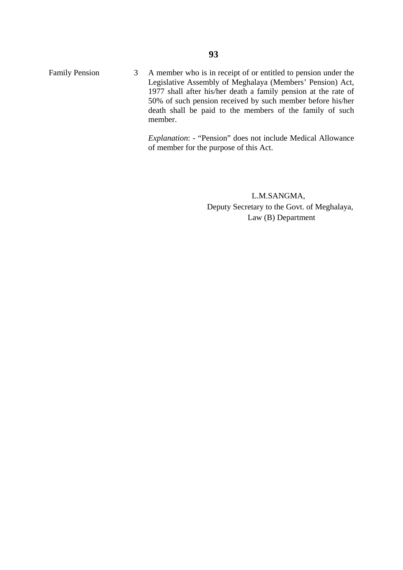Family Pension 3 A member who is in receipt of or entitled to pension under the Legislative Assembly of Meghalaya (Members' Pension) Act, 1977 shall after his/her death a family pension at the rate of 50% of such pension received by such member before his/her death shall be paid to the members of the family of such member.

> *Explanation*: - "Pension" does not include Medical Allowance of member for the purpose of this Act.

> > L.M.SANGMA, Deputy Secretary to the Govt. of Meghalaya, Law (B) Department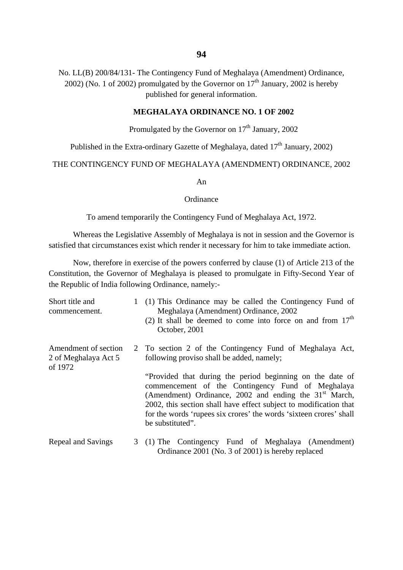No. LL(B) 200/84/131- The Contingency Fund of Meghalaya (Amendment) Ordinance, 2002) (No. 1 of 2002) promulgated by the Governor on  $17<sup>th</sup>$  January, 2002 is hereby published for general information.

### **MEGHALAYA ORDINANCE NO. 1 OF 2002**

### Promulgated by the Governor on  $17<sup>th</sup>$  January, 2002

Published in the Extra-ordinary Gazette of Meghalaya, dated  $17<sup>th</sup>$  January, 2002)

THE CONTINGENCY FUND OF MEGHALAYA (AMENDMENT) ORDINANCE, 2002

An

#### **Ordinance**

To amend temporarily the Contingency Fund of Meghalaya Act, 1972.

Whereas the Legislative Assembly of Meghalaya is not in session and the Governor is satisfied that circumstances exist which render it necessary for him to take immediate action.

Now, therefore in exercise of the powers conferred by clause (1) of Article 213 of the Constitution, the Governor of Meghalaya is pleased to promulgate in Fifty-Second Year of the Republic of India following Ordinance, namely:-

| Short title and<br>commencement.                        | 1 (1) This Ordinance may be called the Contingency Fund of<br>Meghalaya (Amendment) Ordinance, 2002<br>(2) It shall be deemed to come into force on and from $17th$<br>October, 2001                                                                                                                                                      |
|---------------------------------------------------------|-------------------------------------------------------------------------------------------------------------------------------------------------------------------------------------------------------------------------------------------------------------------------------------------------------------------------------------------|
| Amendment of section<br>2 of Meghalaya Act 5<br>of 1972 | 2 To section 2 of the Contingency Fund of Meghalaya Act,<br>following proviso shall be added, namely;                                                                                                                                                                                                                                     |
|                                                         | "Provided that during the period beginning on the date of<br>commencement of the Contingency Fund of Meghalaya<br>(Amendment) Ordinance, 2002 and ending the $31st$ March,<br>2002, this section shall have effect subject to modification that<br>for the words 'rupees six crores' the words 'sixteen crores' shall<br>be substituted". |
| Repeal and Savings                                      | 3 (1) The Contingency Fund of Meghalaya (Amendment)<br>Ordinance 2001 (No. 3 of 2001) is hereby replaced                                                                                                                                                                                                                                  |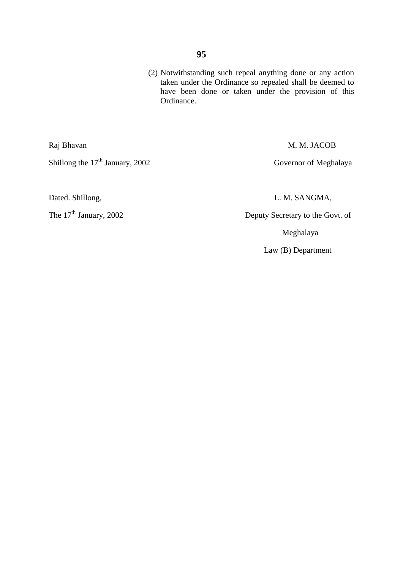(2) Notwithstanding such repeal anything done or any action taken under the Ordinance so repealed shall be deemed to have been done or taken under the provision of this Ordinance.

Shillong the 17<sup>th</sup> January, 2002 Governor of Meghalaya

Raj Bhavan M. M. JACOB

Dated. Shillong, L. M. SANGMA,

The 17<sup>th</sup> January, 2002 Deputy Secretary to the Govt. of

Meghalaya

Law (B) Department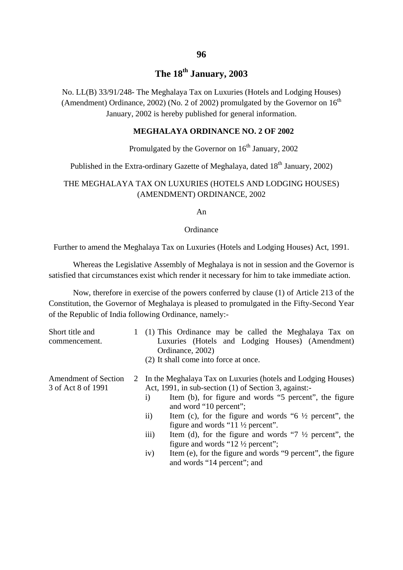# **The 18th January, 2003**

No. LL(B) 33/91/248- The Meghalaya Tax on Luxuries (Hotels and Lodging Houses) (Amendment) Ordinance, 2002) (No. 2 of 2002) promulgated by the Governor on  $16<sup>th</sup>$ January, 2002 is hereby published for general information.

### **MEGHALAYA ORDINANCE NO. 2 OF 2002**

### Promulgated by the Governor on  $16<sup>th</sup>$  January, 2002

Published in the Extra-ordinary Gazette of Meghalaya, dated 18<sup>th</sup> January, 2002)

### THE MEGHALAYA TAX ON LUXURIES (HOTELS AND LODGING HOUSES) (AMENDMENT) ORDINANCE, 2002

An

#### **Ordinance**

Further to amend the Meghalaya Tax on Luxuries (Hotels and Lodging Houses) Act, 1991.

Whereas the Legislative Assembly of Meghalaya is not in session and the Governor is satisfied that circumstances exist which render it necessary for him to take immediate action.

Now, therefore in exercise of the powers conferred by clause (1) of Article 213 of the Constitution, the Governor of Meghalaya is pleased to promulgated in the Fifty-Second Year of the Republic of India following Ordinance, namely:-

| Short title and<br>commencement.                  | 1 (1) This Ordinance may be called the Meghalaya Tax on<br>Luxuries (Hotels and Lodging Houses) (Amendment)<br>Ordinance, 2002)<br>(2) It shall come into force at once.                                                                                                                                                                                                                                                                                                                                                                                                                                       |
|---------------------------------------------------|----------------------------------------------------------------------------------------------------------------------------------------------------------------------------------------------------------------------------------------------------------------------------------------------------------------------------------------------------------------------------------------------------------------------------------------------------------------------------------------------------------------------------------------------------------------------------------------------------------------|
| <b>Amendment of Section</b><br>3 of Act 8 of 1991 | 2 In the Meghalaya Tax on Luxuries (hotels and Lodging Houses)<br>Act, 1991, in sub-section (1) of Section 3, against:-<br>Item (b), for figure and words "5 percent", the figure<br>$\left( \frac{1}{2} \right)$<br>and word "10 percent";<br>Item (c), for the figure and words "6 $\frac{1}{2}$ percent", the<br>$\rm ii)$<br>figure and words "11 $\frac{1}{2}$ percent".<br>iii)<br>Item (d), for the figure and words "7 $\frac{1}{2}$ percent", the<br>figure and words "12 $\frac{1}{2}$ percent";<br>Item (e), for the figure and words "9 percent", the figure<br>iv)<br>and words "14 percent"; and |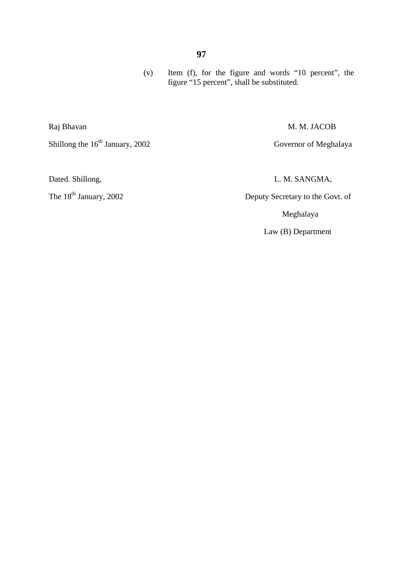(v) Item (f), for the figure and words "10 percent", the figure "15 percent", shall be substituted.

Raj Bhavan M. M. JACOB

Dated. Shillong, L. M. SANGMA,

The 18<sup>th</sup> January, 2002 Deputy Secretary to the Govt. of

Meghalaya

Law (B) Department

Shillong the 16<sup>th</sup> January, 2002 Governor of Meghalaya

### **97**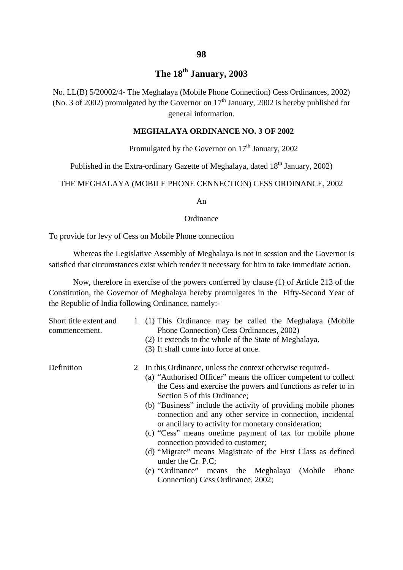# **The 18th January, 2003**

No. LL(B) 5/20002/4- The Meghalaya (Mobile Phone Connection) Cess Ordinances, 2002) (No. 3 of 2002) promulgated by the Governor on  $17<sup>th</sup>$  January, 2002 is hereby published for general information.

### **MEGHALAYA ORDINANCE NO. 3 OF 2002**

# Promulgated by the Governor on  $17<sup>th</sup>$  January, 2002

Published in the Extra-ordinary Gazette of Meghalaya, dated 18<sup>th</sup> January, 2002)

THE MEGHALAYA (MOBILE PHONE CENNECTION) CESS ORDINANCE, 2002

An

#### **Ordinance**

To provide for levy of Cess on Mobile Phone connection

Whereas the Legislative Assembly of Meghalaya is not in session and the Governor is satisfied that circumstances exist which render it necessary for him to take immediate action.

Now, therefore in exercise of the powers conferred by clause (1) of Article 213 of the Constitution, the Governor of Meghalaya hereby promulgates in the Fifty-Second Year of the Republic of India following Ordinance, namely:-

| Short title extent and<br>commencement. | 1 (1) This Ordinance may be called the Meghalaya (Mobile<br>Phone Connection) Cess Ordinances, 2002)<br>(2) It extends to the whole of the State of Meghalaya.<br>(3) It shall come into force at once.                                                                                                                                                                                                                                                                                                                                                                                                                                                                                                     |
|-----------------------------------------|-------------------------------------------------------------------------------------------------------------------------------------------------------------------------------------------------------------------------------------------------------------------------------------------------------------------------------------------------------------------------------------------------------------------------------------------------------------------------------------------------------------------------------------------------------------------------------------------------------------------------------------------------------------------------------------------------------------|
| Definition                              | 2 In this Ordinance, unless the context otherwise required-<br>(a) "Authorised Officer" means the officer competent to collect<br>the Cess and exercise the powers and functions as refer to in<br>Section 5 of this Ordinance;<br>(b) "Business" include the activity of providing mobile phones<br>connection and any other service in connection, incidental<br>or ancillary to activity for monetary consideration;<br>(c) "Cess" means one time payment of tax for mobile phone<br>connection provided to customer;<br>(d) "Migrate" means Magistrate of the First Class as defined<br>under the Cr. P.C;<br>(e) "Ordinance" means the Meghalaya (Mobile<br>Phone<br>Connection) Cess Ordinance, 2002; |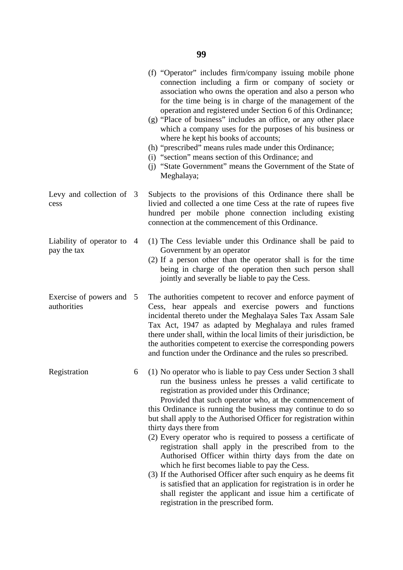|                                         |   | (f) "Operator" includes firm/company issuing mobile phone<br>connection including a firm or company of society or<br>association who owns the operation and also a person who<br>for the time being is in charge of the management of the<br>operation and registered under Section 6 of this Ordinance;<br>(g) "Place of business" includes an office, or any other place<br>which a company uses for the purposes of his business or<br>where he kept his books of accounts;<br>(h) "prescribed" means rules made under this Ordinance;<br>(i) "section" means section of this Ordinance; and<br>(j) "State Government" means the Government of the State of<br>Meghalaya;                                                                                                                                                                                                                    |
|-----------------------------------------|---|-------------------------------------------------------------------------------------------------------------------------------------------------------------------------------------------------------------------------------------------------------------------------------------------------------------------------------------------------------------------------------------------------------------------------------------------------------------------------------------------------------------------------------------------------------------------------------------------------------------------------------------------------------------------------------------------------------------------------------------------------------------------------------------------------------------------------------------------------------------------------------------------------|
| Levy and collection of 3<br>cess        |   | Subjects to the provisions of this Ordinance there shall be<br>livied and collected a one time Cess at the rate of rupees five<br>hundred per mobile phone connection including existing<br>connection at the commencement of this Ordinance.                                                                                                                                                                                                                                                                                                                                                                                                                                                                                                                                                                                                                                                   |
| Liability of operator to<br>pay the tax | 4 | (1) The Cess leviable under this Ordinance shall be paid to<br>Government by an operator<br>(2) If a person other than the operator shall is for the time<br>being in charge of the operation then such person shall<br>jointly and severally be liable to pay the Cess.                                                                                                                                                                                                                                                                                                                                                                                                                                                                                                                                                                                                                        |
| Exercise of powers and 5<br>authorities |   | The authorities competent to recover and enforce payment of<br>Cess, hear appeals and exercise powers and functions<br>incidental thereto under the Meghalaya Sales Tax Assam Sale<br>Tax Act, 1947 as adapted by Meghalaya and rules framed<br>there under shall, within the local limits of their jurisdiction, be<br>the authorities competent to exercise the corresponding powers<br>and function under the Ordinance and the rules so prescribed.                                                                                                                                                                                                                                                                                                                                                                                                                                         |
| Registration                            | 6 | (1) No operator who is liable to pay Cess under Section 3 shall<br>run the business unless he presses a valid certificate to<br>registration as provided under this Ordinance;<br>Provided that such operator who, at the commencement of<br>this Ordinance is running the business may continue to do so<br>but shall apply to the Authorised Officer for registration within<br>thirty days there from<br>(2) Every operator who is required to possess a certificate of<br>registration shall apply in the prescribed from to the<br>Authorised Officer within thirty days from the date on<br>which he first becomes liable to pay the Cess.<br>(3) If the Authorised Officer after such enquiry as he deems fit<br>is satisfied that an application for registration is in order he<br>shall register the applicant and issue him a certificate of<br>registration in the prescribed form. |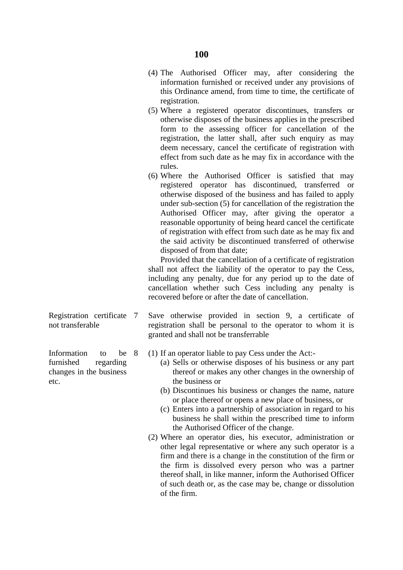- (4) The Authorised Officer may, after considering the information furnished or received under any provisions of this Ordinance amend, from time to time, the certificate of registration.
- (5) Where a registered operator discontinues, transfers or otherwise disposes of the business applies in the prescribed form to the assessing officer for cancellation of the registration, the latter shall, after such enquiry as may deem necessary, cancel the certificate of registration with effect from such date as he may fix in accordance with the rules.
- (6) Where the Authorised Officer is satisfied that may registered operator has discontinued, transferred or otherwise disposed of the business and has failed to apply under sub-section (5) for cancellation of the registration the Authorised Officer may, after giving the operator a reasonable opportunity of being heard cancel the certificate of registration with effect from such date as he may fix and the said activity be discontinued transferred of otherwise disposed of from that date;

 Provided that the cancellation of a certificate of registration shall not affect the liability of the operator to pay the Cess, including any penalty, due for any period up to the date of cancellation whether such Cess including any penalty is recovered before or after the date of cancellation.

Registration certificate 7 Save otherwise provided in section 9, a certificate of not transferable registration shall be personal to the operator to whom it is granted and shall not be transferrable

Information to be 8 (1) If an operator liable to pay Cess under the Act:-

- furnished regarding (a) Sells or otherwise disposes of his business or any part changes in the business thereof or makes any other changes in the ownership of
	- (b) Discontinues his business or changes the name, nature or place thereof or opens a new place of business, or
	- (c) Enters into a partnership of association in regard to his business he shall within the prescribed time to inform the Authorised Officer of the change.
	- (2) Where an operator dies, his executor, administration or other legal representative or where any such operator is a firm and there is a change in the constitution of the firm or the firm is dissolved every person who was a partner thereof shall, in like manner, inform the Authorised Officer of such death or, as the case may be, change or dissolution of the firm.

etc. the business or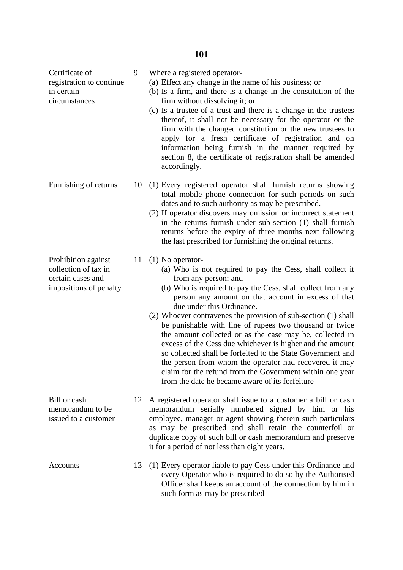| Certificate of<br>registration to continue<br>in certain<br>circumstances                  | 9  | Where a registered operator-<br>(a) Effect any change in the name of his business; or<br>(b) Is a firm, and there is a change in the constitution of the<br>firm without dissolving it; or<br>(c) Is a trustee of a trust and there is a change in the trustees<br>thereof, it shall not be necessary for the operator or the<br>firm with the changed constitution or the new trustees to<br>apply for a fresh certificate of registration and on<br>information being furnish in the manner required by<br>section 8, the certificate of registration shall be amended<br>accordingly.                                                                                                                                                                 |
|--------------------------------------------------------------------------------------------|----|----------------------------------------------------------------------------------------------------------------------------------------------------------------------------------------------------------------------------------------------------------------------------------------------------------------------------------------------------------------------------------------------------------------------------------------------------------------------------------------------------------------------------------------------------------------------------------------------------------------------------------------------------------------------------------------------------------------------------------------------------------|
| Furnishing of returns                                                                      | 10 | (1) Every registered operator shall furnish returns showing<br>total mobile phone connection for such periods on such<br>dates and to such authority as may be prescribed.<br>(2) If operator discovers may omission or incorrect statement<br>in the returns furnish under sub-section (1) shall furnish<br>returns before the expiry of three months next following<br>the last prescribed for furnishing the original returns.                                                                                                                                                                                                                                                                                                                        |
| Prohibition against<br>collection of tax in<br>certain cases and<br>impositions of penalty | 11 | $(1)$ No operator-<br>(a) Who is not required to pay the Cess, shall collect it<br>from any person; and<br>(b) Who is required to pay the Cess, shall collect from any<br>person any amount on that account in excess of that<br>due under this Ordinance.<br>(2) Whoever contravenes the provision of sub-section (1) shall<br>be punishable with fine of rupees two thousand or twice<br>the amount collected or as the case may be, collected in<br>excess of the Cess due whichever is higher and the amount<br>so collected shall be forfeited to the State Government and<br>the person from whom the operator had recovered it may<br>claim for the refund from the Government within one year<br>from the date he became aware of its forfeiture |
| Bill or cash<br>memorandum to be<br>issued to a customer                                   | 12 | A registered operator shall issue to a customer a bill or cash<br>memorandum serially numbered signed by him or his<br>employee, manager or agent showing therein such particulars<br>as may be prescribed and shall retain the counterfoil or<br>duplicate copy of such bill or cash memorandum and preserve<br>it for a period of not less than eight years.                                                                                                                                                                                                                                                                                                                                                                                           |
| Accounts                                                                                   | 13 | (1) Every operator liable to pay Cess under this Ordinance and<br>every Operator who is required to do so by the Authorised<br>Officer shall keeps an account of the connection by him in<br>such form as may be prescribed                                                                                                                                                                                                                                                                                                                                                                                                                                                                                                                              |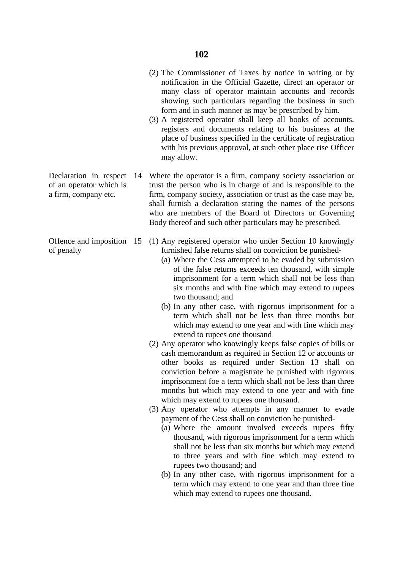- (2) The Commissioner of Taxes by notice in writing or by notification in the Official Gazette, direct an operator or many class of operator maintain accounts and records showing such particulars regarding the business in such form and in such manner as may be prescribed by him.
- (3) A registered operator shall keep all books of accounts, registers and documents relating to his business at the place of business specified in the certificate of registration with his previous approval, at such other place rise Officer may allow.
- Declaration in respect 14 Where the operator is a firm, company society association or of an operator which is trust the person who is in charge of and is responsible to the a firm, company etc. firm, company society, association or trust as the case may be, shall furnish a declaration stating the names of the persons who are members of the Board of Directors or Governing Body thereof and such other particulars may be prescribed.
- Offence and imposition 15 (1) Any registered operator who under Section 10 knowingly of penalty furnished false returns shall on conviction be punished-
	- (a) Where the Cess attempted to be evaded by submission of the false returns exceeds ten thousand, with simple imprisonment for a term which shall not be less than six months and with fine which may extend to rupees two thousand; and
	- (b) In any other case, with rigorous imprisonment for a term which shall not be less than three months but which may extend to one year and with fine which may extend to rupees one thousand
	- (2) Any operator who knowingly keeps false copies of bills or cash memorandum as required in Section 12 or accounts or other books as required under Section 13 shall on conviction before a magistrate be punished with rigorous imprisonment foe a term which shall not be less than three months but which may extend to one year and with fine which may extend to rupees one thousand.
	- (3) Any operator who attempts in any manner to evade payment of the Cess shall on conviction be punished-
		- (a) Where the amount involved exceeds rupees fifty thousand, with rigorous imprisonment for a term which shall not be less than six months but which may extend to three years and with fine which may extend to rupees two thousand; and
		- (b) In any other case, with rigorous imprisonment for a term which may extend to one year and than three fine which may extend to rupees one thousand.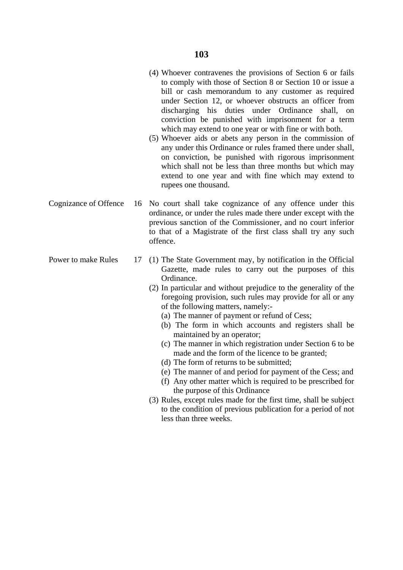- (4) Whoever contravenes the provisions of Section 6 or fails to comply with those of Section 8 or Section 10 or issue a bill or cash memorandum to any customer as required under Section 12, or whoever obstructs an officer from discharging his duties under Ordinance shall, on conviction be punished with imprisonment for a term which may extend to one year or with fine or with both.
- (5) Whoever aids or abets any person in the commission of any under this Ordinance or rules framed there under shall, on conviction, be punished with rigorous imprisonment which shall not be less than three months but which may extend to one year and with fine which may extend to rupees one thousand.
- Cognizance of Offence 16 No court shall take cognizance of any offence under this ordinance, or under the rules made there under except with the previous sanction of the Commissioner, and no court inferior to that of a Magistrate of the first class shall try any such offence.
- Power to make Rules 17 (1) The State Government may, by notification in the Official Gazette, made rules to carry out the purposes of this Ordinance.
	- (2) In particular and without prejudice to the generality of the foregoing provision, such rules may provide for all or any of the following matters, namely:-
		- (a) The manner of payment or refund of Cess;
		- (b) The form in which accounts and registers shall be maintained by an operator;
		- (c) The manner in which registration under Section 6 to be made and the form of the licence to be granted;
		- (d) The form of returns to be submitted;
		- (e) The manner of and period for payment of the Cess; and
		- (f) Any other matter which is required to be prescribed for the purpose of this Ordinance
	- (3) Rules, except rules made for the first time, shall be subject to the condition of previous publication for a period of not less than three weeks.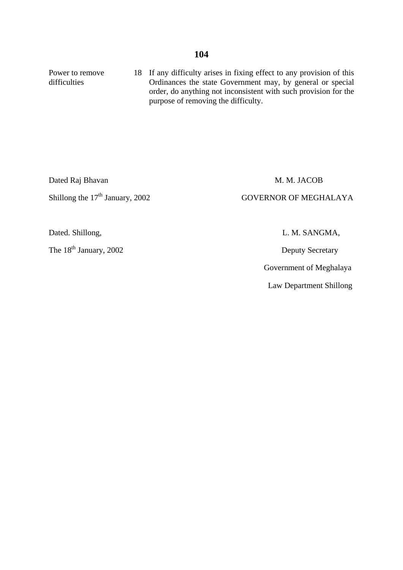Power to remove 18 If any difficulty arises in fixing effect to any provision of this difficulties **Ordinances** the state Government may, by general or special order, do anything not inconsistent with such provision for the purpose of removing the difficulty.

Dated Raj Bhavan M. M. JACOB

Shillong the 17<sup>th</sup> January, 2002 GOVERNOR OF MEGHALAYA

The 18<sup>th</sup> January, 2002 Deputy Secretary

Dated. Shillong, L. M. SANGMA,

Government of Meghalaya

Law Department Shillong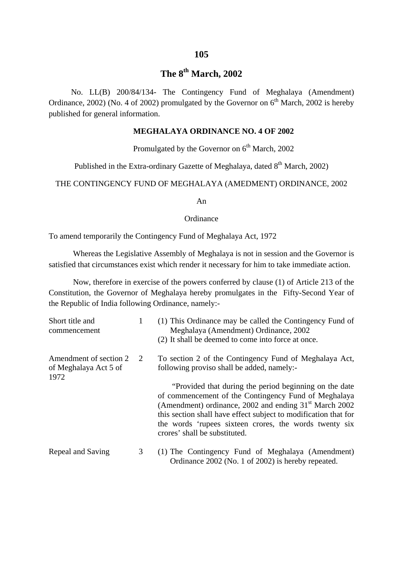# **The 8th March, 2002**

 No. LL(B) 200/84/134- The Contingency Fund of Meghalaya (Amendment) Ordinance, 2002) (No. 4 of 2002) promulgated by the Governor on  $6<sup>th</sup>$  March, 2002 is hereby published for general information.

### **MEGHALAYA ORDINANCE NO. 4 OF 2002**

Promulgated by the Governor on  $6<sup>th</sup>$  March, 2002

Published in the Extra-ordinary Gazette of Meghalaya, dated  $8<sup>th</sup>$  March, 2002)

THE CONTINGENCY FUND OF MEGHALAYA (AMEDMENT) ORDINANCE, 2002

An

#### **Ordinance**

To amend temporarily the Contingency Fund of Meghalaya Act, 1972

Whereas the Legislative Assembly of Meghalaya is not in session and the Governor is satisfied that circumstances exist which render it necessary for him to take immediate action.

Now, therefore in exercise of the powers conferred by clause (1) of Article 213 of the Constitution, the Governor of Meghalaya hereby promulgates in the Fifty-Second Year of the Republic of India following Ordinance, namely:-

| Short title and<br>commencement                         | 1 | (1) This Ordinance may be called the Contingency Fund of<br>Meghalaya (Amendment) Ordinance, 2002<br>(2) It shall be deemed to come into force at once.                                                                                                                                                                                   |
|---------------------------------------------------------|---|-------------------------------------------------------------------------------------------------------------------------------------------------------------------------------------------------------------------------------------------------------------------------------------------------------------------------------------------|
| Amendment of section 2<br>of Meghalaya Act 5 of<br>1972 | 2 | To section 2 of the Contingency Fund of Meghalaya Act,<br>following proviso shall be added, namely:-                                                                                                                                                                                                                                      |
|                                                         |   | "Provided that during the period beginning on the date"<br>of commencement of the Contingency Fund of Meghalaya<br>(Amendment) ordinance, 2002 and ending $31st$ March 2002<br>this section shall have effect subject to modification that for<br>the words 'rupees sixteen crores, the words twenty six<br>crores' shall be substituted. |
| Repeal and Saving                                       | 3 | (1) The Contingency Fund of Meghalaya (Amendment)<br>Ordinance 2002 (No. 1 of 2002) is hereby repeated.                                                                                                                                                                                                                                   |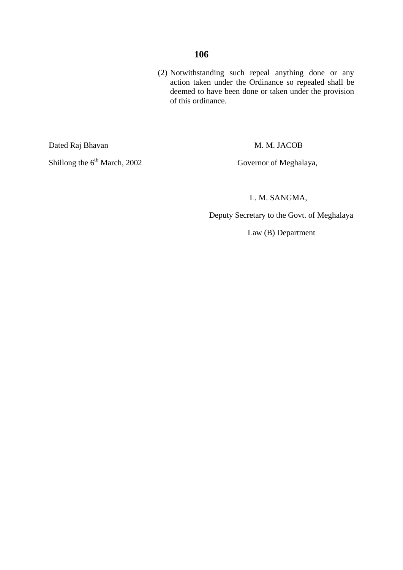### **106**

 (2) Notwithstanding such repeal anything done or any action taken under the Ordinance so repealed shall be deemed to have been done or taken under the provision of this ordinance.

Dated Raj Bhavan M. M. JACOB

Shillong the 6<sup>th</sup> March, 2002 Governor of Meghalaya,

L. M. SANGMA,

Deputy Secretary to the Govt. of Meghalaya

Law (B) Department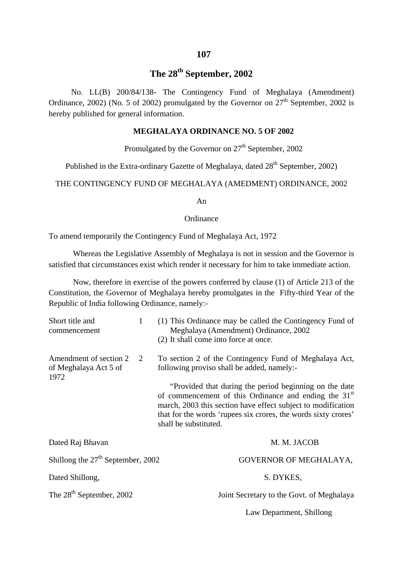## **The 28th September, 2002**

 No. LL(B) 200/84/138- The Contingency Fund of Meghalaya (Amendment) Ordinance, 2002) (No. 5 of 2002) promulgated by the Governor on  $27<sup>th</sup>$  September, 2002 is hereby published for general information.

#### **MEGHALAYA ORDINANCE NO. 5 OF 2002**

Promulgated by the Governor on  $27<sup>th</sup>$  September, 2002

Published in the Extra-ordinary Gazette of Meghalaya, dated  $28<sup>th</sup>$  September, 2002)

THE CONTINGENCY FUND OF MEGHALAYA (AMEDMENT) ORDINANCE, 2002

An

#### **Ordinance**

To amend temporarily the Contingency Fund of Meghalaya Act, 1972

Whereas the Legislative Assembly of Meghalaya is not in session and the Governor is satisfied that circumstances exist which render it necessary for him to take immediate action.

Now, therefore in exercise of the powers conferred by clause (1) of Article 213 of the Constitution, the Governor of Meghalaya hereby promulgates in the Fifty-third Year of the Republic of India following Ordinance, namely:-

| Short title and<br>commencement                         | 1 | (1) This Ordinance may be called the Contingency Fund of<br>Meghalaya (Amendment) Ordinance, 2002<br>(2) It shall come into force at once.                                                                                                                                                           |
|---------------------------------------------------------|---|------------------------------------------------------------------------------------------------------------------------------------------------------------------------------------------------------------------------------------------------------------------------------------------------------|
| Amendment of section 2<br>of Meghalaya Act 5 of<br>1972 | 2 | To section 2 of the Contingency Fund of Meghalaya Act,<br>following proviso shall be added, namely:-<br>"Provided that during the period beginning on the date"<br>of commencement of this Ordinance and ending the 31 <sup>st</sup><br>march, 2003 this section have effect subject to modification |
|                                                         |   | that for the words 'rupees six crores, the words sixty crores'<br>shall be substituted.                                                                                                                                                                                                              |
| Dated Raj Bhavan                                        |   | M. M. JACOB                                                                                                                                                                                                                                                                                          |
| Shillong the $27th$ September, 2002                     |   | GOVERNOR OF MEGHALAYA,                                                                                                                                                                                                                                                                               |
| Dated Shillong,                                         |   | S. DYKES,                                                                                                                                                                                                                                                                                            |
| The 28 <sup>th</sup> September, 2002                    |   | Joint Secretary to the Govt. of Meghalaya                                                                                                                                                                                                                                                            |
|                                                         |   | Law Department, Shillong                                                                                                                                                                                                                                                                             |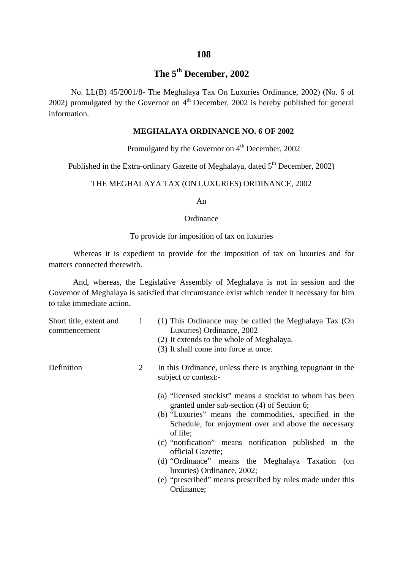#### **108**

# **The 5th December, 2002**

 No. LL(B) 45/2001/8- The Meghalaya Tax On Luxuries Ordinance, 2002) (No. 6 of 2002) promulgated by the Governor on  $4<sup>th</sup>$  December, 2002 is hereby published for general information.

#### **MEGHALAYA ORDINANCE NO. 6 OF 2002**

Promulgated by the Governor on  $4<sup>th</sup>$  December, 2002

Published in the Extra-ordinary Gazette of Meghalaya, dated  $5<sup>th</sup>$  December, 2002)

## THE MEGHALAYA TAX (ON LUXURIES) ORDINANCE, 2002

#### An

#### **Ordinance**

#### To provide for imposition of tax on luxuries

Whereas it is expedient to provide for the imposition of tax on luxuries and for matters connected therewith.

And, whereas, the Legislative Assembly of Meghalaya is not in session and the Governor of Meghalaya is satisfied that circumstance exist which render it necessary for him to take immediate action.

| Short title, extent and<br>commencement | 1 | (1) This Ordinance may be called the Meghalaya Tax (On<br>Luxuries) Ordinance, 2002<br>(2) It extends to the whole of Meghalaya.                                                                                                                                                                                                                                                                                                                                                    |
|-----------------------------------------|---|-------------------------------------------------------------------------------------------------------------------------------------------------------------------------------------------------------------------------------------------------------------------------------------------------------------------------------------------------------------------------------------------------------------------------------------------------------------------------------------|
|                                         |   | (3) It shall come into force at once.                                                                                                                                                                                                                                                                                                                                                                                                                                               |
| Definition                              | 2 | In this Ordinance, unless there is anything repugnant in the<br>subject or context:-                                                                                                                                                                                                                                                                                                                                                                                                |
|                                         |   | (a) "licensed stockist" means a stockist to whom has been<br>granted under sub-section (4) of Section 6;<br>(b) "Luxuries" means the commodities, specified in the<br>Schedule, for enjoyment over and above the necessary<br>of life;<br>(c) "notification" means notification published in the<br>official Gazette;<br>(d) "Ordinance" means the Meghalaya Taxation (on<br>luxuries) Ordinance, 2002;<br>(e) "prescribed" means prescribed by rules made under this<br>Ordinance; |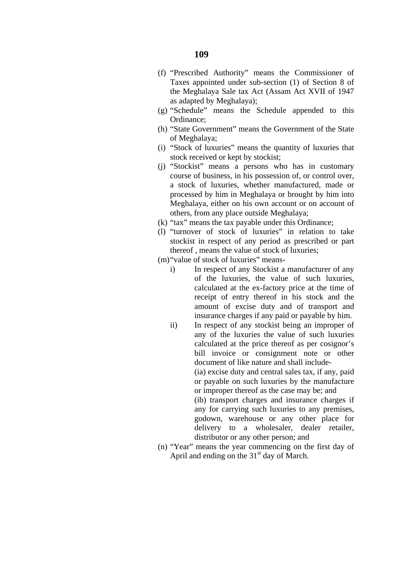- (f) "Prescribed Authority" means the Commissioner of Taxes appointed under sub-section (1) of Section 8 of the Meghalaya Sale tax Act (Assam Act XVII of 1947 as adapted by Meghalaya);
- (g) "Schedule" means the Schedule appended to this Ordinance;
- (h) "State Government" means the Government of the State of Meghalaya;
- (i) "Stock of luxuries" means the quantity of luxuries that stock received or kept by stockist;
- (j) "Stockist" means a persons who has in customary course of business, in his possession of, or control over, a stock of luxuries, whether manufactured, made or processed by him in Meghalaya or brought by him into Meghalaya, either on his own account or on account of others, from any place outside Meghalaya;
- (k) "tax" means the tax payable under this Ordinance;
- (l) "turnover of stock of luxuries" in relation to take stockist in respect of any period as prescribed or part thereof , means the value of stock of luxuries;
- (m)"value of stock of luxuries" means
	- i) In respect of any Stockist a manufacturer of any of the luxuries, the value of such luxuries, calculated at the ex-factory price at the time of receipt of entry thereof in his stock and the amount of excise duty and of transport and insurance charges if any paid or payable by him.
	- ii) In respect of any stockist being an improper of any of the luxuries the value of such luxuries calculated at the price thereof as per cosignor's bill invoice or consignment note or other document of like nature and shall include-

(ia) excise duty and central sales tax, if any, paid or payable on such luxuries by the manufacture or improper thereof as the case may be; and

(ib) transport charges and insurance charges if any for carrying such luxuries to any premises, godown, warehouse or any other place for delivery to a wholesaler, dealer retailer, distributor or any other person; and

(n) "Year" means the year commencing on the first day of April and ending on the  $31<sup>st</sup>$  day of March.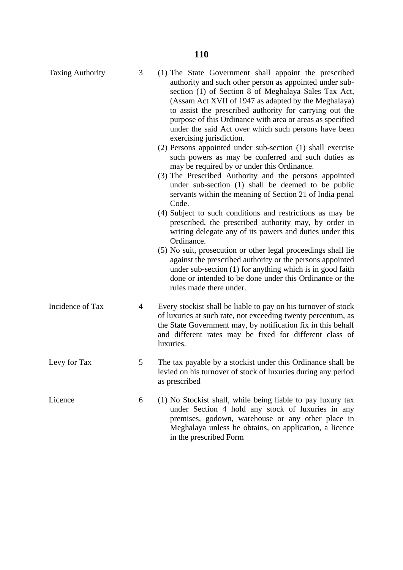| <b>Taxing Authority</b> | 3 | (1) The State Government shall appoint the prescribed<br>authority and such other person as appointed under sub-<br>section (1) of Section 8 of Meghalaya Sales Tax Act,<br>(Assam Act XVII of 1947 as adapted by the Meghalaya)<br>to assist the prescribed authority for carrying out the<br>purpose of this Ordinance with area or areas as specified<br>under the said Act over which such persons have been<br>exercising jurisdiction.<br>(2) Persons appointed under sub-section (1) shall exercise<br>such powers as may be conferred and such duties as<br>may be required by or under this Ordinance.<br>(3) The Prescribed Authority and the persons appointed<br>under sub-section (1) shall be deemed to be public<br>servants within the meaning of Section 21 of India penal<br>Code.<br>(4) Subject to such conditions and restrictions as may be<br>prescribed, the prescribed authority may, by order in<br>writing delegate any of its powers and duties under this<br>Ordinance.<br>(5) No suit, prosecution or other legal proceedings shall lie<br>against the prescribed authority or the persons appointed<br>under sub-section (1) for anything which is in good faith<br>done or intended to be done under this Ordinance or the<br>rules made there under. |
|-------------------------|---|---------------------------------------------------------------------------------------------------------------------------------------------------------------------------------------------------------------------------------------------------------------------------------------------------------------------------------------------------------------------------------------------------------------------------------------------------------------------------------------------------------------------------------------------------------------------------------------------------------------------------------------------------------------------------------------------------------------------------------------------------------------------------------------------------------------------------------------------------------------------------------------------------------------------------------------------------------------------------------------------------------------------------------------------------------------------------------------------------------------------------------------------------------------------------------------------------------------------------------------------------------------------------------------|
| Incidence of Tax        | 4 | Every stockist shall be liable to pay on his turnover of stock<br>of luxuries at such rate, not exceeding twenty percentum, as<br>the State Government may, by notification fix in this behalf<br>and different rates may be fixed for different class of<br>luxuries.                                                                                                                                                                                                                                                                                                                                                                                                                                                                                                                                                                                                                                                                                                                                                                                                                                                                                                                                                                                                                |
| Levy for Tax            | 5 | The tax payable by a stockist under this Ordinance shall be<br>levied on his turnover of stock of luxuries during any period<br>as prescribed                                                                                                                                                                                                                                                                                                                                                                                                                                                                                                                                                                                                                                                                                                                                                                                                                                                                                                                                                                                                                                                                                                                                         |
| Licence                 | 6 | (1) No Stockist shall, while being liable to pay luxury tax<br>under Section 4 hold any stock of luxuries in any<br>premises, godown, warehouse or any other place in<br>Meghalaya unless he obtains, on application, a licence<br>in the prescribed Form                                                                                                                                                                                                                                                                                                                                                                                                                                                                                                                                                                                                                                                                                                                                                                                                                                                                                                                                                                                                                             |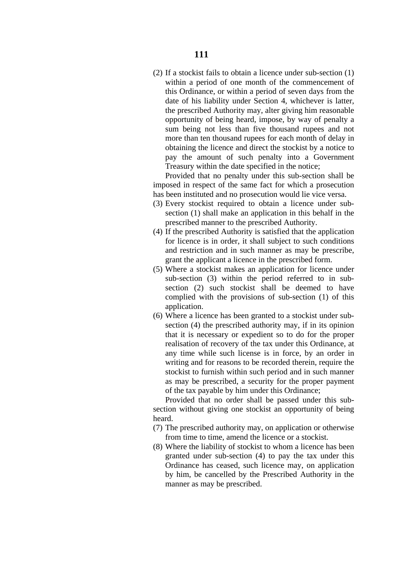(2) If a stockist fails to obtain a licence under sub-section (1) within a period of one month of the commencement of this Ordinance, or within a period of seven days from the date of his liability under Section 4, whichever is latter, the prescribed Authority may, alter giving him reasonable opportunity of being heard, impose, by way of penalty a sum being not less than five thousand rupees and not more than ten thousand rupees for each month of delay in obtaining the licence and direct the stockist by a notice to pay the amount of such penalty into a Government Treasury within the date specified in the notice;

 Provided that no penalty under this sub-section shall be imposed in respect of the same fact for which a prosecution has been instituted and no prosecution would lie vice versa.

- (3) Every stockist required to obtain a licence under subsection (1) shall make an application in this behalf in the prescribed manner to the prescribed Authority.
- (4) If the prescribed Authority is satisfied that the application for licence is in order, it shall subject to such conditions and restriction and in such manner as may be prescribe, grant the applicant a licence in the prescribed form.
- (5) Where a stockist makes an application for licence under sub-section (3) within the period referred to in subsection (2) such stockist shall be deemed to have complied with the provisions of sub-section (1) of this application.
- (6) Where a licence has been granted to a stockist under subsection (4) the prescribed authority may, if in its opinion that it is necessary or expedient so to do for the proper realisation of recovery of the tax under this Ordinance, at any time while such license is in force, by an order in writing and for reasons to be recorded therein, require the stockist to furnish within such period and in such manner as may be prescribed, a security for the proper payment of the tax payable by him under this Ordinance;

 Provided that no order shall be passed under this subsection without giving one stockist an opportunity of being heard.

- (7) The prescribed authority may, on application or otherwise from time to time, amend the licence or a stockist.
- (8) Where the liability of stockist to whom a licence has been granted under sub-section (4) to pay the tax under this Ordinance has ceased, such licence may, on application by him, be cancelled by the Prescribed Authority in the manner as may be prescribed.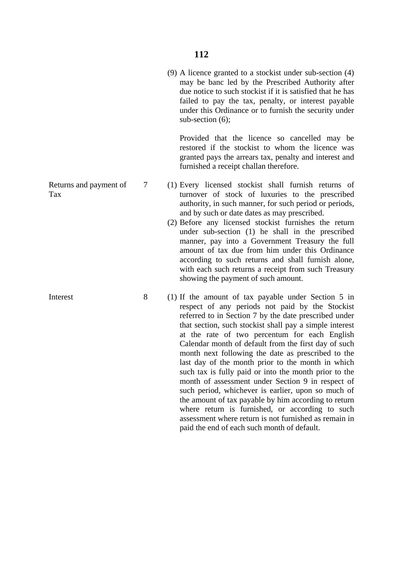(9) A licence granted to a stockist under sub-section (4) may be banc led by the Prescribed Authority after due notice to such stockist if it is satisfied that he has failed to pay the tax, penalty, or interest payable under this Ordinance or to furnish the security under sub-section (6);

Provided that the licence so cancelled may be restored if the stockist to whom the licence was granted pays the arrears tax, penalty and interest and furnished a receipt challan therefore.

- Returns and payment of 7 (1) Every licensed stockist shall furnish returns of Tax turnover of stock of luxuries to the prescribed authority, in such manner, for such period or periods, and by such or date dates as may prescribed.
	- (2) Before any licensed stockist furnishes the return under sub-section (1) he shall in the prescribed manner, pay into a Government Treasury the full amount of tax due from him under this Ordinance according to such returns and shall furnish alone, with each such returns a receipt from such Treasury showing the payment of such amount.
- Interest 8 (1) If the amount of tax payable under Section 5 in respect of any periods not paid by the Stockist referred to in Section 7 by the date prescribed under that section, such stockist shall pay a simple interest at the rate of two percentum for each English Calendar month of default from the first day of such month next following the date as prescribed to the last day of the month prior to the month in which such tax is fully paid or into the month prior to the month of assessment under Section 9 in respect of such period, whichever is earlier, upon so much of the amount of tax payable by him according to return where return is furnished, or according to such assessment where return is not furnished as remain in paid the end of each such month of default.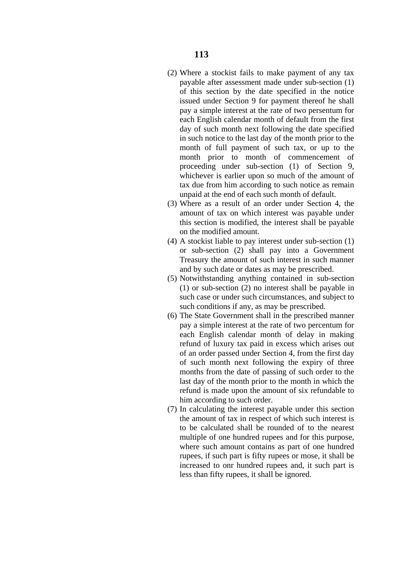- (2) Where a stockist fails to make payment of any tax payable after assessment made under sub-section (1) of this section by the date specified in the notice issued under Section 9 for payment thereof he shall pay a simple interest at the rate of two persentum for each English calendar month of default from the first day of such month next following the date specified in such notice to the last day of the month prior to the month of full payment of such tax, or up to the month prior to month of commencement of proceeding under sub-section (1) of Section 9, whichever is earlier upon so much of the amount of tax due from him according to such notice as remain unpaid at the end of each such month of default.
- (3) Where as a result of an order under Section 4, the amount of tax on which interest was payable under this section is modified, the interest shall be payable on the modified amount.
- (4) A stockist liable to pay interest under sub-section (1) or sub-section (2) shall pay into a Government Treasury the amount of such interest in such manner and by such date or dates as may be prescribed.
- (5) Notwithstanding anything contained in sub-section (1) or sub-section (2) no interest shall be payable in such case or under such circumstances, and subject to such conditions if any, as may be prescribed.
- (6) The State Government shall in the prescribed manner pay a simple interest at the rate of two percentum for each English calendar month of delay in making refund of luxury tax paid in excess which arises out of an order passed under Section 4, from the first day of such month next following the expiry of three months from the date of passing of such order to the last day of the month prior to the month in which the refund is made upon the amount of six refundable to him according to such order.
- (7) In calculating the interest payable under this section the amount of tax in respect of which such interest is to be calculated shall be rounded of to the nearest multiple of one hundred rupees and for this purpose, where such amount contains as part of one hundred rupees, if such part is fifty rupees or mose, it shall be increased to onr hundred rupees and, it such part is less than fifty rupees, it shall be ignored.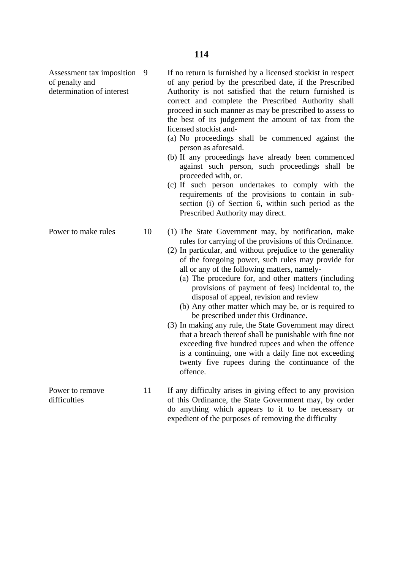|                     |    | proceed in such manner as may be prescribed to assess to<br>the best of its judgement the amount of tax from the<br>licensed stockist and-<br>(a) No proceedings shall be commenced against the<br>person as aforesaid.<br>(b) If any proceedings have already been commenced<br>against such person, such proceedings shall be<br>proceeded with, or.<br>(c) If such person undertakes to comply with the<br>requirements of the provisions to contain in sub-<br>section (i) of Section 6, within such period as the<br>Prescribed Authority may direct.                                                                                                                                                                                                                                                                                                                                   |
|---------------------|----|----------------------------------------------------------------------------------------------------------------------------------------------------------------------------------------------------------------------------------------------------------------------------------------------------------------------------------------------------------------------------------------------------------------------------------------------------------------------------------------------------------------------------------------------------------------------------------------------------------------------------------------------------------------------------------------------------------------------------------------------------------------------------------------------------------------------------------------------------------------------------------------------|
| Power to make rules | 10 | (1) The State Government may, by notification, make<br>rules for carrying of the provisions of this Ordinance.<br>(2) In particular, and without prejudice to the generality<br>of the foregoing power, such rules may provide for<br>all or any of the following matters, namely-<br>(a) The procedure for, and other matters (including<br>provisions of payment of fees) incidental to, the<br>disposal of appeal, revision and review<br>(b) Any other matter which may be, or is required to<br>be prescribed under this Ordinance.<br>(3) In making any rule, the State Government may direct<br>that a breach thereof shall be punishable with fine not<br>exceeding five hundred rupees and when the offence<br>is a continuing, one with a daily fine not exceeding<br>twenty five rupees during the continuance of the<br>offence.<br>$TC = 1100^\circ$ 1. $T = 1$ $C = 1$ $C = 1$ |

Power to remove 11 If any difficulty arises in giving effect to any provision difficulties of this Ordinance, the State Government may, by order do anything which appears to it to be necessary or expedient of the purposes of removing the difficulty